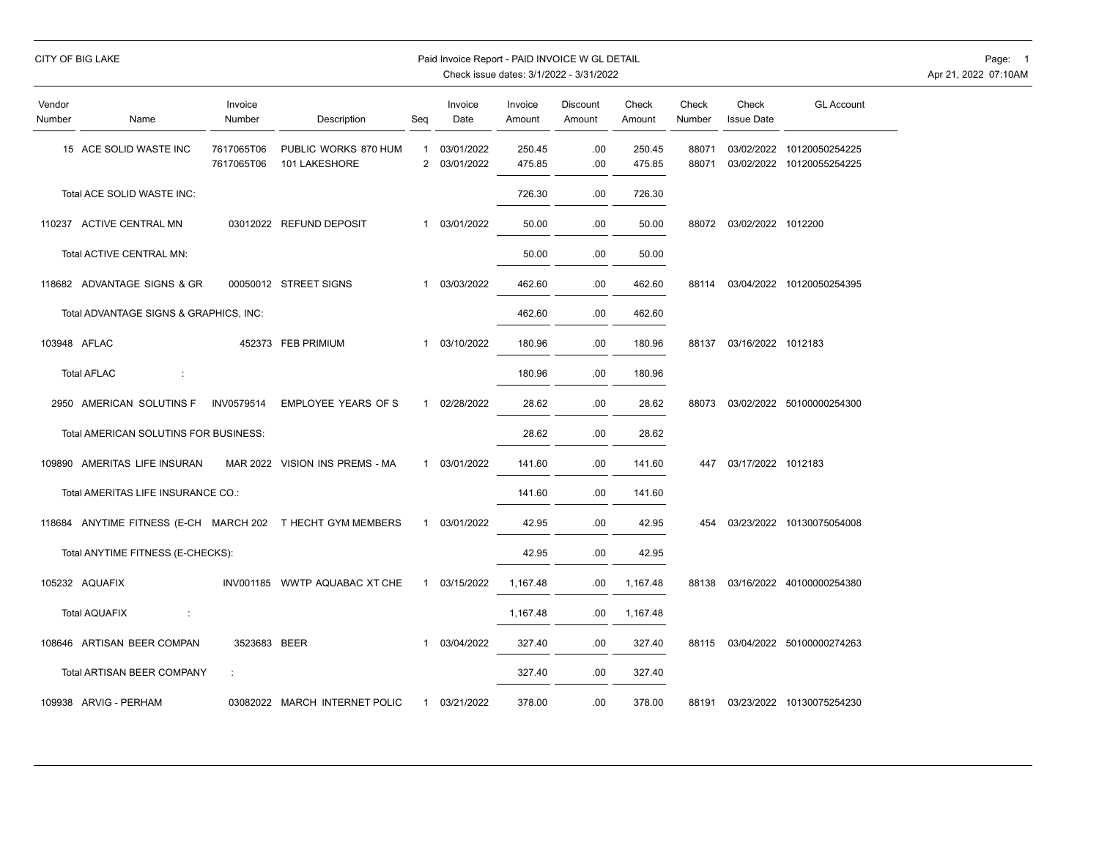|                  | <b>CITY OF BIG LAKE</b>                                    |                          |                                       |                | Paid Invoice Report - PAID INVOICE W GL DETAIL |                   | Check issue dates: 3/1/2022 - 3/31/2022 |                  |                 |                            |                                                        | Page: 1<br>Apr 21, 2022 07:10AM |
|------------------|------------------------------------------------------------|--------------------------|---------------------------------------|----------------|------------------------------------------------|-------------------|-----------------------------------------|------------------|-----------------|----------------------------|--------------------------------------------------------|---------------------------------|
| Vendor<br>Number | Name                                                       | Invoice<br>Number        | Description                           | Seq            | Invoice<br>Date                                | Invoice<br>Amount | Discount<br>Amount                      | Check<br>Amount  | Check<br>Number | Check<br><b>Issue Date</b> | <b>GL Account</b>                                      |                                 |
|                  | 15 ACE SOLID WASTE INC                                     | 7617065T06<br>7617065T06 | PUBLIC WORKS 870 HUM<br>101 LAKESHORE | $\overline{1}$ | 03/01/2022<br>2 03/01/2022                     | 250.45<br>475.85  | .00<br>.00                              | 250.45<br>475.85 | 88071<br>88071  |                            | 03/02/2022 10120050254225<br>03/02/2022 10120055254225 |                                 |
|                  | Total ACE SOLID WASTE INC:                                 |                          |                                       |                |                                                | 726.30            | .00                                     | 726.30           |                 |                            |                                                        |                                 |
|                  | 110237 ACTIVE CENTRAL MN                                   |                          | 03012022 REFUND DEPOSIT               |                | 1 03/01/2022                                   | 50.00             | .00.                                    | 50.00            |                 | 88072 03/02/2022 1012200   |                                                        |                                 |
|                  | Total ACTIVE CENTRAL MN:                                   |                          |                                       |                |                                                | 50.00             | .00.                                    | 50.00            |                 |                            |                                                        |                                 |
|                  | 118682 ADVANTAGE SIGNS & GR                                |                          | 00050012 STREET SIGNS                 | $\mathbf{1}$   | 03/03/2022                                     | 462.60            | .00                                     | 462.60           | 88114           |                            | 03/04/2022 10120050254395                              |                                 |
|                  | Total ADVANTAGE SIGNS & GRAPHICS, INC:                     |                          |                                       |                |                                                | 462.60            | .00                                     | 462.60           |                 |                            |                                                        |                                 |
|                  | 103948 AFLAC                                               |                          | 452373 FEB PRIMIUM                    | $\mathbf{1}$   | 03/10/2022                                     | 180.96            | .00                                     | 180.96           |                 | 88137 03/16/2022 1012183   |                                                        |                                 |
|                  | <b>Total AFLAC</b><br>÷                                    |                          |                                       |                |                                                | 180.96            | .00                                     | 180.96           |                 |                            |                                                        |                                 |
|                  | 2950 AMERICAN SOLUTINS F                                   | INV0579514               | EMPLOYEE YEARS OF S                   | $\mathbf{1}$   | 02/28/2022                                     | 28.62             | .00                                     | 28.62            |                 |                            | 88073 03/02/2022 50100000254300                        |                                 |
|                  | Total AMERICAN SOLUTINS FOR BUSINESS:                      |                          |                                       |                |                                                | 28.62             | .00                                     | 28.62            |                 |                            |                                                        |                                 |
|                  | 109890 AMERITAS LIFE INSURAN                               |                          | MAR 2022 VISION INS PREMS - MA        | $\mathbf{1}$   | 03/01/2022                                     | 141.60            | .00.                                    | 141.60           |                 | 447 03/17/2022 1012183     |                                                        |                                 |
|                  | Total AMERITAS LIFE INSURANCE CO.:                         |                          |                                       |                |                                                | 141.60            | .00                                     | 141.60           |                 |                            |                                                        |                                 |
|                  | 118684 ANYTIME FITNESS (E-CH MARCH 202 T HECHT GYM MEMBERS |                          |                                       | $\mathbf{1}$   | 03/01/2022                                     | 42.95             | .00                                     | 42.95            |                 |                            | 454 03/23/2022 10130075054008                          |                                 |
|                  | Total ANYTIME FITNESS (E-CHECKS):                          |                          |                                       |                |                                                | 42.95             | .00.                                    | 42.95            |                 |                            |                                                        |                                 |
|                  | 105232 AQUAFIX                                             |                          | INV001185 WWTP AQUABAC XT CHE         | $\mathbf{1}$   | 03/15/2022                                     | 1,167.48          | .00.                                    | 1,167.48         |                 |                            | 88138 03/16/2022 40100000254380                        |                                 |
|                  | <b>Total AQUAFIX</b><br>$\mathbb{C}$                       |                          |                                       |                |                                                | 1,167.48          | .00.                                    | 1,167.48         |                 |                            |                                                        |                                 |
|                  | 108646 ARTISAN BEER COMPAN                                 | 3523683 BEER             |                                       | -1             | 03/04/2022                                     | 327.40            | .00.                                    | 327.40           |                 |                            | 88115 03/04/2022 50100000274263                        |                                 |
|                  | Total ARTISAN BEER COMPANY                                 | ÷                        |                                       |                |                                                | 327.40            | .00                                     | 327.40           |                 |                            |                                                        |                                 |
|                  | 109938 ARVIG - PERHAM                                      |                          | 03082022 MARCH INTERNET POLIC         |                | 1 03/21/2022                                   | 378.00            | .00.                                    | 378.00           |                 |                            | 88191 03/23/2022 10130075254230                        |                                 |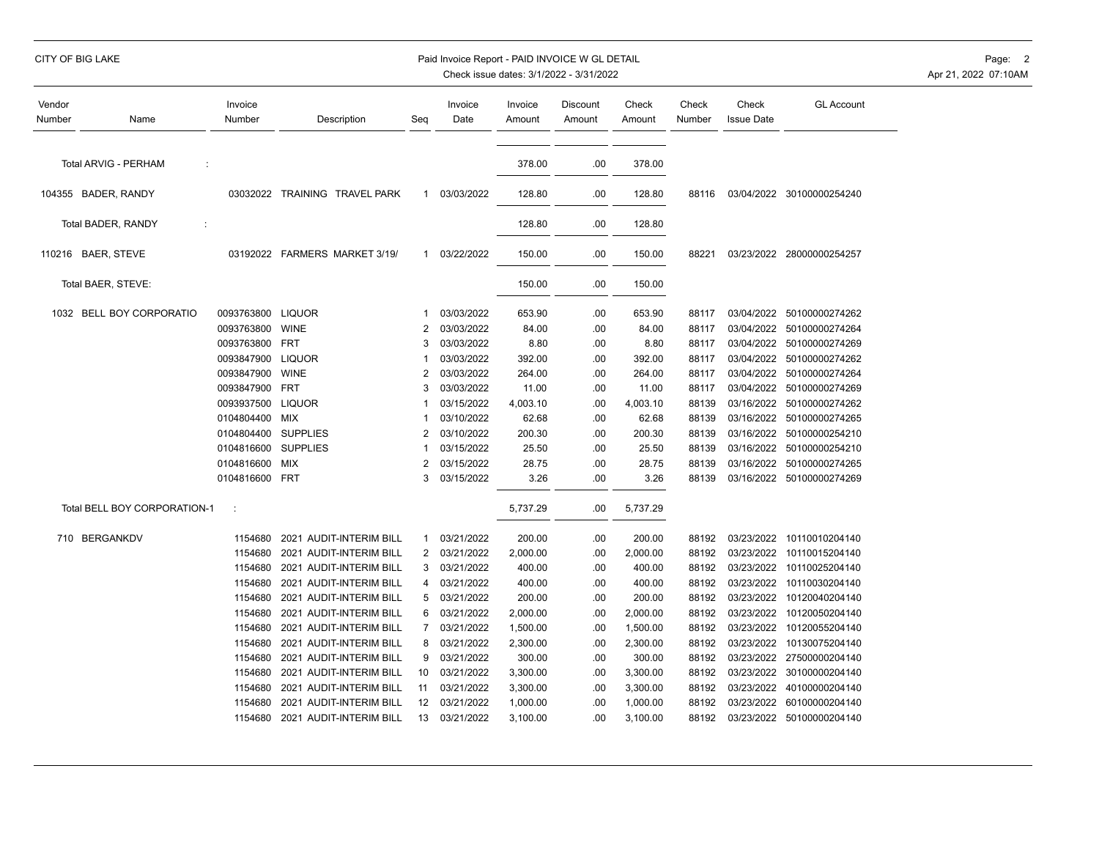## CITY OF BIG LAKE **Example 2** Paid Invoice Report - PAID INVOICE W GL DETAIL **Page: 2** Page: 2

| Vendor<br>Number | Name                         | Invoice<br>Number | Description                   | Seq                     | Invoice<br>Date | Invoice<br>Amount | Discount<br>Amount | Check<br>Amount | Check<br>Number | Check<br><b>Issue Date</b> | <b>GL Account</b>         |
|------------------|------------------------------|-------------------|-------------------------------|-------------------------|-----------------|-------------------|--------------------|-----------------|-----------------|----------------------------|---------------------------|
|                  | Total ARVIG - PERHAM<br>÷    |                   |                               |                         |                 | 378.00            | .00                | 378.00          |                 |                            |                           |
|                  |                              |                   |                               |                         |                 |                   |                    |                 |                 |                            |                           |
|                  | 104355 BADER, RANDY          |                   | 03032022 TRAINING TRAVEL PARK | $\mathbf{1}$            | 03/03/2022      | 128.80            | .00                | 128.80          | 88116           |                            | 03/04/2022 30100000254240 |
|                  | Total BADER, RANDY<br>÷      |                   |                               |                         |                 | 128.80            | .00                | 128.80          |                 |                            |                           |
|                  | 110216 BAER, STEVE           |                   | 03192022 FARMERS MARKET 3/19/ | $\mathbf{1}$            | 03/22/2022      | 150.00            | .00                | 150.00          | 88221           |                            | 03/23/2022 28000000254257 |
|                  | Total BAER, STEVE:           |                   |                               |                         |                 | 150.00            | .00                | 150.00          |                 |                            |                           |
|                  | 1032 BELL BOY CORPORATIO     | 0093763800        | <b>LIQUOR</b>                 | -1                      | 03/03/2022      | 653.90            | .00                | 653.90          | 88117           |                            | 03/04/2022 50100000274262 |
|                  |                              | 0093763800        | <b>WINE</b>                   | $\overline{2}$          | 03/03/2022      | 84.00             | .00                | 84.00           | 88117           | 03/04/2022                 | 50100000274264            |
|                  |                              | 0093763800        | <b>FRT</b>                    | 3                       | 03/03/2022      | 8.80              | .00                | 8.80            | 88117           | 03/04/2022                 | 50100000274269            |
|                  |                              | 0093847900        | <b>LIQUOR</b>                 | 1                       | 03/03/2022      | 392.00            | .00                | 392.00          | 88117           | 03/04/2022                 | 50100000274262            |
|                  |                              | 0093847900        | <b>WINE</b>                   | 2                       | 03/03/2022      | 264.00            | .00                | 264.00          | 88117           | 03/04/2022                 | 50100000274264            |
|                  |                              | 0093847900        | <b>FRT</b>                    | 3                       | 03/03/2022      | 11.00             | .00                | 11.00           | 88117           | 03/04/2022                 | 50100000274269            |
|                  |                              | 0093937500        | <b>LIQUOR</b>                 | $\overline{\mathbf{1}}$ | 03/15/2022      | 4,003.10          | .00                | 4,003.10        | 88139           | 03/16/2022                 | 50100000274262            |
|                  |                              | 0104804400        | MIX                           | -1                      | 03/10/2022      | 62.68             | .00                | 62.68           | 88139           | 03/16/2022                 | 50100000274265            |
|                  |                              | 0104804400        | <b>SUPPLIES</b>               | 2                       | 03/10/2022      | 200.30            | .00                | 200.30          | 88139           | 03/16/2022                 | 50100000254210            |
|                  |                              | 0104816600        | <b>SUPPLIES</b>               | -1                      | 03/15/2022      | 25.50             | .00                | 25.50           | 88139           | 03/16/2022                 | 50100000254210            |
|                  |                              | 0104816600        | <b>MIX</b>                    | $\overline{2}$          | 03/15/2022      | 28.75             | .00                | 28.75           | 88139           | 03/16/2022                 | 50100000274265            |
|                  |                              | 0104816600        | FRT                           | 3                       | 03/15/2022      | 3.26              | .00                | 3.26            | 88139           | 03/16/2022                 | 50100000274269            |
|                  | Total BELL BOY CORPORATION-1 | ÷                 |                               |                         |                 | 5,737.29          | .00                | 5,737.29        |                 |                            |                           |
|                  | 710 BERGANKDV                | 1154680           | 2021 AUDIT-INTERIM BILL       | $\mathbf{1}$            | 03/21/2022      | 200.00            | .00                | 200.00          | 88192           | 03/23/2022                 | 10110010204140            |
|                  |                              | 1154680           | 2021 AUDIT-INTERIM BILL       | 2                       | 03/21/2022      | 2,000.00          | .00                | 2,000.00        | 88192           | 03/23/2022                 | 10110015204140            |
|                  |                              | 1154680           | 2021 AUDIT-INTERIM BILL       | 3                       | 03/21/2022      | 400.00            | .00                | 400.00          | 88192           | 03/23/2022                 | 10110025204140            |
|                  |                              | 1154680           | 2021 AUDIT-INTERIM BILL       | 4                       | 03/21/2022      | 400.00            | .00                | 400.00          | 88192           | 03/23/2022                 | 10110030204140            |
|                  |                              | 1154680           | 2021 AUDIT-INTERIM BILL       | 5                       | 03/21/2022      | 200.00            | .00                | 200.00          | 88192           | 03/23/2022                 | 10120040204140            |
|                  |                              | 1154680           | 2021 AUDIT-INTERIM BILL       | 6                       | 03/21/2022      | 2,000.00          | .00                | 2,000.00        | 88192           | 03/23/2022                 | 10120050204140            |
|                  |                              | 1154680           | 2021 AUDIT-INTERIM BILL       | $\overline{7}$          | 03/21/2022      | 1,500.00          | .00                | 1,500.00        | 88192           | 03/23/2022                 | 10120055204140            |
|                  |                              | 1154680           | 2021 AUDIT-INTERIM BILL       | 8                       | 03/21/2022      | 2,300.00          | .00                | 2,300.00        | 88192           | 03/23/2022                 | 10130075204140            |
|                  |                              | 1154680           | 2021 AUDIT-INTERIM BILL       | 9                       | 03/21/2022      | 300.00            | .00                | 300.00          | 88192           | 03/23/2022                 | 27500000204140            |
|                  |                              | 1154680           | 2021 AUDIT-INTERIM BILL       | 10                      | 03/21/2022      | 3,300.00          | .00                | 3,300.00        | 88192           | 03/23/2022                 | 30100000204140            |
|                  |                              | 1154680           | 2021 AUDIT-INTERIM BILL       | 11                      | 03/21/2022      | 3,300.00          | .00                | 3,300.00        | 88192           | 03/23/2022                 | 40100000204140            |
|                  |                              | 1154680           | 2021 AUDIT-INTERIM BILL       | 12                      | 03/21/2022      | 1,000.00          | .00                | 1,000.00        | 88192           | 03/23/2022                 | 60100000204140            |
|                  |                              | 1154680           | 2021 AUDIT-INTERIM BILL       | 13                      | 03/21/2022      | 3,100.00          | .00                | 3,100.00        | 88192           |                            | 03/23/2022 50100000204140 |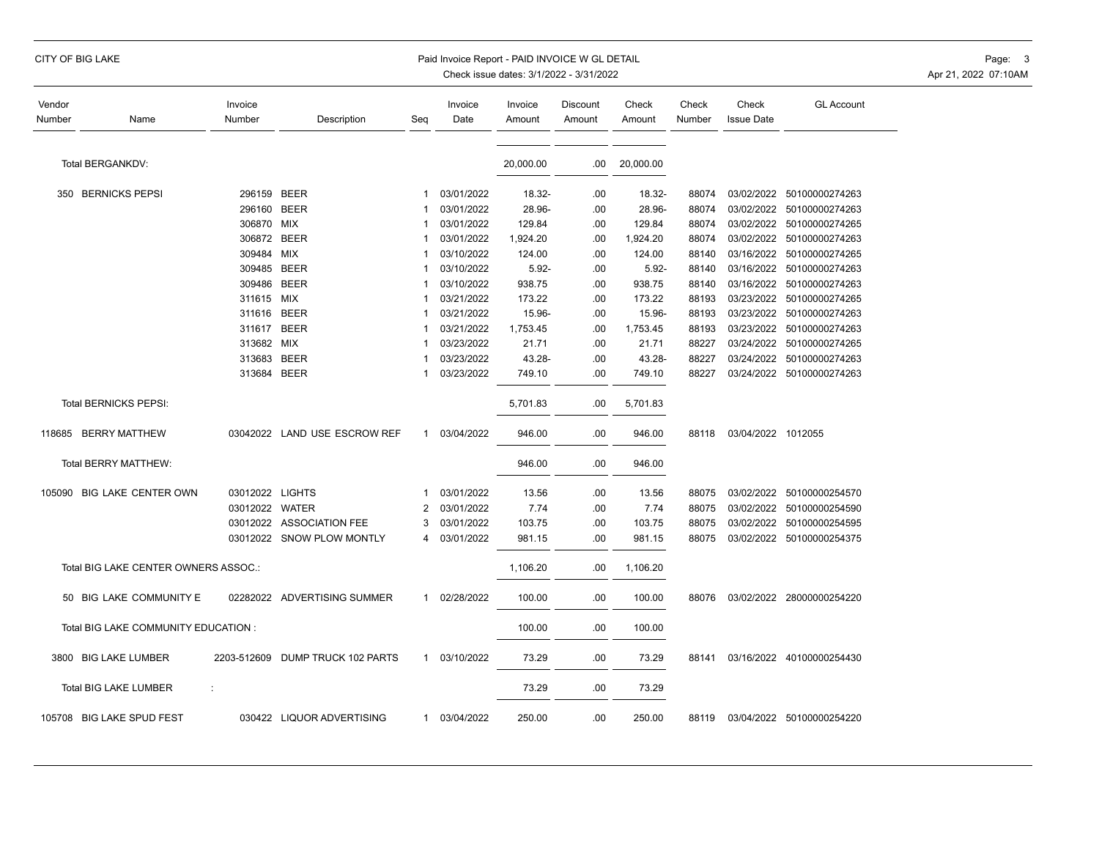## CITY OF BIG LAKE **Example 2008 CITY OF BIG LAKE** Page: 3 Paid Invoice Report - PAID INVOICE W GL DETAIL

| Vendor<br>Number | Name                                 | Invoice<br>Number | Description                  | Seq         | Invoice<br>Date | Invoice<br>Amount | Discount<br>Amount | Check<br>Amount | Check<br>Number | Check<br><b>Issue Date</b> | <b>GL Account</b>         |
|------------------|--------------------------------------|-------------------|------------------------------|-------------|-----------------|-------------------|--------------------|-----------------|-----------------|----------------------------|---------------------------|
|                  | Total BERGANKDV:                     |                   |                              |             |                 | 20,000.00         | .00                | 20,000.00       |                 |                            |                           |
|                  | 350 BERNICKS PEPSI                   | 296159 BEER       |                              |             | 03/01/2022      | 18.32-            | .00                | 18.32-          | 88074           |                            | 03/02/2022 50100000274263 |
|                  |                                      | 296160            | <b>BEER</b>                  |             | 03/01/2022      | 28.96-            | .00                | 28.96-          | 88074           | 03/02/2022                 | 50100000274263            |
|                  |                                      | 306870 MIX        |                              |             | 03/01/2022      | 129.84            | .00                | 129.84          | 88074           |                            | 03/02/2022 50100000274265 |
|                  |                                      | 306872 BEER       |                              |             | 03/01/2022      | 1,924.20          | .00                | 1,924.20        | 88074           | 03/02/2022                 | 50100000274263            |
|                  |                                      | 309484 MIX        |                              |             | 03/10/2022      | 124.00            | .00                | 124.00          | 88140           | 03/16/2022                 | 50100000274265            |
|                  |                                      | 309485            | <b>BEER</b>                  |             | 03/10/2022      | $5.92 -$          | .00                | $5.92 -$        | 88140           | 03/16/2022                 | 50100000274263            |
|                  |                                      | 309486            | <b>BEER</b>                  |             | 03/10/2022      | 938.75            | .00                | 938.75          | 88140           | 03/16/2022                 | 50100000274263            |
|                  |                                      | 311615 MIX        |                              |             | 03/21/2022      | 173.22            | .00                | 173.22          | 88193           | 03/23/2022                 | 50100000274265            |
|                  |                                      | 311616            | <b>BEER</b>                  |             | 03/21/2022      | 15.96-            | .00                | 15.96-          | 88193           | 03/23/2022                 | 50100000274263            |
|                  |                                      | 311617            | <b>BEER</b>                  |             | 03/21/2022      | 1,753.45          | .00                | 1,753.45        | 88193           | 03/23/2022                 | 50100000274263            |
|                  |                                      | 313682 MIX        |                              |             | 03/23/2022      | 21.71             | .00                | 21.71           | 88227           | 03/24/2022                 | 50100000274265            |
|                  |                                      | 313683            | <b>BEER</b>                  |             | 03/23/2022      | 43.28-            | .00                | 43.28-          | 88227           | 03/24/2022                 | 50100000274263            |
|                  |                                      | 313684 BEER       |                              |             | 03/23/2022      | 749.10            | .00                | 749.10          | 88227           |                            | 03/24/2022 50100000274263 |
|                  | Total BERNICKS PEPSI:                |                   |                              |             |                 | 5,701.83          | .00                | 5,701.83        |                 |                            |                           |
|                  | 118685 BERRY MATTHEW                 |                   | 03042022 LAND USE ESCROW REF | 1           | 03/04/2022      | 946.00            | .00                | 946.00          | 88118           | 03/04/2022 1012055         |                           |
|                  | Total BERRY MATTHEW:                 |                   |                              |             |                 | 946.00            | .00                | 946.00          |                 |                            |                           |
|                  | 105090 BIG LAKE CENTER OWN           | 03012022 LIGHTS   |                              |             | 03/01/2022      | 13.56             | .00                | 13.56           | 88075           | 03/02/2022                 | 50100000254570            |
|                  |                                      | 03012022 WATER    |                              | 2           | 03/01/2022      | 7.74              | .00                | 7.74            | 88075           |                            | 03/02/2022 50100000254590 |
|                  |                                      |                   | 03012022 ASSOCIATION FEE     | 3           | 03/01/2022      | 103.75            | .00                | 103.75          | 88075           |                            | 03/02/2022 50100000254595 |
|                  |                                      | 03012022          | <b>SNOW PLOW MONTLY</b>      | 4           | 03/01/2022      | 981.15            | .00                | 981.15          | 88075           |                            | 03/02/2022 50100000254375 |
|                  | Total BIG LAKE CENTER OWNERS ASSOC.: |                   |                              |             |                 | 1,106.20          | .00                | 1,106.20        |                 |                            |                           |
|                  | 50 BIG LAKE COMMUNITY E              | 02282022          | ADVERTISING SUMMER           | $\mathbf 1$ | 02/28/2022      | 100.00            | .00                | 100.00          | 88076           |                            | 03/02/2022 28000000254220 |
|                  | Total BIG LAKE COMMUNITY EDUCATION : |                   |                              |             |                 | 100.00            | .00                | 100.00          |                 |                            |                           |
|                  | 3800 BIG LAKE LUMBER                 | 2203-512609       | DUMP TRUCK 102 PARTS         | $\mathbf 1$ | 03/10/2022      | 73.29             | .00                | 73.29           | 88141           |                            | 03/16/2022 40100000254430 |
|                  | <b>Total BIG LAKE LUMBER</b>         |                   |                              |             |                 | 73.29             | .00                | 73.29           |                 |                            |                           |
|                  | 105708 BIG LAKE SPUD FEST            |                   | 030422 LIQUOR ADVERTISING    | 1           | 03/04/2022      | 250.00            | .00                | 250.00          | 88119           |                            | 03/04/2022 50100000254220 |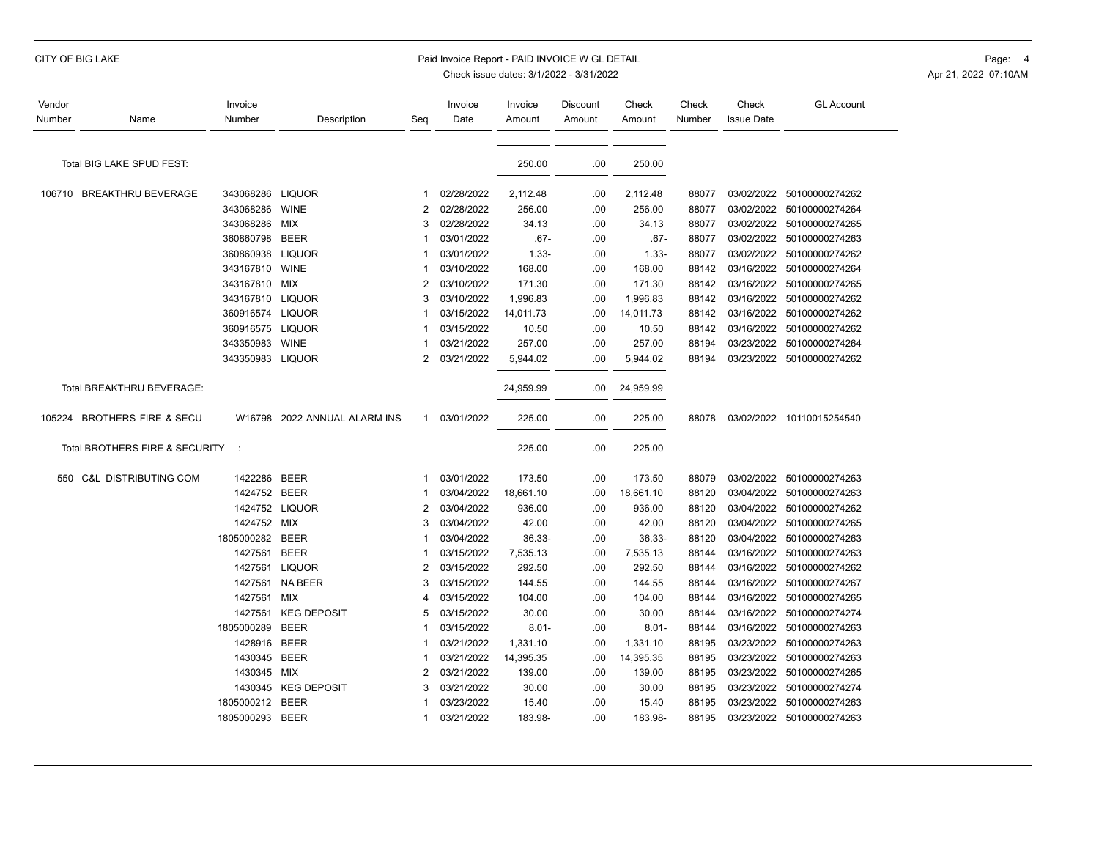## CITY OF BIG LAKE **Example 20 The State of the CITY OF BIG** LAKE Page: 4 Paid Invoice Report - PAID INVOICE W GL DETAIL

| Vendor<br>Number | Name                           | Invoice<br>Number | Description           | Seg            | Invoice<br>Date | Invoice<br>Amount | Discount<br>Amount | Check<br>Amount | Check<br>Number | Check<br><b>Issue Date</b> | <b>GL Account</b>         |
|------------------|--------------------------------|-------------------|-----------------------|----------------|-----------------|-------------------|--------------------|-----------------|-----------------|----------------------------|---------------------------|
|                  |                                |                   |                       |                |                 |                   |                    |                 |                 |                            |                           |
|                  | Total BIG LAKE SPUD FEST:      |                   |                       |                |                 | 250.00            | .00                | 250.00          |                 |                            |                           |
|                  | 106710 BREAKTHRU BEVERAGE      | 343068286         | <b>LIQUOR</b>         |                | 02/28/2022      | 2,112.48          | .00                | 2,112.48        | 88077           |                            | 03/02/2022 50100000274262 |
|                  |                                | 343068286         | WINE                  | 2              | 02/28/2022      | 256.00            | .00                | 256.00          | 88077           | 03/02/2022                 | 50100000274264            |
|                  |                                | 343068286         | MIX                   |                | 02/28/2022      | 34.13             | .00                | 34.13           | 88077           | 03/02/2022                 | 50100000274265            |
|                  |                                | 360860798         | <b>BEER</b>           |                | 03/01/2022      | $.67 -$           | .00                | $.67 -$         | 88077           | 03/02/2022                 | 50100000274263            |
|                  |                                | 360860938         | <b>LIQUOR</b>         |                | 03/01/2022      | $1.33 -$          | .00                | $1.33 -$        | 88077           |                            | 03/02/2022 50100000274262 |
|                  |                                | 343167810         | <b>WINE</b>           | 1              | 03/10/2022      | 168.00            | .00                | 168.00          | 88142           | 03/16/2022                 | 50100000274264            |
|                  |                                | 343167810         | MIX                   | 2              | 03/10/2022      | 171.30            | .00                | 171.30          | 88142           | 03/16/2022                 | 50100000274265            |
|                  |                                | 343167810         | <b>LIQUOR</b>         | 3              | 03/10/2022      | 1,996.83          | .00                | 1,996.83        | 88142           | 03/16/2022                 | 50100000274262            |
|                  |                                | 360916574         | <b>LIQUOR</b>         |                | 03/15/2022      | 14,011.73         | .00                | 14,011.73       | 88142           | 03/16/2022                 | 50100000274262            |
|                  |                                | 360916575         | <b>LIQUOR</b>         |                | 03/15/2022      | 10.50             | .00                | 10.50           | 88142           | 03/16/2022                 | 50100000274262            |
|                  |                                | 343350983         | <b>WINE</b>           | 1              | 03/21/2022      | 257.00            | .00                | 257.00          | 88194           | 03/23/2022                 | 50100000274264            |
|                  |                                | 343350983 LIQUOR  |                       | 2              | 03/21/2022      | 5,944.02          | .00                | 5,944.02        | 88194           |                            | 03/23/2022 50100000274262 |
|                  | Total BREAKTHRU BEVERAGE:      |                   |                       |                |                 | 24,959.99         | .00                | 24,959.99       |                 |                            |                           |
|                  | 105224 BROTHERS FIRE & SECU    | W16798            | 2022 ANNUAL ALARM INS | 1              | 03/01/2022      | 225.00            | .00                | 225.00          | 88078           |                            | 03/02/2022 10110015254540 |
|                  | Total BROTHERS FIRE & SECURITY | $\cdot$ :         |                       |                |                 | 225.00            | .00                | 225.00          |                 |                            |                           |
|                  | 550 C&L DISTRIBUTING COM       | 1422286           | <b>BEER</b>           | 1              | 03/01/2022      | 173.50            | .00                | 173.50          | 88079           | 03/02/2022                 | 50100000274263            |
|                  |                                | 1424752 BEER      |                       |                | 03/04/2022      | 18,661.10         | .00                | 18,661.10       | 88120           | 03/04/2022                 | 50100000274263            |
|                  |                                |                   | 1424752 LIQUOR        | 2              | 03/04/2022      | 936.00            | .00                | 936.00          | 88120           | 03/04/2022                 | 50100000274262            |
|                  |                                | 1424752 MIX       |                       | 3              | 03/04/2022      | 42.00             | .00                | 42.00           | 88120           | 03/04/2022                 | 50100000274265            |
|                  |                                | 1805000282        | <b>BEER</b>           |                | 03/04/2022      | 36.33-            | .00                | 36.33-          | 88120           | 03/04/2022                 | 50100000274263            |
|                  |                                | 1427561           | <b>BEER</b>           |                | 03/15/2022      | 7,535.13          | .00                | 7,535.13        | 88144           | 03/16/2022                 | 50100000274263            |
|                  |                                | 1427561           | <b>LIQUOR</b>         | 2              | 03/15/2022      | 292.50            | .00                | 292.50          | 88144           | 03/16/2022                 | 50100000274262            |
|                  |                                | 1427561           | <b>NA BEER</b>        | 3              | 03/15/2022      | 144.55            | .00                | 144.55          | 88144           | 03/16/2022                 | 50100000274267            |
|                  |                                | 1427561           | MIX                   | 4              | 03/15/2022      | 104.00            | .00                | 104.00          | 88144           | 03/16/2022                 | 50100000274265            |
|                  |                                | 1427561           | <b>KEG DEPOSIT</b>    | 5              | 03/15/2022      | 30.00             | .00                | 30.00           | 88144           | 03/16/2022                 | 50100000274274            |
|                  |                                | 1805000289        | <b>BEER</b>           |                | 03/15/2022      | $8.01 -$          | .00                | $8.01 -$        | 88144           | 03/16/2022                 | 50100000274263            |
|                  |                                | 1428916           | <b>BEER</b>           |                | 03/21/2022      | 1,331.10          | .00                | 1,331.10        | 88195           | 03/23/2022                 | 50100000274263            |
|                  |                                | 1430345           | <b>BEER</b>           |                | 03/21/2022      | 14,395.35         | .00                | 14,395.35       | 88195           | 03/23/2022                 | 50100000274263            |
|                  |                                | 1430345           | MIX                   | $\overline{2}$ | 03/21/2022      | 139.00            | .00                | 139.00          | 88195           | 03/23/2022                 | 50100000274265            |
|                  |                                | 1430345           | <b>KEG DEPOSIT</b>    | 3              | 03/21/2022      | 30.00             | .00                | 30.00           | 88195           | 03/23/2022                 | 50100000274274            |
|                  |                                | 1805000212        | <b>BEER</b>           |                | 03/23/2022      | 15.40             | .00                | 15.40           | 88195           | 03/23/2022                 | 50100000274263            |
|                  |                                | 1805000293        | <b>BEER</b>           | 1              | 03/21/2022      | 183.98-           | .00                | 183.98-         | 88195           |                            | 03/23/2022 50100000274263 |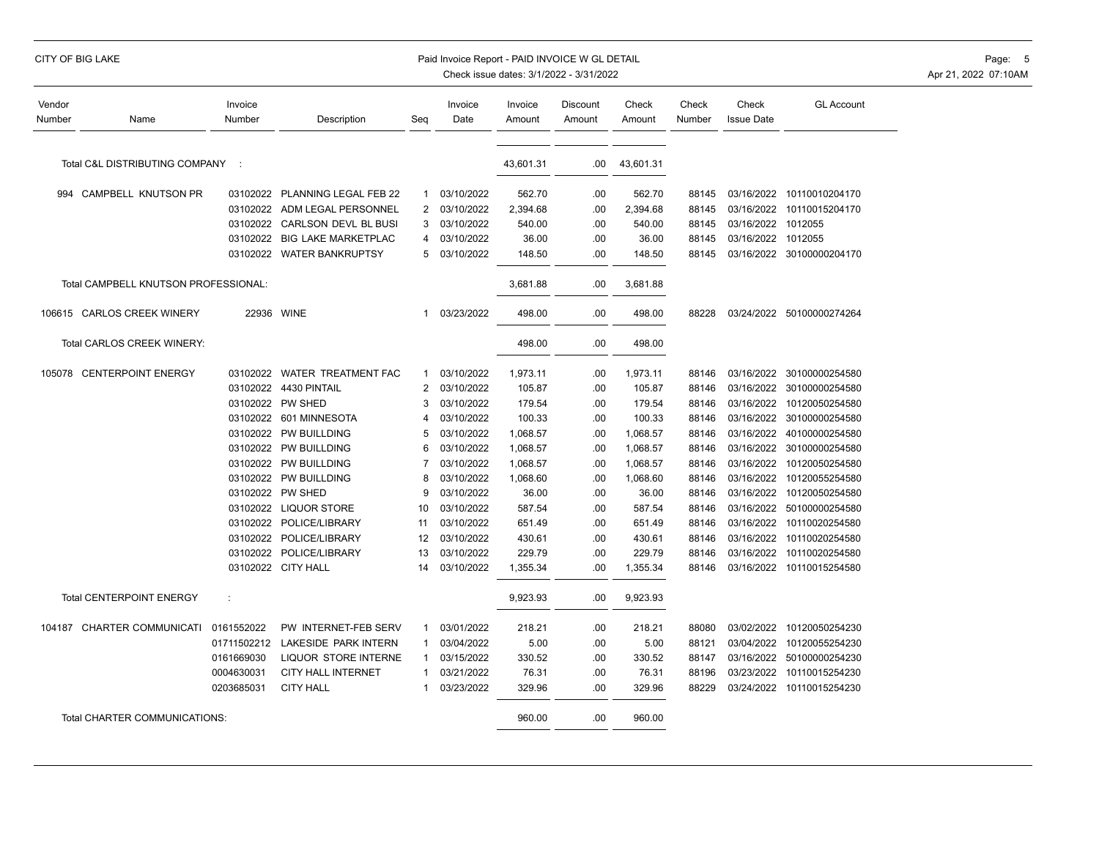## CITY OF BIG LAKE **Example 2008 CITY OF BIG LAKE** Page: 5 Paid Invoice Report - PAID INVOICE W GL DETAIL Page: 5 Page: 5

| Vendor<br>Number | Name                                 | Invoice<br>Number | Description                 | Seq            | Invoice<br>Date | Invoice<br>Amount | Discount<br>Amount | Check<br>Amount | Check<br>Number | Check<br><b>Issue Date</b> | <b>GL Account</b>         |
|------------------|--------------------------------------|-------------------|-----------------------------|----------------|-----------------|-------------------|--------------------|-----------------|-----------------|----------------------------|---------------------------|
|                  | Total C&L DISTRIBUTING COMPANY       | $\sim$ 1          |                             |                |                 | 43,601.31         | .00                | 43,601.31       |                 |                            |                           |
|                  |                                      |                   |                             |                |                 |                   |                    |                 |                 |                            |                           |
| 994              | CAMPBELL KNUTSON PR                  | 03102022          | PLANNING LEGAL FEB 22       | 1              | 03/10/2022      | 562.70            | .00                | 562.70          | 88145           |                            | 03/16/2022 10110010204170 |
|                  |                                      | 03102022          | ADM LEGAL PERSONNEL         | $\overline{2}$ | 03/10/2022      | 2,394.68          | .00                | 2,394.68        | 88145           | 03/16/2022                 | 10110015204170            |
|                  |                                      | 03102022          | <b>CARLSON DEVL BL BUSI</b> | 3              | 03/10/2022      | 540.00            | .00                | 540.00          | 88145           | 03/16/2022 1012055         |                           |
|                  |                                      | 03102022          | <b>BIG LAKE MARKETPLAC</b>  | 4              | 03/10/2022      | 36.00             | .00                | 36.00           | 88145           | 03/16/2022 1012055         |                           |
|                  |                                      | 03102022          | <b>WATER BANKRUPTSY</b>     | 5              | 03/10/2022      | 148.50            | .00                | 148.50          | 88145           |                            | 03/16/2022 30100000204170 |
|                  | Total CAMPBELL KNUTSON PROFESSIONAL: |                   |                             |                |                 | 3,681.88          | .00                | 3,681.88        |                 |                            |                           |
|                  | 106615 CARLOS CREEK WINERY           | 22936             | <b>WINE</b>                 | 1              | 03/23/2022      | 498.00            | .00                | 498.00          | 88228           |                            | 03/24/2022 50100000274264 |
|                  | Total CARLOS CREEK WINERY:           |                   |                             |                |                 | 498.00            | .00                | 498.00          |                 |                            |                           |
| 105078           | <b>CENTERPOINT ENERGY</b>            | 03102022          | <b>WATER TREATMENT FAC</b>  | 1              | 03/10/2022      | 1,973.11          | .00                | 1,973.11        | 88146           | 03/16/2022                 | 30100000254580            |
|                  |                                      | 03102022          | 4430 PINTAIL                | $\overline{2}$ | 03/10/2022      | 105.87            | .00                | 105.87          | 88146           | 03/16/2022                 | 30100000254580            |
|                  |                                      | 03102022          | PW SHED                     | 3              | 03/10/2022      | 179.54            | .00                | 179.54          | 88146           | 03/16/2022                 | 10120050254580            |
|                  |                                      | 03102022          | 601 MINNESOTA               | 4              | 03/10/2022      | 100.33            | .00                | 100.33          | 88146           | 03/16/2022                 | 30100000254580            |
|                  |                                      | 03102022          | PW BUILLDING                | 5              | 03/10/2022      | 1,068.57          | .00                | 1,068.57        | 88146           | 03/16/2022                 | 40100000254580            |
|                  |                                      | 03102022          | PW BUILLDING                | 6              | 03/10/2022      | 1,068.57          | .00                | 1,068.57        | 88146           | 03/16/2022                 | 30100000254580            |
|                  |                                      |                   | 03102022 PW BUILLDING       | 7              | 03/10/2022      | 1,068.57          | .00                | 1,068.57        | 88146           | 03/16/2022                 | 10120050254580            |
|                  |                                      | 03102022          | PW BUILLDING                | 8              | 03/10/2022      | 1,068.60          | .00                | 1,068.60        | 88146           | 03/16/2022                 | 10120055254580            |
|                  |                                      |                   | 03102022 PW SHED            | 9              | 03/10/2022      | 36.00             | .00                | 36.00           | 88146           | 03/16/2022                 | 10120050254580            |
|                  |                                      | 03102022          | <b>LIQUOR STORE</b>         | 10             | 03/10/2022      | 587.54            | .00                | 587.54          | 88146           | 03/16/2022                 | 50100000254580            |
|                  |                                      | 03102022          | POLICE/LIBRARY              | 11             | 03/10/2022      | 651.49            | .00                | 651.49          | 88146           | 03/16/2022                 | 10110020254580            |
|                  |                                      | 03102022          | POLICE/LIBRARY              | 12             | 03/10/2022      | 430.61            | .00                | 430.61          | 88146           | 03/16/2022                 | 10110020254580            |
|                  |                                      | 03102022          | POLICE/LIBRARY              | 13             | 03/10/2022      | 229.79            | .00                | 229.79          | 88146           | 03/16/2022                 | 10110020254580            |
|                  |                                      |                   | 03102022 CITY HALL          | 14             | 03/10/2022      | 1,355.34          | .00                | 1,355.34        | 88146           |                            | 03/16/2022 10110015254580 |
|                  | <b>Total CENTERPOINT ENERGY</b>      | ÷                 |                             |                |                 | 9,923.93          | .00                | 9,923.93        |                 |                            |                           |
|                  | 104187 CHARTER COMMUNICATI           | 0161552022        | PW INTERNET-FEB SERV        | 1              | 03/01/2022      | 218.21            | .00                | 218.21          | 88080           | 03/02/2022                 | 10120050254230            |
|                  |                                      | 01711502212       | LAKESIDE PARK INTERN        | 1              | 03/04/2022      | 5.00              | .00                | 5.00            | 88121           | 03/04/2022                 | 10120055254230            |
|                  |                                      | 0161669030        | <b>LIQUOR STORE INTERNE</b> | -1             | 03/15/2022      | 330.52            | .00                | 330.52          | 88147           | 03/16/2022                 | 50100000254230            |
|                  |                                      | 0004630031        | <b>CITY HALL INTERNET</b>   | -1             | 03/21/2022      | 76.31             | .00                | 76.31           | 88196           | 03/23/2022                 | 10110015254230            |
|                  |                                      | 0203685031        | <b>CITY HALL</b>            | 1              | 03/23/2022      | 329.96            | .00                | 329.96          | 88229           |                            | 03/24/2022 10110015254230 |
|                  | Total CHARTER COMMUNICATIONS:        |                   |                             |                |                 | 960.00            | .00                | 960.00          |                 |                            |                           |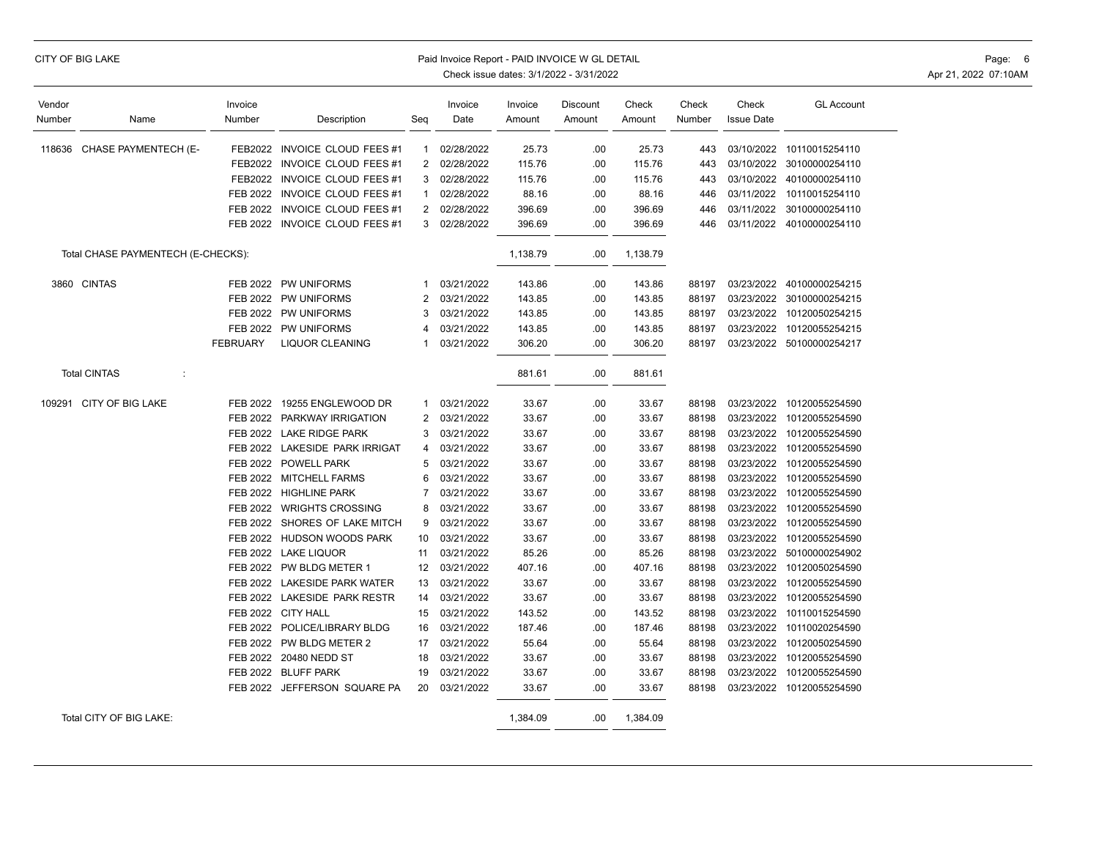| CITY OF BIG LAKE |  |
|------------------|--|
|------------------|--|

## Paid Invoice Report - PAID INVOICE W GL DETAIL **CONSERVANCE WITH A CONSERVANCE WITH A CONSERVANCE W** GL DETAIL

| Vendor |                                    | Invoice         |                              |                | Invoice    | Invoice  | Discount | Check    | Check  | Check             | <b>GL Account</b>         |
|--------|------------------------------------|-----------------|------------------------------|----------------|------------|----------|----------|----------|--------|-------------------|---------------------------|
| Number | Name                               | Number          | Description                  | Seg            | Date       | Amount   | Amount   | Amount   | Number | <b>Issue Date</b> |                           |
|        |                                    |                 |                              |                |            |          |          |          |        |                   |                           |
| 118636 | CHASE PAYMENTECH (E-               | FEB2022         | <b>INVOICE CLOUD FEES #1</b> | -1             | 02/28/2022 | 25.73    | .00      | 25.73    | 443    | 03/10/2022        | 10110015254110            |
|        |                                    | FEB2022         | INVOICE CLOUD FEES #1        | 2              | 02/28/2022 | 115.76   | .00      | 115.76   | 443    | 03/10/2022        | 30100000254110            |
|        |                                    | FEB2022         | INVOICE CLOUD FEES #1        | 3              | 02/28/2022 | 115.76   | .00      | 115.76   | 443    | 03/10/2022        | 40100000254110            |
|        |                                    | FEB 2022        | <b>INVOICE CLOUD FEES #1</b> | -1             | 02/28/2022 | 88.16    | .00      | 88.16    | 446    |                   | 03/11/2022 10110015254110 |
|        |                                    | FEB 2022        | <b>INVOICE CLOUD FEES #1</b> | 2              | 02/28/2022 | 396.69   | .00      | 396.69   | 446    | 03/11/2022        | 30100000254110            |
|        |                                    | <b>FEB 2022</b> | INVOICE CLOUD FEES #1        | 3              | 02/28/2022 | 396.69   | .00      | 396.69   | 446    |                   | 03/11/2022 40100000254110 |
|        | Total CHASE PAYMENTECH (E-CHECKS): |                 |                              |                |            | 1,138.79 | .00      | 1,138.79 |        |                   |                           |
|        | 3860 CINTAS                        | FEB 2022        | PW UNIFORMS                  |                | 03/21/2022 | 143.86   | .00      | 143.86   | 88197  |                   | 03/23/2022 40100000254215 |
|        |                                    | FEB 2022        | PW UNIFORMS                  | 2              | 03/21/2022 | 143.85   | .00      | 143.85   | 88197  |                   | 03/23/2022 30100000254215 |
|        |                                    | <b>FEB 2022</b> | PW UNIFORMS                  | 3              | 03/21/2022 | 143.85   | .00      | 143.85   | 88197  |                   | 03/23/2022 10120050254215 |
|        |                                    | <b>FEB 2022</b> | PW UNIFORMS                  | 4              | 03/21/2022 | 143.85   | .00      | 143.85   | 88197  |                   | 03/23/2022 10120055254215 |
|        |                                    | <b>FEBRUARY</b> | LIQUOR CLEANING              |                | 03/21/2022 | 306.20   | .00      | 306.20   | 88197  |                   | 03/23/2022 50100000254217 |
|        | <b>Total CINTAS</b><br>÷           |                 |                              |                |            | 881.61   | .00      | 881.61   |        |                   |                           |
|        | 109291 CITY OF BIG LAKE            | FEB 2022        | 19255 ENGLEWOOD DR           | 1              | 03/21/2022 | 33.67    | .00      | 33.67    | 88198  |                   | 03/23/2022 10120055254590 |
|        |                                    | FEB 2022        | PARKWAY IRRIGATION           | $\overline{2}$ | 03/21/2022 | 33.67    | .00      | 33.67    | 88198  |                   | 03/23/2022 10120055254590 |
|        |                                    | FEB 2022        | <b>LAKE RIDGE PARK</b>       | 3              | 03/21/2022 | 33.67    | .00      | 33.67    | 88198  |                   | 03/23/2022 10120055254590 |
|        |                                    | FEB 2022        | LAKESIDE PARK IRRIGAT        | 4              | 03/21/2022 | 33.67    | .00      | 33.67    | 88198  |                   | 03/23/2022 10120055254590 |
|        |                                    | FEB 2022        | <b>POWELL PARK</b>           | 5              | 03/21/2022 | 33.67    | .00      | 33.67    | 88198  |                   | 03/23/2022 10120055254590 |
|        |                                    | <b>FEB 2022</b> | <b>MITCHELL FARMS</b>        | 6              | 03/21/2022 | 33.67    | .00      | 33.67    | 88198  |                   | 03/23/2022 10120055254590 |
|        |                                    | FEB 2022        | <b>HIGHLINE PARK</b>         | 7              | 03/21/2022 | 33.67    | .00      | 33.67    | 88198  |                   | 03/23/2022 10120055254590 |
|        |                                    | FEB 2022        | <b>WRIGHTS CROSSING</b>      | 8              | 03/21/2022 | 33.67    | .00      | 33.67    | 88198  |                   | 03/23/2022 10120055254590 |
|        |                                    | FEB 2022        | SHORES OF LAKE MITCH         | 9              | 03/21/2022 | 33.67    | .00      | 33.67    | 88198  |                   | 03/23/2022 10120055254590 |
|        |                                    | FEB 2022        | HUDSON WOODS PARK            | 10             | 03/21/2022 | 33.67    | .00      | 33.67    | 88198  | 03/23/2022        | 10120055254590            |
|        |                                    | <b>FEB 2022</b> | <b>LAKE LIQUOR</b>           | 11             | 03/21/2022 | 85.26    | .00      | 85.26    | 88198  | 03/23/2022        | 50100000254902            |
|        |                                    | FEB 2022        | PW BLDG METER 1              | 12             | 03/21/2022 | 407.16   | .00      | 407.16   | 88198  | 03/23/2022        | 10120050254590            |
|        |                                    | FEB 2022        | LAKESIDE PARK WATER          | 13             | 03/21/2022 | 33.67    | .00      | 33.67    | 88198  |                   | 03/23/2022 10120055254590 |
|        |                                    | FEB 2022        | LAKESIDE PARK RESTR          | 14             | 03/21/2022 | 33.67    | .00      | 33.67    | 88198  |                   | 03/23/2022 10120055254590 |
|        |                                    | FEB 2022        | <b>CITY HALL</b>             | 15             | 03/21/2022 | 143.52   | .00      | 143.52   | 88198  | 03/23/2022        | 10110015254590            |
|        |                                    | FEB 2022        | POLICE/LIBRARY BLDG          | 16             | 03/21/2022 | 187.46   | .00      | 187.46   | 88198  | 03/23/2022        | 10110020254590            |
|        |                                    | <b>FEB 2022</b> | PW BLDG METER 2              | 17             | 03/21/2022 | 55.64    | .00      | 55.64    | 88198  | 03/23/2022        | 10120050254590            |
|        |                                    | FEB 2022        | 20480 NEDD ST                | 18             | 03/21/2022 | 33.67    | .00      | 33.67    | 88198  |                   | 03/23/2022 10120055254590 |
|        |                                    | FEB 2022        | <b>BLUFF PARK</b>            | 19             | 03/21/2022 | 33.67    | .00      | 33.67    | 88198  | 03/23/2022        | 10120055254590            |
|        |                                    | FEB 2022        | JEFFERSON SQUARE PA          | 20             | 03/21/2022 | 33.67    | .00      | 33.67    | 88198  |                   | 03/23/2022 10120055254590 |
|        | Total CITY OF BIG LAKE:            |                 |                              |                |            | 1,384.09 | .00      | 1,384.09 |        |                   |                           |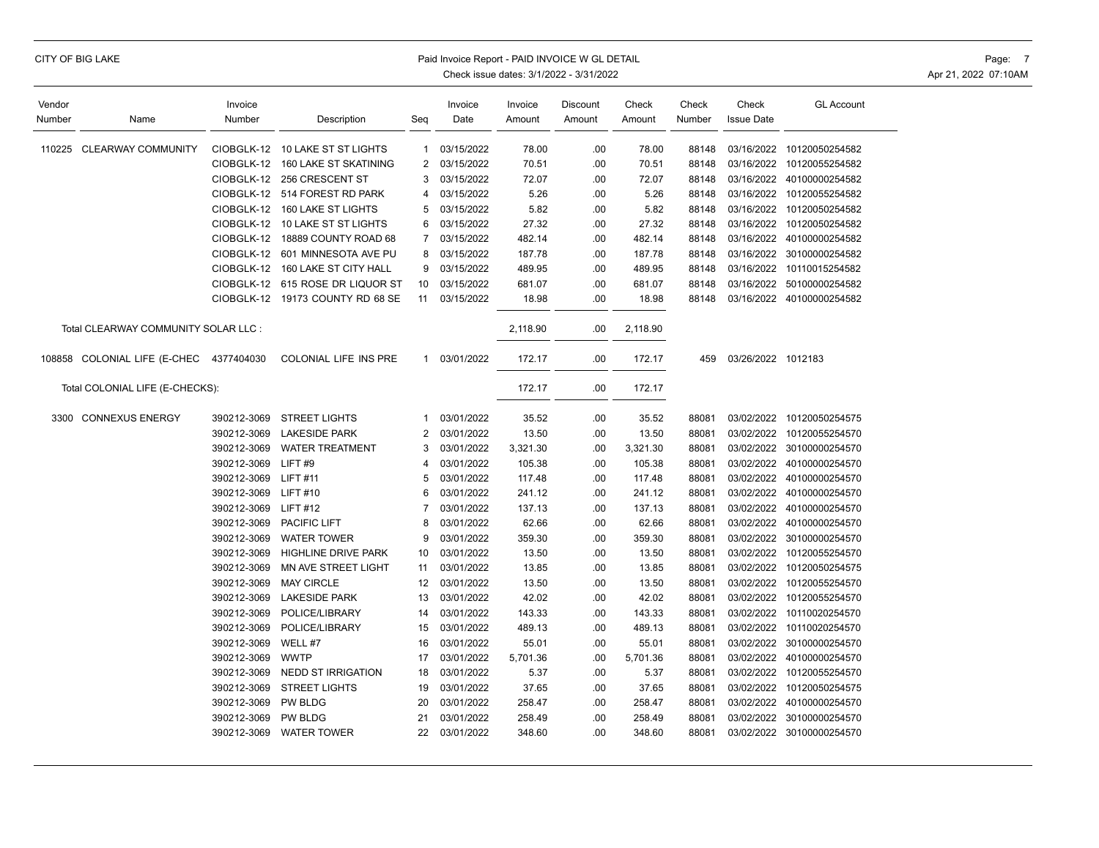## CITY OF BIG LAKE **Example 2008 CITY OF BIG LAKE** Page: 7 Paid Invoice Report - PAID INVOICE W GL DETAIL Page: 7 Page: 7

| Vendor |                                      | Invoice     |                                  |                | Invoice    | Invoice  | Discount | Check    | Check  | Check              | <b>GL Account</b>         |
|--------|--------------------------------------|-------------|----------------------------------|----------------|------------|----------|----------|----------|--------|--------------------|---------------------------|
| Number | Name                                 | Number      | Description                      | Seg            | Date       | Amount   | Amount   | Amount   | Number | <b>Issue Date</b>  |                           |
|        |                                      |             |                                  |                |            |          |          |          |        |                    |                           |
| 110225 | <b>CLEARWAY COMMUNITY</b>            | CIOBGLK-12  | 10 LAKE ST ST LIGHTS             | 1              | 03/15/2022 | 78.00    | .00      | 78.00    | 88148  | 03/16/2022         | 10120050254582            |
|        |                                      | CIOBGLK-12  | 160 LAKE ST SKATINING            | $\overline{2}$ | 03/15/2022 | 70.51    | .00      | 70.51    | 88148  | 03/16/2022         | 10120055254582            |
|        |                                      | CIOBGLK-12  | 256 CRESCENT ST                  | 3              | 03/15/2022 | 72.07    | .00      | 72.07    | 88148  | 03/16/2022         | 40100000254582            |
|        |                                      | CIOBGLK-12  | 514 FOREST RD PARK               | 4              | 03/15/2022 | 5.26     | .00      | 5.26     | 88148  | 03/16/2022         | 10120055254582            |
|        |                                      |             | CIOBGLK-12 160 LAKE ST LIGHTS    | 5              | 03/15/2022 | 5.82     | .00      | 5.82     | 88148  | 03/16/2022         | 10120050254582            |
|        |                                      |             | CIOBGLK-12 10 LAKE ST ST LIGHTS  | 6              | 03/15/2022 | 27.32    | .00      | 27.32    | 88148  | 03/16/2022         | 10120050254582            |
|        |                                      | CIOBGLK-12  | 18889 COUNTY ROAD 68             | 7              | 03/15/2022 | 482.14   | .00      | 482.14   | 88148  |                    | 03/16/2022 40100000254582 |
|        |                                      | CIOBGLK-12  | 601 MINNESOTA AVE PU             | 8              | 03/15/2022 | 187.78   | .00      | 187.78   | 88148  | 03/16/2022         | 30100000254582            |
|        |                                      | CIOBGLK-12  | 160 LAKE ST CITY HALL            | 9              | 03/15/2022 | 489.95   | .00      | 489.95   | 88148  | 03/16/2022         | 10110015254582            |
|        |                                      |             | CIOBGLK-12 615 ROSE DR LIQUOR ST | 10             | 03/15/2022 | 681.07   | .00      | 681.07   | 88148  | 03/16/2022         | 50100000254582            |
|        |                                      | CIOBGLK-12  | 19173 COUNTY RD 68 SE            | 11             | 03/15/2022 | 18.98    | .00      | 18.98    | 88148  |                    | 03/16/2022 40100000254582 |
|        | Total CLEARWAY COMMUNITY SOLAR LLC : |             |                                  |                |            | 2,118.90 | .00      | 2,118.90 |        |                    |                           |
|        | 108858 COLONIAL LIFE (E-CHEC         | 4377404030  | COLONIAL LIFE INS PRE            | $\mathbf{1}$   | 03/01/2022 | 172.17   | .00      | 172.17   | 459    | 03/26/2022 1012183 |                           |
|        | Total COLONIAL LIFE (E-CHECKS):      |             |                                  |                |            | 172.17   | .00      | 172.17   |        |                    |                           |
| 3300   | <b>CONNEXUS ENERGY</b>               | 390212-3069 | <b>STREET LIGHTS</b>             | 1              | 03/01/2022 | 35.52    | .00      | 35.52    | 88081  |                    | 03/02/2022 10120050254575 |
|        |                                      | 390212-3069 | <b>LAKESIDE PARK</b>             | 2              | 03/01/2022 | 13.50    | .00      | 13.50    | 88081  | 03/02/2022         | 10120055254570            |
|        |                                      | 390212-3069 | <b>WATER TREATMENT</b>           | 3              | 03/01/2022 | 3,321.30 | .00      | 3,321.30 | 88081  |                    | 03/02/2022 30100000254570 |
|        |                                      | 390212-3069 | LIFT#9                           | 4              | 03/01/2022 | 105.38   | .00      | 105.38   | 88081  | 03/02/2022         | 40100000254570            |
|        |                                      | 390212-3069 | <b>LIFT#11</b>                   | 5              | 03/01/2022 | 117.48   | .00      | 117.48   | 88081  | 03/02/2022         | 40100000254570            |
|        |                                      | 390212-3069 | <b>LIFT#10</b>                   | 6              | 03/01/2022 | 241.12   | .00      | 241.12   | 88081  | 03/02/2022         | 40100000254570            |
|        |                                      | 390212-3069 | <b>LIFT#12</b>                   | 7              | 03/01/2022 | 137.13   | .00      | 137.13   | 88081  | 03/02/2022         | 40100000254570            |
|        |                                      | 390212-3069 | PACIFIC LIFT                     | 8              | 03/01/2022 | 62.66    | .00      | 62.66    | 88081  | 03/02/2022         | 40100000254570            |
|        |                                      | 390212-3069 | <b>WATER TOWER</b>               | 9              | 03/01/2022 | 359.30   | .00      | 359.30   | 88081  | 03/02/2022         | 30100000254570            |
|        |                                      | 390212-3069 | HIGHLINE DRIVE PARK              | 10             | 03/01/2022 | 13.50    | .00      | 13.50    | 88081  |                    | 03/02/2022 10120055254570 |
|        |                                      | 390212-3069 | MN AVE STREET LIGHT              | 11             | 03/01/2022 | 13.85    | .00      | 13.85    | 88081  | 03/02/2022         | 10120050254575            |
|        |                                      | 390212-3069 | <b>MAY CIRCLE</b>                | 12             | 03/01/2022 | 13.50    | .00      | 13.50    | 88081  | 03/02/2022         | 10120055254570            |
|        |                                      | 390212-3069 | <b>LAKESIDE PARK</b>             | 13             | 03/01/2022 | 42.02    | .00      | 42.02    | 88081  | 03/02/2022         | 10120055254570            |
|        |                                      | 390212-3069 | POLICE/LIBRARY                   | 14             | 03/01/2022 | 143.33   | .00      | 143.33   | 88081  | 03/02/2022         | 10110020254570            |
|        |                                      | 390212-3069 | POLICE/LIBRARY                   | 15             | 03/01/2022 | 489.13   | .00      | 489.13   | 88081  | 03/02/2022         | 10110020254570            |
|        |                                      | 390212-3069 | WELL #7                          | 16             | 03/01/2022 | 55.01    | .00      | 55.01    | 88081  | 03/02/2022         | 30100000254570            |
|        |                                      | 390212-3069 | <b>WWTP</b>                      | 17             | 03/01/2022 | 5,701.36 | .00      | 5,701.36 | 88081  | 03/02/2022         | 40100000254570            |
|        |                                      | 390212-3069 | <b>NEDD ST IRRIGATION</b>        | 18             | 03/01/2022 | 5.37     | .00      | 5.37     | 88081  | 03/02/2022         | 10120055254570            |
|        |                                      | 390212-3069 | <b>STREET LIGHTS</b>             | 19             | 03/01/2022 | 37.65    | .00      | 37.65    | 88081  | 03/02/2022         | 10120050254575            |
|        |                                      | 390212-3069 | <b>PW BLDG</b>                   | 20             | 03/01/2022 | 258.47   | .00      | 258.47   | 88081  | 03/02/2022         | 40100000254570            |
|        |                                      | 390212-3069 | <b>PW BLDG</b>                   | 21             | 03/01/2022 | 258.49   | .00      | 258.49   | 88081  |                    | 03/02/2022 30100000254570 |
|        |                                      | 390212-3069 | <b>WATER TOWER</b>               | 22             | 03/01/2022 | 348.60   | .00      | 348.60   | 88081  |                    | 03/02/2022 30100000254570 |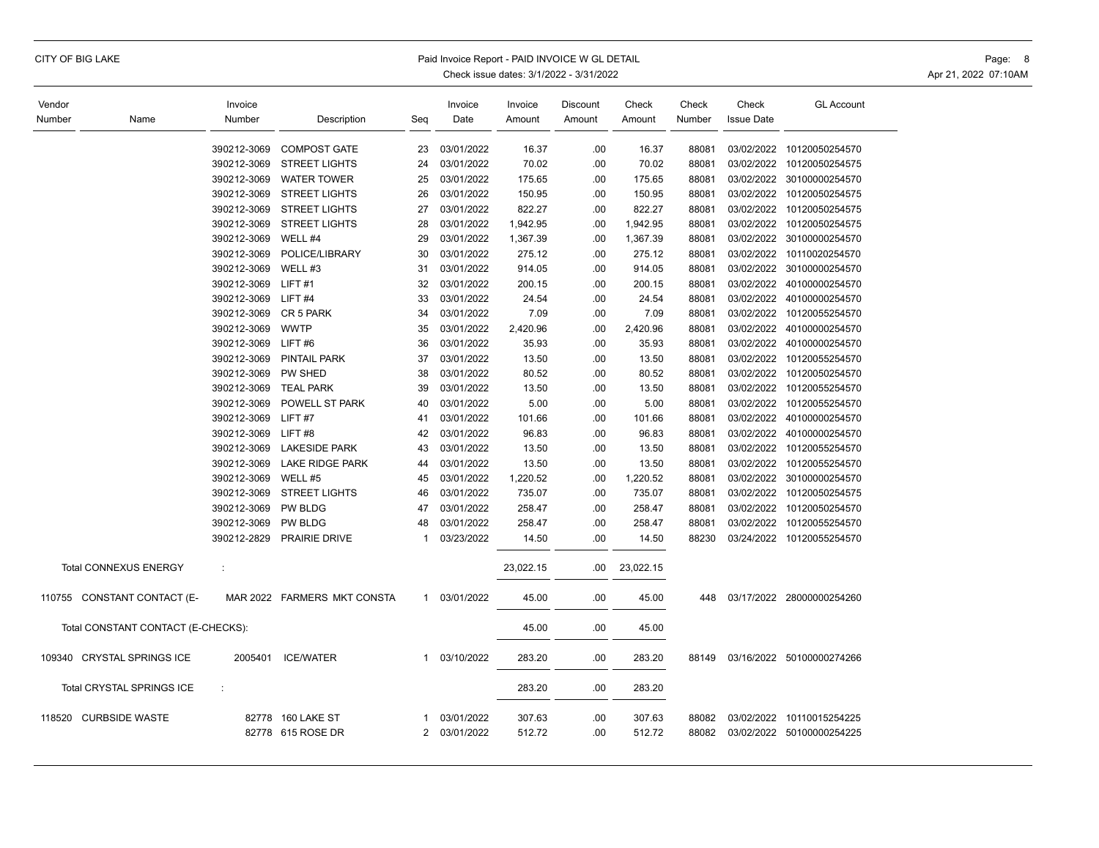# CITY OF BIG LAKE **Example 20 State 10 and 20 State 10** Paid Invoice Report - PAID INVOICE W GL DETAIL Page: 8 Page: 8

| Vendor |                                    | Invoice     |                             |              | Invoice    | Invoice   | Discount | Check     | Check  | Check             | <b>GL Account</b>         |
|--------|------------------------------------|-------------|-----------------------------|--------------|------------|-----------|----------|-----------|--------|-------------------|---------------------------|
| Number | Name                               | Number      | Description                 | Seg          | Date       | Amount    | Amount   | Amount    | Number | <b>Issue Date</b> |                           |
|        |                                    | 390212-3069 | <b>COMPOST GATE</b>         | 23           | 03/01/2022 | 16.37     | .00      | 16.37     | 88081  |                   | 03/02/2022 10120050254570 |
|        |                                    | 390212-3069 | <b>STREET LIGHTS</b>        | 24           | 03/01/2022 | 70.02     | .00      | 70.02     | 88081  |                   | 03/02/2022 10120050254575 |
|        |                                    | 390212-3069 | <b>WATER TOWER</b>          | 25           | 03/01/2022 | 175.65    | .00      | 175.65    | 88081  | 03/02/2022        | 30100000254570            |
|        |                                    | 390212-3069 | <b>STREET LIGHTS</b>        | 26           | 03/01/2022 | 150.95    | .00      | 150.95    | 88081  |                   | 03/02/2022 10120050254575 |
|        |                                    | 390212-3069 | <b>STREET LIGHTS</b>        | 27           | 03/01/2022 | 822.27    | .00      | 822.27    | 88081  | 03/02/2022        | 10120050254575            |
|        |                                    | 390212-3069 | <b>STREET LIGHTS</b>        | 28           | 03/01/2022 | 1,942.95  | .00      | 1,942.95  | 88081  |                   | 03/02/2022 10120050254575 |
|        |                                    | 390212-3069 | WELL #4                     | 29           | 03/01/2022 | 1,367.39  | .00      | 1,367.39  | 88081  |                   | 03/02/2022 30100000254570 |
|        |                                    | 390212-3069 | POLICE/LIBRARY              | 30           | 03/01/2022 | 275.12    | .00      | 275.12    | 88081  | 03/02/2022        | 10110020254570            |
|        |                                    | 390212-3069 | WELL #3                     | 31           | 03/01/2022 | 914.05    | .00      | 914.05    | 88081  | 03/02/2022        | 30100000254570            |
|        |                                    | 390212-3069 | LIFT#1                      | 32           | 03/01/2022 | 200.15    | .00      | 200.15    | 88081  | 03/02/2022        | 40100000254570            |
|        |                                    | 390212-3069 | LIFT#4                      | 33           | 03/01/2022 | 24.54     | .00      | 24.54     | 88081  | 03/02/2022        | 40100000254570            |
|        |                                    | 390212-3069 | CR 5 PARK                   | 34           | 03/01/2022 | 7.09      | .00      | 7.09      | 88081  | 03/02/2022        | 10120055254570            |
|        |                                    | 390212-3069 | <b>WWTP</b>                 | 35           | 03/01/2022 | 2,420.96  | .00      | 2,420.96  | 88081  | 03/02/2022        | 40100000254570            |
|        |                                    | 390212-3069 | LIFT#6                      | 36           | 03/01/2022 | 35.93     | .00      | 35.93     | 88081  | 03/02/2022        | 40100000254570            |
|        |                                    | 390212-3069 | <b>PINTAIL PARK</b>         | 37           | 03/01/2022 | 13.50     | .00      | 13.50     | 88081  | 03/02/2022        | 10120055254570            |
|        |                                    | 390212-3069 | PW SHED                     | 38           | 03/01/2022 | 80.52     | .00      | 80.52     | 88081  |                   | 03/02/2022 10120050254570 |
|        |                                    | 390212-3069 | <b>TEAL PARK</b>            | 39           | 03/01/2022 | 13.50     | .00      | 13.50     | 88081  |                   | 03/02/2022 10120055254570 |
|        |                                    | 390212-3069 | POWELL ST PARK              | 40           | 03/01/2022 | 5.00      | .00      | 5.00      | 88081  |                   | 03/02/2022 10120055254570 |
|        |                                    | 390212-3069 | LIFT#7                      | 41           | 03/01/2022 | 101.66    | .00      | 101.66    | 88081  | 03/02/2022        | 40100000254570            |
|        |                                    | 390212-3069 | LIFT#8                      | 42           | 03/01/2022 | 96.83     | .00      | 96.83     | 88081  | 03/02/2022        | 40100000254570            |
|        |                                    | 390212-3069 | <b>LAKESIDE PARK</b>        | 43           | 03/01/2022 | 13.50     | .00      | 13.50     | 88081  |                   | 03/02/2022 10120055254570 |
|        |                                    | 390212-3069 | LAKE RIDGE PARK             | 44           | 03/01/2022 | 13.50     | .00      | 13.50     | 88081  | 03/02/2022        | 10120055254570            |
|        |                                    | 390212-3069 | WELL #5                     | 45           | 03/01/2022 | 1,220.52  | .00      | 1,220.52  | 88081  | 03/02/2022        | 30100000254570            |
|        |                                    | 390212-3069 | <b>STREET LIGHTS</b>        | 46           | 03/01/2022 | 735.07    | .00      | 735.07    | 88081  |                   | 03/02/2022 10120050254575 |
|        |                                    | 390212-3069 | <b>PW BLDG</b>              | 47           | 03/01/2022 | 258.47    | .00      | 258.47    | 88081  |                   | 03/02/2022 10120050254570 |
|        |                                    | 390212-3069 | <b>PW BLDG</b>              | 48           | 03/01/2022 | 258.47    | .00      | 258.47    | 88081  | 03/02/2022        | 10120055254570            |
|        |                                    | 390212-2829 | <b>PRAIRIE DRIVE</b>        | 1            | 03/23/2022 | 14.50     | .00      | 14.50     | 88230  |                   | 03/24/2022 10120055254570 |
|        | <b>Total CONNEXUS ENERGY</b>       | ÷           |                             |              |            | 23,022.15 | .00.     | 23,022.15 |        |                   |                           |
|        | 110755 CONSTANT CONTACT (E-        |             | MAR 2022 FARMERS MKT CONSTA | $\mathbf{1}$ | 03/01/2022 | 45.00     | .00      | 45.00     | 448    |                   | 03/17/2022 28000000254260 |
|        | Total CONSTANT CONTACT (E-CHECKS): |             |                             |              |            | 45.00     | .00      | 45.00     |        |                   |                           |
|        | 109340 CRYSTAL SPRINGS ICE         | 2005401     | <b>ICE/WATER</b>            | 1            | 03/10/2022 | 283.20    | .00.     | 283.20    | 88149  |                   | 03/16/2022 50100000274266 |
|        | Total CRYSTAL SPRINGS ICE          | ÷           |                             |              |            | 283.20    | .00      | 283.20    |        |                   |                           |
| 118520 | <b>CURBSIDE WASTE</b>              |             | 82778 160 LAKE ST           | -1           | 03/01/2022 | 307.63    | .00      | 307.63    | 88082  |                   | 03/02/2022 10110015254225 |
|        |                                    |             | 82778 615 ROSE DR           | 2            | 03/01/2022 | 512.72    | .00      | 512.72    | 88082  |                   | 03/02/2022 50100000254225 |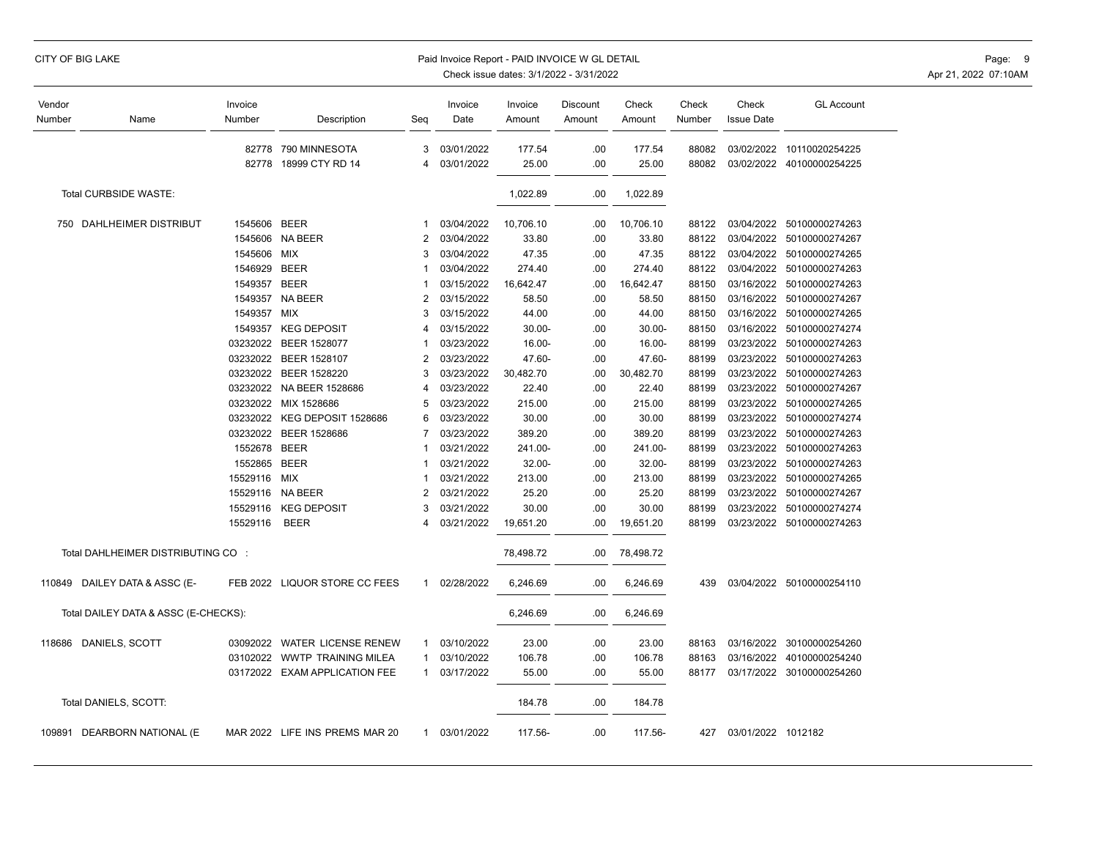## CITY OF BIG LAKE **Example 20 The State of the CITY OF BIG** LAKE Page: 9 Paid Invoice Report - PAID INVOICE W GL DETAIL

| Vendor<br>Number | Name                                 | Invoice<br>Number | Description                    | Seq            | Invoice<br>Date | Invoice<br>Amount | Discount<br>Amount | Check<br>Amount | Check<br>Number | Check<br><b>Issue Date</b> | <b>GL Account</b>         |
|------------------|--------------------------------------|-------------------|--------------------------------|----------------|-----------------|-------------------|--------------------|-----------------|-----------------|----------------------------|---------------------------|
|                  |                                      |                   | 82778 790 MINNESOTA            | 3              | 03/01/2022      | 177.54            | .00                | 177.54          | 88082           |                            | 03/02/2022 10110020254225 |
|                  |                                      | 82778             | 18999 CTY RD 14                | 4              | 03/01/2022      | 25.00             | .00                | 25.00           | 88082           |                            | 03/02/2022 40100000254225 |
|                  | Total CURBSIDE WASTE:                |                   |                                |                |                 | 1,022.89          | .00                | 1,022.89        |                 |                            |                           |
|                  | 750 DAHLHEIMER DISTRIBUT             | 1545606 BEER      |                                | -1             | 03/04/2022      | 10,706.10         | .00                | 10,706.10       | 88122           |                            | 03/04/2022 50100000274263 |
|                  |                                      |                   | 1545606 NA BEER                | $\overline{2}$ | 03/04/2022      | 33.80             | .00                | 33.80           | 88122           | 03/04/2022                 | 50100000274267            |
|                  |                                      | 1545606 MIX       |                                | 3              | 03/04/2022      | 47.35             | .00                | 47.35           | 88122           |                            | 03/04/2022 50100000274265 |
|                  |                                      | 1546929           | <b>BEER</b>                    |                | 03/04/2022      | 274.40            | .00                | 274.40          | 88122           | 03/04/2022                 | 50100000274263            |
|                  |                                      | 1549357 BEER      |                                |                | 03/15/2022      | 16,642.47         | .00                | 16,642.47       | 88150           | 03/16/2022                 | 50100000274263            |
|                  |                                      | 1549357           | NA BEER                        | $\overline{2}$ | 03/15/2022      | 58.50             | .00                | 58.50           | 88150           | 03/16/2022                 | 50100000274267            |
|                  |                                      | 1549357           | MIX                            | 3              | 03/15/2022      | 44.00             | .00                | 44.00           | 88150           | 03/16/2022                 | 50100000274265            |
|                  |                                      | 1549357           | <b>KEG DEPOSIT</b>             |                | 03/15/2022      | $30.00 -$         | .00                | $30.00 -$       | 88150           | 03/16/2022                 | 50100000274274            |
|                  |                                      | 03232022          | <b>BEER 1528077</b>            |                | 03/23/2022      | 16.00-            | .00                | 16.00-          | 88199           | 03/23/2022                 | 50100000274263            |
|                  |                                      |                   | 03232022 BEER 1528107          | 2              | 03/23/2022      | 47.60-            | .00                | 47.60-          | 88199           | 03/23/2022                 | 50100000274263            |
|                  |                                      | 03232022          | BEER 1528220                   | 3              | 03/23/2022      | 30,482.70         | .00                | 30,482.70       | 88199           | 03/23/2022                 | 50100000274263            |
|                  |                                      | 03232022          | NA BEER 1528686                |                | 03/23/2022      | 22.40             | .00                | 22.40           | 88199           | 03/23/2022                 | 50100000274267            |
|                  |                                      | 03232022          | MIX 1528686                    |                | 03/23/2022      | 215.00            | .00                | 215.00          | 88199           | 03/23/2022                 | 50100000274265            |
|                  |                                      | 03232022          | KEG DEPOSIT 1528686            | 6              | 03/23/2022      | 30.00             | .00                | 30.00           | 88199           | 03/23/2022                 | 50100000274274            |
|                  |                                      |                   | 03232022 BEER 1528686          |                | 03/23/2022      | 389.20            | .00                | 389.20          | 88199           | 03/23/2022                 | 50100000274263            |
|                  |                                      | 1552678           | BEER                           |                | 03/21/2022      | 241.00-           | .00                | 241.00-         | 88199           | 03/23/2022                 | 50100000274263            |
|                  |                                      | 1552865           | <b>BEER</b>                    |                | 03/21/2022      | 32.00-            | .00                | 32.00-          | 88199           |                            | 03/23/2022 50100000274263 |
|                  |                                      | 15529116          | <b>MIX</b>                     | -1             | 03/21/2022      | 213.00            | .00                | 213.00          | 88199           | 03/23/2022                 | 50100000274265            |
|                  |                                      | 15529116          | NA BEER                        | 2              | 03/21/2022      | 25.20             | .00                | 25.20           | 88199           | 03/23/2022                 | 50100000274267            |
|                  |                                      | 15529116          | <b>KEG DEPOSIT</b>             | 3              | 03/21/2022      | 30.00             | .00                | 30.00           | 88199           | 03/23/2022                 | 50100000274274            |
|                  |                                      | 15529116          | <b>BEER</b>                    | 4              | 03/21/2022      | 19,651.20         | .00                | 19,651.20       | 88199           |                            | 03/23/2022 50100000274263 |
|                  | Total DAHLHEIMER DISTRIBUTING CO :   |                   |                                |                |                 | 78,498.72         | .00                | 78,498.72       |                 |                            |                           |
|                  | 110849 DAILEY DATA & ASSC (E-        |                   | FEB 2022 LIQUOR STORE CC FEES  | $\mathbf 1$    | 02/28/2022      | 6,246.69          | .00                | 6,246.69        | 439             |                            | 03/04/2022 50100000254110 |
|                  | Total DAILEY DATA & ASSC (E-CHECKS): |                   |                                |                |                 | 6,246.69          | .00                | 6,246.69        |                 |                            |                           |
|                  | 118686 DANIELS, SCOTT                |                   | 03092022 WATER LICENSE RENEW   | 1              | 03/10/2022      | 23.00             | .00                | 23.00           | 88163           |                            | 03/16/2022 30100000254260 |
|                  |                                      | 03102022          | <b>WWTP TRAINING MILEA</b>     |                | 03/10/2022      | 106.78            | .00                | 106.78          | 88163           | 03/16/2022                 | 40100000254240            |
|                  |                                      |                   | 03172022 EXAM APPLICATION FEE  | $\mathbf{1}$   | 03/17/2022      | 55.00             | .00                | 55.00           | 88177           |                            | 03/17/2022 30100000254260 |
|                  | Total DANIELS, SCOTT:                |                   |                                |                |                 | 184.78            | .00                | 184.78          |                 |                            |                           |
|                  | 109891 DEARBORN NATIONAL (E          |                   | MAR 2022 LIFE INS PREMS MAR 20 | $\mathbf{1}$   | 03/01/2022      | 117.56-           | .00                | 117.56-         | 427             | 03/01/2022 1012182         |                           |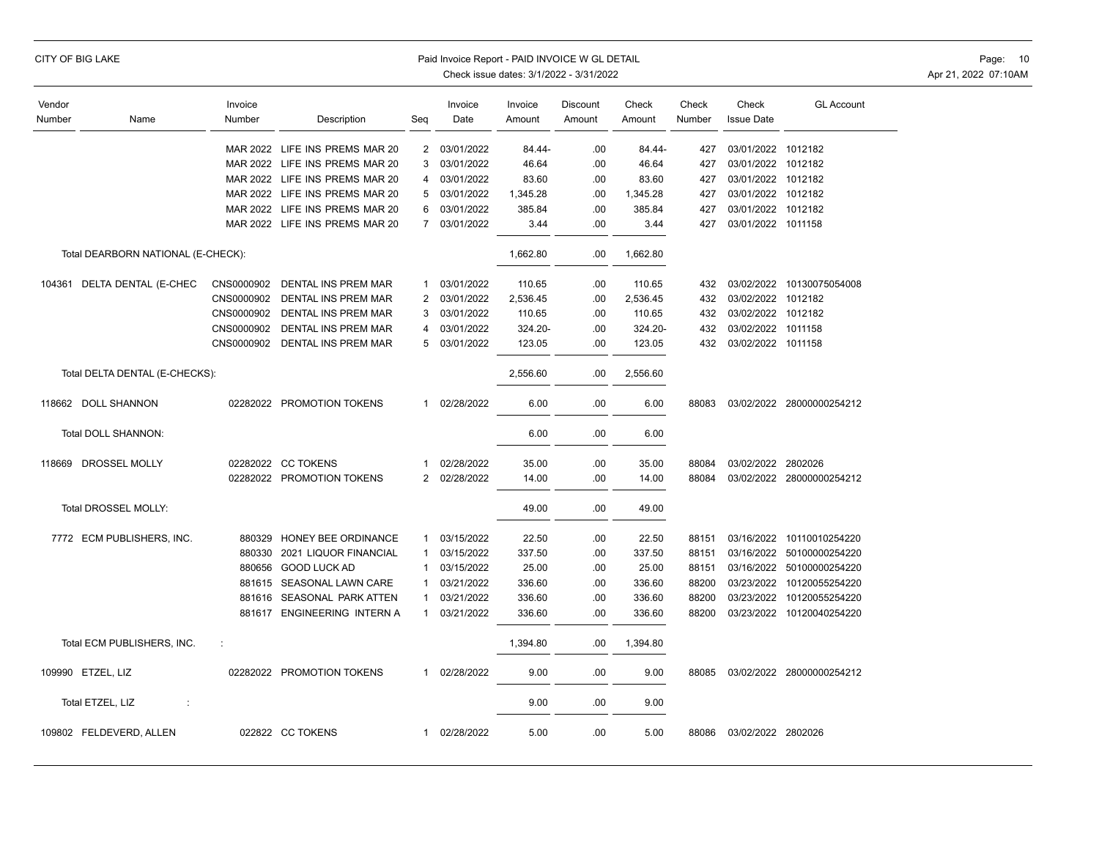| CITY OF BIG LAKE<br>Paid Invoice Report - PAID INVOICE W GL DETAIL<br>Check issue dates: 3/1/2022 - 3/31/2022 |                                    |                   |                                |                 |                 |                   |                    |                 |                 | Page: 10<br>Apr 21, 2022 07:10AM |                           |  |
|---------------------------------------------------------------------------------------------------------------|------------------------------------|-------------------|--------------------------------|-----------------|-----------------|-------------------|--------------------|-----------------|-----------------|----------------------------------|---------------------------|--|
| Vendor<br>Number                                                                                              | Name                               | Invoice<br>Number | Description                    | Seq             | Invoice<br>Date | Invoice<br>Amount | Discount<br>Amount | Check<br>Amount | Check<br>Number | Check<br><b>Issue Date</b>       | <b>GL Account</b>         |  |
|                                                                                                               |                                    |                   | MAR 2022 LIFE INS PREMS MAR 20 | 2               | 03/01/2022      | 84.44-            | .00                | 84.44-          | 427             | 03/01/2022 1012182               |                           |  |
|                                                                                                               |                                    |                   | MAR 2022 LIFE INS PREMS MAR 20 | 3               | 03/01/2022      | 46.64             | .00                | 46.64           | 427             | 03/01/2022 1012182               |                           |  |
|                                                                                                               |                                    |                   | MAR 2022 LIFE INS PREMS MAR 20 | 4               | 03/01/2022      | 83.60             | .00                | 83.60           | 427             | 03/01/2022 1012182               |                           |  |
|                                                                                                               |                                    |                   | MAR 2022 LIFE INS PREMS MAR 20 | $5\overline{)}$ | 03/01/2022      | 1,345.28          | .00                | 1,345.28        | 427             | 03/01/2022 1012182               |                           |  |
|                                                                                                               |                                    |                   | MAR 2022 LIFE INS PREMS MAR 20 | 6               | 03/01/2022      | 385.84            | .00                | 385.84          | 427             | 03/01/2022 1012182               |                           |  |
|                                                                                                               |                                    |                   | MAR 2022 LIFE INS PREMS MAR 20 | $\overline{7}$  | 03/01/2022      | 3.44              | .00                | 3.44            | 427             | 03/01/2022 1011158               |                           |  |
|                                                                                                               | Total DEARBORN NATIONAL (E-CHECK): |                   |                                |                 |                 | 1,662.80          | .00                | 1,662.80        |                 |                                  |                           |  |
|                                                                                                               | 104361 DELTA DENTAL (E-CHEC        |                   | CNS0000902 DENTAL INS PREM MAR | $\mathbf{1}$    | 03/01/2022      | 110.65            | .00                | 110.65          | 432             |                                  | 03/02/2022 10130075054008 |  |
|                                                                                                               |                                    |                   | CNS0000902 DENTAL INS PREM MAR | 2               | 03/01/2022      | 2,536.45          | .00                | 2,536.45        | 432             | 03/02/2022 1012182               |                           |  |
|                                                                                                               |                                    |                   | CNS0000902 DENTAL INS PREM MAR | 3               | 03/01/2022      | 110.65            | .00                | 110.65          | 432             | 03/02/2022 1012182               |                           |  |
|                                                                                                               |                                    |                   | CNS0000902 DENTAL INS PREM MAR | 4               | 03/01/2022      | 324.20-           | .00                | 324.20-         | 432             | 03/02/2022 1011158               |                           |  |
|                                                                                                               |                                    |                   | CNS0000902 DENTAL INS PREM MAR | 5               | 03/01/2022      | 123.05            | .00                | 123.05          | 432             | 03/02/2022 1011158               |                           |  |
|                                                                                                               | Total DELTA DENTAL (E-CHECKS):     |                   |                                |                 |                 | 2,556.60          | .00                | 2,556.60        |                 |                                  |                           |  |
|                                                                                                               | 118662 DOLL SHANNON                |                   | 02282022 PROMOTION TOKENS      | $\mathbf{1}$    | 02/28/2022      | 6.00              | .00                | 6.00            | 88083           |                                  | 03/02/2022 28000000254212 |  |
|                                                                                                               | Total DOLL SHANNON:                |                   |                                |                 |                 | 6.00              | .00                | 6.00            |                 |                                  |                           |  |
|                                                                                                               | 118669 DROSSEL MOLLY               |                   | 02282022 CC TOKENS             | $\mathbf{1}$    | 02/28/2022      | 35.00             | .00                | 35.00           | 88084           | 03/02/2022 2802026               |                           |  |
|                                                                                                               |                                    |                   | 02282022 PROMOTION TOKENS      | $\mathbf{2}$    | 02/28/2022      | 14.00             | .00                | 14.00           | 88084           |                                  | 03/02/2022 28000000254212 |  |
|                                                                                                               | Total DROSSEL MOLLY:               |                   |                                |                 |                 | 49.00             | .00                | 49.00           |                 |                                  |                           |  |
|                                                                                                               | 7772 ECM PUBLISHERS, INC.          | 880329            | HONEY BEE ORDINANCE            | -1              | 03/15/2022      | 22.50             | .00                | 22.50           | 88151           |                                  | 03/16/2022 10110010254220 |  |
|                                                                                                               |                                    |                   | 880330 2021 LIQUOR FINANCIAL   | 1               | 03/15/2022      | 337.50            | .00                | 337.50          | 88151           |                                  | 03/16/2022 50100000254220 |  |
|                                                                                                               |                                    |                   | 880656 GOOD LUCK AD            | -1              | 03/15/2022      | 25.00             | .00                | 25.00           | 88151           |                                  | 03/16/2022 50100000254220 |  |
|                                                                                                               |                                    |                   | 881615 SEASONAL LAWN CARE      | 1               | 03/21/2022      | 336.60            | .00                | 336.60          | 88200           | 03/23/2022                       | 10120055254220            |  |
|                                                                                                               |                                    |                   | 881616 SEASONAL PARK ATTEN     | 1               | 03/21/2022      | 336.60            | .00                | 336.60          | 88200           | 03/23/2022                       | 10120055254220            |  |
|                                                                                                               |                                    |                   | 881617 ENGINEERING INTERN A    | 1               | 03/21/2022      | 336.60            | .00                | 336.60          | 88200           |                                  | 03/23/2022 10120040254220 |  |
|                                                                                                               | Total ECM PUBLISHERS, INC.         | ÷                 |                                |                 |                 | 1,394.80          | .00                | 1,394.80        |                 |                                  |                           |  |
|                                                                                                               | 109990 ETZEL, LIZ                  |                   | 02282022 PROMOTION TOKENS      | $\mathbf{1}$    | 02/28/2022      | 9.00              | .00                | 9.00            | 88085           |                                  | 03/02/2022 28000000254212 |  |
|                                                                                                               | Total ETZEL, LIZ<br>÷              |                   |                                |                 |                 | 9.00              | .00                | 9.00            |                 |                                  |                           |  |
|                                                                                                               | 109802 FELDEVERD, ALLEN            |                   | 022822 CC TOKENS               |                 | 1 02/28/2022    | 5.00              | .00                | 5.00            | 88086           | 03/02/2022 2802026               |                           |  |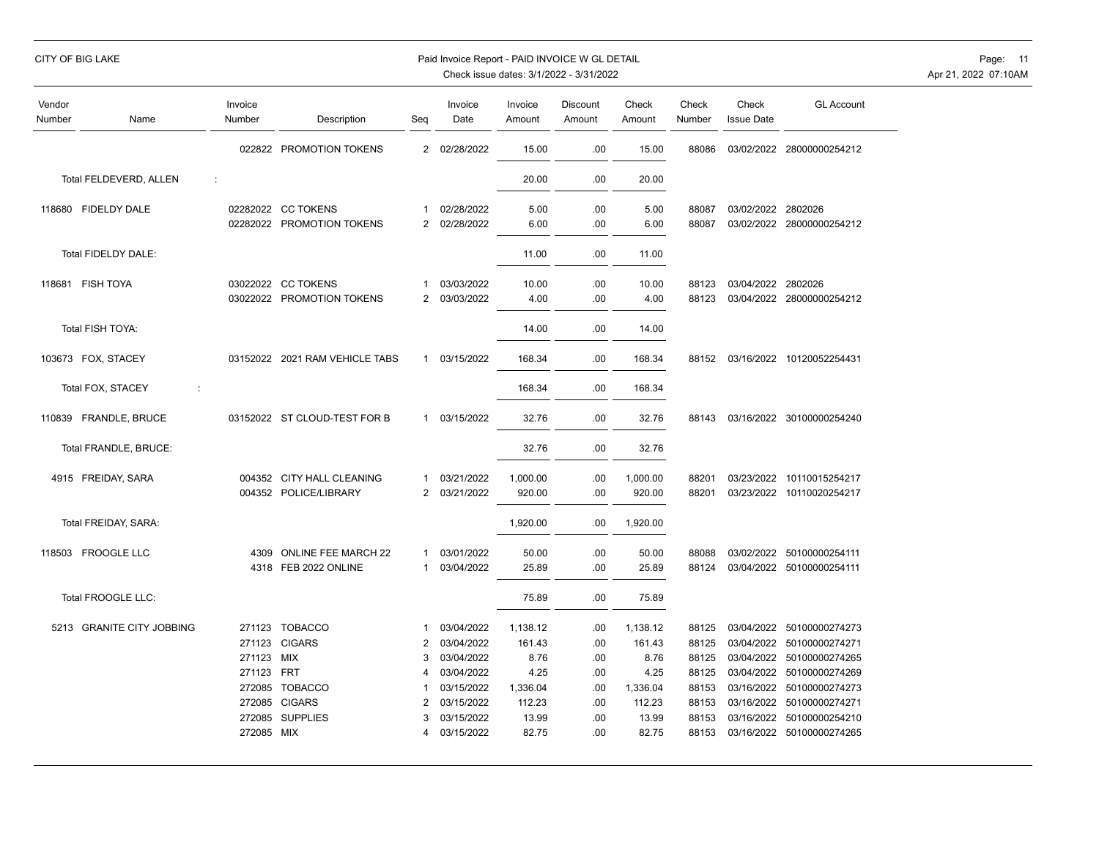| CITY OF BIG LAKE |  |  |  |
|------------------|--|--|--|
|------------------|--|--|--|

## Paid Invoice Report - PAID INVOICE W GL DETAIL **Page:** 11

| Vendor<br>Number | Name                        | Invoice<br>Number    | Description                                        | Seq                 | Invoice<br>Date          | Invoice<br>Amount  | <b>Discount</b><br>Amount | Check<br>Amount    | Check<br>Number | Check<br><b>Issue Date</b> | <b>GL Account</b>                                      |
|------------------|-----------------------------|----------------------|----------------------------------------------------|---------------------|--------------------------|--------------------|---------------------------|--------------------|-----------------|----------------------------|--------------------------------------------------------|
|                  |                             | 022822               | PROMOTION TOKENS                                   |                     | 2 02/28/2022             | 15.00              | .00                       | 15.00              | 88086           |                            | 03/02/2022 28000000254212                              |
|                  | Total FELDEVERD, ALLEN<br>÷ |                      |                                                    |                     |                          | 20.00              | .00                       | 20.00              |                 |                            |                                                        |
|                  | 118680 FIDELDY DALE         |                      | 02282022 CC TOKENS<br>02282022 PROMOTION TOKENS    | -1<br>2             | 02/28/2022<br>02/28/2022 | 5.00<br>6.00       | .00<br>.00                | 5.00<br>6.00       | 88087<br>88087  | 03/02/2022 2802026         | 03/02/2022 28000000254212                              |
|                  | Total FIDELDY DALE:         |                      |                                                    |                     |                          | 11.00              | .00                       | 11.00              |                 |                            |                                                        |
|                  | 118681 FISH TOYA            |                      | 03022022 CC TOKENS                                 | 1                   | 03/03/2022               | 10.00              | .00                       | 10.00              | 88123           | 03/04/2022 2802026         |                                                        |
|                  |                             | 03022022             | PROMOTION TOKENS                                   | 2                   | 03/03/2022               | 4.00               | .00                       | 4.00               | 88123           |                            | 03/04/2022 28000000254212                              |
|                  | Total FISH TOYA:            |                      |                                                    |                     |                          | 14.00              | .00                       | 14.00              |                 |                            |                                                        |
|                  | 103673 FOX, STACEY          | 03152022             | 2021 RAM VEHICLE TABS                              | 1                   | 03/15/2022               | 168.34             | .00                       | 168.34             | 88152           |                            | 03/16/2022 10120052254431                              |
|                  | Total FOX, STACEY<br>÷      |                      |                                                    |                     |                          | 168.34             | .00                       | 168.34             |                 |                            |                                                        |
|                  | 110839 FRANDLE, BRUCE       |                      | 03152022 ST CLOUD-TEST FOR B                       |                     | 1 03/15/2022             | 32.76              | .00                       | 32.76              | 88143           |                            | 03/16/2022 30100000254240                              |
|                  | Total FRANDLE, BRUCE:       |                      |                                                    |                     |                          | 32.76              | .00                       | 32.76              |                 |                            |                                                        |
|                  | 4915 FREIDAY, SARA          |                      | 004352 CITY HALL CLEANING<br>004352 POLICE/LIBRARY | 1<br>$\overline{2}$ | 03/21/2022<br>03/21/2022 | 1,000.00<br>920.00 | .00<br>.00                | 1,000.00<br>920.00 | 88201<br>88201  |                            | 03/23/2022 10110015254217<br>03/23/2022 10110020254217 |
|                  | Total FREIDAY, SARA:        |                      |                                                    |                     |                          | 1,920.00           | .00                       | 1,920.00           |                 |                            |                                                        |
|                  | 118503 FROOGLE LLC          | 4309                 | ONLINE FEE MARCH 22                                | -1                  | 03/01/2022               | 50.00              | .00                       | 50.00              | 88088           |                            | 03/02/2022 50100000254111                              |
|                  | Total FROOGLE LLC:          | 4318                 | FEB 2022 ONLINE                                    | 1                   | 03/04/2022               | 25.89<br>75.89     | .00<br>.00                | 25.89<br>75.89     | 88124           |                            | 03/04/2022 50100000254111                              |
|                  | 5213 GRANITE CITY JOBBING   |                      | 271123 TOBACCO                                     |                     | 03/04/2022               |                    |                           |                    |                 |                            |                                                        |
|                  |                             | 271123               | <b>CIGARS</b>                                      | $\overline{2}$      | 03/04/2022               | 1,138.12<br>161.43 | .00<br>.00                | 1,138.12<br>161.43 | 88125<br>88125  |                            | 03/04/2022 50100000274273<br>03/04/2022 50100000274271 |
|                  |                             | 271123               | <b>MIX</b>                                         | 3                   | 03/04/2022               | 8.76               | .00                       | 8.76               | 88125           |                            | 03/04/2022 50100000274265                              |
|                  |                             | 271123 FRT           |                                                    | 4                   | 03/04/2022               | 4.25               | .00                       | 4.25               | 88125           | 03/04/2022                 | 50100000274269                                         |
|                  |                             | 272085               | <b>TOBACCO</b>                                     |                     | 03/15/2022               | 1,336.04           | .00                       | 1,336.04           | 88153           | 03/16/2022                 | 50100000274273                                         |
|                  |                             | 272085               | <b>CIGARS</b>                                      | $\overline{2}$      | 03/15/2022               | 112.23             | .00                       | 112.23             | 88153           |                            | 03/16/2022 50100000274271                              |
|                  |                             | 272085<br>272085 MIX | <b>SUPPLIES</b>                                    | 3<br>4              | 03/15/2022<br>03/15/2022 | 13.99<br>82.75     | .00<br>.00                | 13.99<br>82.75     | 88153<br>88153  | 03/16/2022                 | 50100000254210<br>03/16/2022 50100000274265            |
|                  |                             |                      |                                                    |                     |                          |                    |                           |                    |                 |                            |                                                        |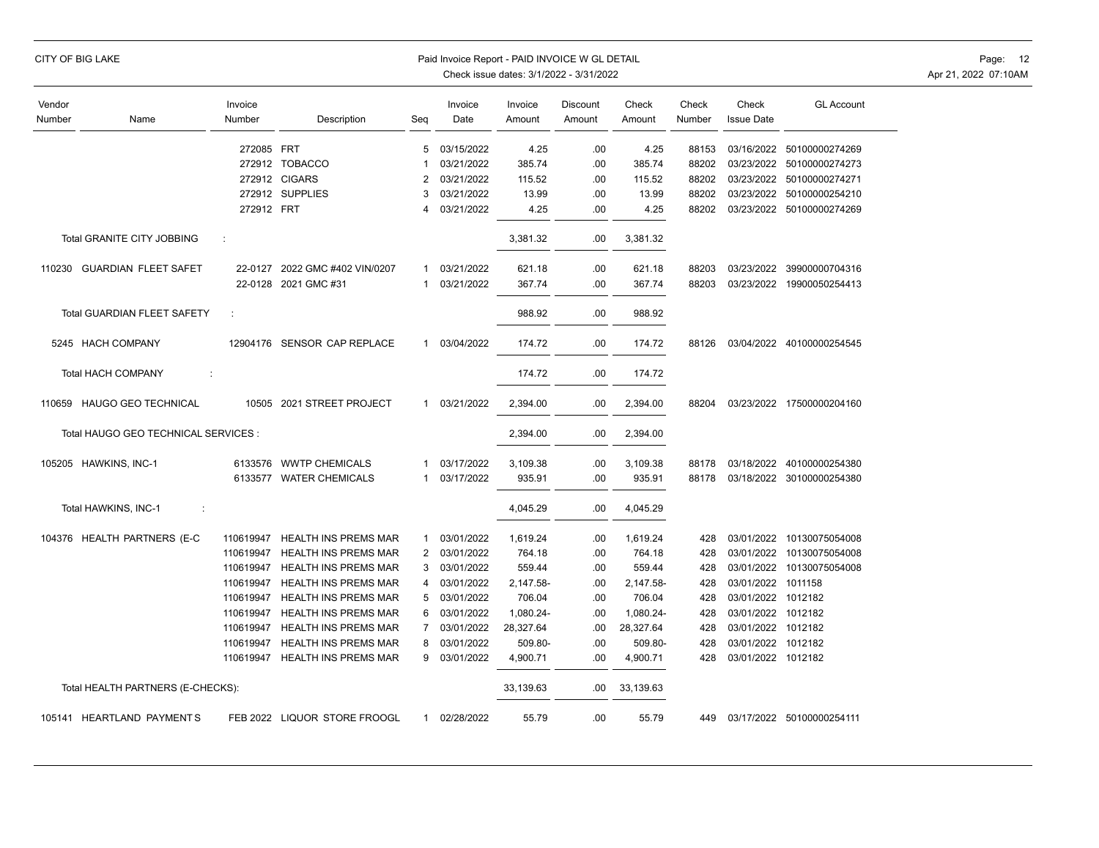|                  | CITY OF BIG LAKE                     |                   |                                |                | Paid Invoice Report - PAID INVOICE W GL DETAIL | Check issue dates: 3/1/2022 - 3/31/2022 | Page: 12<br>Apr 21, 2022 07:10AM |                 |                 |                            |                               |  |
|------------------|--------------------------------------|-------------------|--------------------------------|----------------|------------------------------------------------|-----------------------------------------|----------------------------------|-----------------|-----------------|----------------------------|-------------------------------|--|
| Vendor<br>Number | Name                                 | Invoice<br>Number | Description                    | Seq            | Invoice<br>Date                                | Invoice<br>Amount                       | Discount<br>Amount               | Check<br>Amount | Check<br>Number | Check<br><b>Issue Date</b> | <b>GL Account</b>             |  |
|                  |                                      | 272085 FRT        |                                | 5              | 03/15/2022                                     | 4.25                                    | .00                              | 4.25            | 88153           |                            | 03/16/2022 50100000274269     |  |
|                  |                                      |                   | 272912 TOBACCO                 |                | 03/21/2022                                     | 385.74                                  | .00                              | 385.74          | 88202           |                            | 03/23/2022 50100000274273     |  |
|                  |                                      |                   | 272912 CIGARS                  | 2              | 03/21/2022                                     | 115.52                                  | .00                              | 115.52          | 88202           |                            | 03/23/2022 50100000274271     |  |
|                  |                                      |                   | 272912 SUPPLIES                | 3              | 03/21/2022                                     | 13.99                                   | .00                              | 13.99           | 88202           |                            | 03/23/2022 50100000254210     |  |
|                  |                                      | 272912 FRT        |                                | 4              | 03/21/2022                                     | 4.25                                    | .00                              | 4.25            | 88202           |                            | 03/23/2022 50100000274269     |  |
|                  | Total GRANITE CITY JOBBING           | ÷                 |                                |                |                                                | 3,381.32                                | .00.                             | 3,381.32        |                 |                            |                               |  |
|                  | 110230 GUARDIAN FLEET SAFET          |                   | 22-0127 2022 GMC #402 VIN/0207 | 1              | 03/21/2022                                     | 621.18                                  | .00                              | 621.18          | 88203           |                            | 03/23/2022 39900000704316     |  |
|                  |                                      |                   | 22-0128 2021 GMC #31           | 1              | 03/21/2022                                     | 367.74                                  | .00                              | 367.74          | 88203           |                            | 03/23/2022 19900050254413     |  |
|                  | <b>Total GUARDIAN FLEET SAFETY</b>   |                   |                                |                |                                                | 988.92                                  | .00                              | 988.92          |                 |                            |                               |  |
|                  | 5245 HACH COMPANY                    |                   | 12904176 SENSOR CAP REPLACE    | $\mathbf{1}$   | 03/04/2022                                     | 174.72                                  | .00                              | 174.72          | 88126           |                            | 03/04/2022 40100000254545     |  |
|                  | <b>Total HACH COMPANY</b><br>÷       |                   |                                |                |                                                | 174.72                                  | .00                              | 174.72          |                 |                            |                               |  |
|                  | 110659 HAUGO GEO TECHNICAL           |                   | 10505 2021 STREET PROJECT      | $\mathbf{1}$   | 03/21/2022                                     | 2,394.00                                | .00                              | 2,394.00        | 88204           |                            | 03/23/2022 17500000204160     |  |
|                  | Total HAUGO GEO TECHNICAL SERVICES : |                   |                                |                |                                                | 2,394.00                                | .00                              | 2,394.00        |                 |                            |                               |  |
|                  | 105205 HAWKINS, INC-1                |                   | 6133576 WWTP CHEMICALS         | 1              | 03/17/2022                                     | 3,109.38                                | .00                              | 3,109.38        | 88178           |                            | 03/18/2022 40100000254380     |  |
|                  |                                      |                   | 6133577 WATER CHEMICALS        | -1             | 03/17/2022                                     | 935.91                                  | .00                              | 935.91          | 88178           |                            | 03/18/2022 30100000254380     |  |
|                  | Total HAWKINS, INC-1<br>÷            |                   |                                |                |                                                | 4,045.29                                | .00                              | 4,045.29        |                 |                            |                               |  |
|                  | 104376 HEALTH PARTNERS (E-C          | 110619947         | <b>HEALTH INS PREMS MAR</b>    | $\mathbf{1}$   | 03/01/2022                                     | 1,619.24                                | .00                              | 1,619.24        | 428             |                            | 03/01/2022 10130075054008     |  |
|                  |                                      | 110619947         | <b>HEALTH INS PREMS MAR</b>    | 2              | 03/01/2022                                     | 764.18                                  | .00                              | 764.18          | 428             | 03/01/2022                 | 10130075054008                |  |
|                  |                                      | 110619947         | HEALTH INS PREMS MAR           | 3              | 03/01/2022                                     | 559.44                                  | .00                              | 559.44          | 428             | 03/01/2022                 | 10130075054008                |  |
|                  |                                      | 110619947         | HEALTH INS PREMS MAR           | 4              | 03/01/2022                                     | 2,147.58-                               | .00                              | 2,147.58-       | 428             | 03/01/2022 1011158         |                               |  |
|                  |                                      | 110619947         | <b>HEALTH INS PREMS MAR</b>    | 5              | 03/01/2022                                     | 706.04                                  | .00                              | 706.04          | 428             | 03/01/2022 1012182         |                               |  |
|                  |                                      | 110619947         | <b>HEALTH INS PREMS MAR</b>    | 6              | 03/01/2022                                     | 1,080.24-                               | .00                              | 1,080.24-       | 428             | 03/01/2022 1012182         |                               |  |
|                  |                                      | 110619947         | HEALTH INS PREMS MAR           | $\overline{7}$ | 03/01/2022                                     | 28,327.64                               | .00                              | 28,327.64       | 428             | 03/01/2022 1012182         |                               |  |
|                  |                                      | 110619947         | HEALTH INS PREMS MAR           | 8              | 03/01/2022                                     | 509.80-                                 | .00                              | 509.80-         | 428             | 03/01/2022                 | 1012182                       |  |
|                  |                                      | 110619947         | HEALTH INS PREMS MAR           | 9              | 03/01/2022                                     | 4,900.71                                | .00                              | 4,900.71        | 428             | 03/01/2022 1012182         |                               |  |
|                  | Total HEALTH PARTNERS (E-CHECKS):    |                   |                                |                |                                                | 33,139.63                               | .00                              | 33,139.63       |                 |                            |                               |  |
|                  | 105141 HEARTLAND PAYMENTS            |                   | FEB 2022 LIQUOR STORE FROOGL   | 1              | 02/28/2022                                     | 55.79                                   | .00                              | 55.79           |                 |                            | 449 03/17/2022 50100000254111 |  |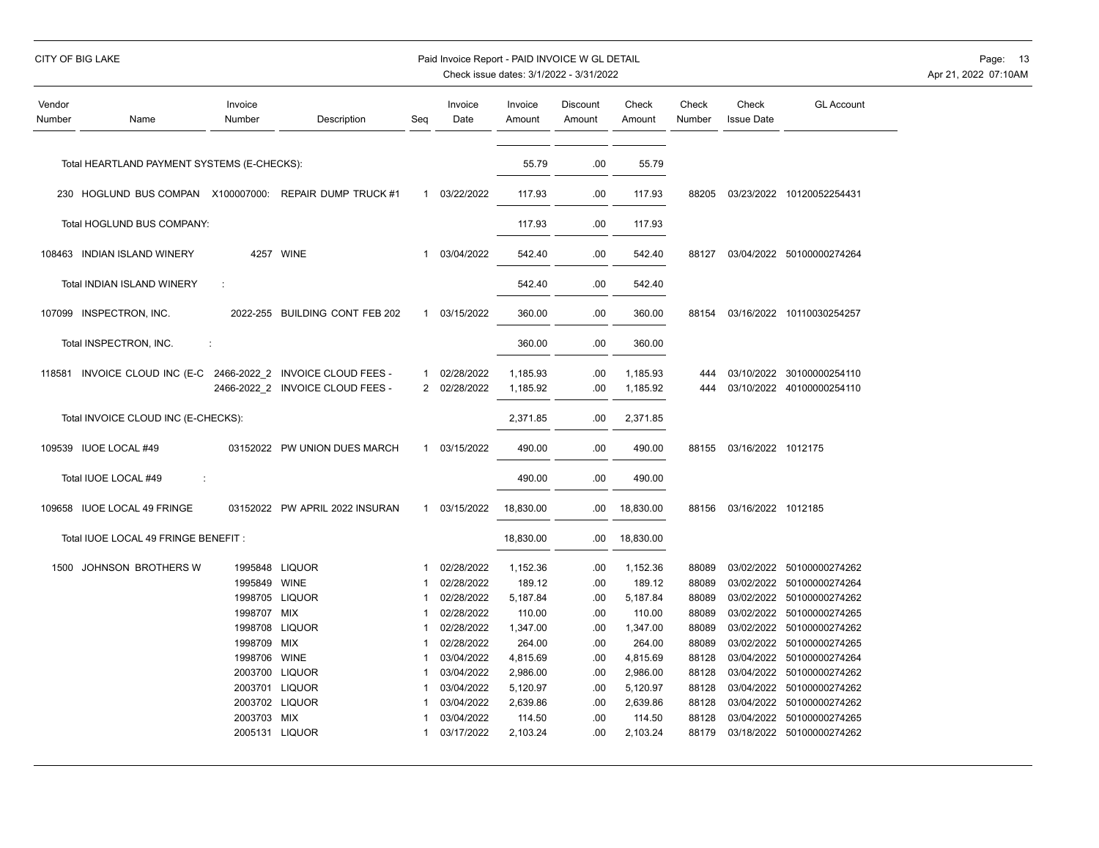| CITY OF BIG LAKE | Paid Invoice Report - PAID INVOICE W GL DETAIL | Page: 13             |
|------------------|------------------------------------------------|----------------------|
|                  | Check issue dates: 3/1/2022 - 3/31/2022        | Apr 21, 2022 07:10AM |

| Vendor<br>Number | Name                                                    | Invoice<br>Number                           | Description                                                          | Seg                        | Invoice<br>Date                        | Invoice<br>Amount              | Discount<br>Amount | Check<br>Amount                | Check<br>Number         | Check<br><b>Issue Date</b>             | <b>GL Account</b>                                  |
|------------------|---------------------------------------------------------|---------------------------------------------|----------------------------------------------------------------------|----------------------------|----------------------------------------|--------------------------------|--------------------|--------------------------------|-------------------------|----------------------------------------|----------------------------------------------------|
|                  | Total HEARTLAND PAYMENT SYSTEMS (E-CHECKS):             |                                             |                                                                      |                            |                                        | 55.79                          | .00                | 55.79                          |                         |                                        |                                                    |
|                  | 230 HOGLUND BUS COMPAN X100007000: REPAIR DUMP TRUCK #1 |                                             |                                                                      | $\mathbf{1}$               | 03/22/2022                             | 117.93                         | .00                | 117.93                         | 88205                   |                                        | 03/23/2022 10120052254431                          |
|                  | Total HOGLUND BUS COMPANY:                              |                                             |                                                                      |                            |                                        | 117.93                         | .00                | 117.93                         |                         |                                        |                                                    |
|                  | 108463 INDIAN ISLAND WINERY                             |                                             | 4257 WINE                                                            | 1                          | 03/04/2022                             | 542.40                         | .00                | 542.40                         | 88127                   |                                        | 03/04/2022 50100000274264                          |
|                  | Total INDIAN ISLAND WINERY                              | ÷                                           |                                                                      |                            |                                        | 542.40                         | .00                | 542.40                         |                         |                                        |                                                    |
|                  | 107099 INSPECTRON, INC.                                 |                                             | 2022-255 BUILDING CONT FEB 202                                       | $\mathbf{1}$               | 03/15/2022                             | 360.00                         | .00                | 360.00                         | 88154                   |                                        | 03/16/2022 10110030254257                          |
|                  | Total INSPECTRON, INC.                                  | ÷                                           |                                                                      |                            |                                        | 360.00                         | .00                | 360.00                         |                         |                                        |                                                    |
| 118581           | INVOICE CLOUD INC (E-C                                  |                                             | 2466-2022 2 INVOICE CLOUD FEES -<br>2466-2022 2 INVOICE CLOUD FEES - | 1<br>2                     | 02/28/2022<br>02/28/2022               | 1,185.93<br>1.185.92           | .00<br>.00         | 1,185.93<br>1,185.92           | 444<br>444              | 03/10/2022                             | 30100000254110<br>03/10/2022 40100000254110        |
|                  | Total INVOICE CLOUD INC (E-CHECKS):                     |                                             |                                                                      |                            |                                        | 2,371.85                       | .00                | 2,371.85                       |                         |                                        |                                                    |
|                  | 109539 IUOE LOCAL #49                                   |                                             | 03152022 PW UNION DUES MARCH                                         | $\mathbf{1}$               | 03/15/2022                             | 490.00                         | .00                | 490.00                         | 88155                   | 03/16/2022 1012175                     |                                                    |
|                  | Total IUOE LOCAL #49<br>÷                               |                                             |                                                                      |                            |                                        | 490.00                         | .00                | 490.00                         |                         |                                        |                                                    |
| 109658           | <b>IUOE LOCAL 49 FRINGE</b>                             |                                             | 03152022 PW APRIL 2022 INSURAN                                       | $\mathbf{1}$               | 03/15/2022                             | 18,830.00                      | .00                | 18,830.00                      | 88156                   | 03/16/2022 1012185                     |                                                    |
|                  | Total IUOE LOCAL 49 FRINGE BENEFIT :                    |                                             |                                                                      |                            |                                        | 18,830.00                      | .00                | 18,830.00                      |                         |                                        |                                                    |
|                  | 1500 JOHNSON BROTHERS W                                 | 1995848 LIQUOR<br>1995849<br>1998705 LIQUOR | <b>WINE</b>                                                          | -1<br>$\overline{1}$<br>-1 | 02/28/2022<br>02/28/2022<br>02/28/2022 | 1,152.36<br>189.12<br>5,187.84 | .00<br>.00<br>.00  | 1,152.36<br>189.12<br>5,187.84 | 88089<br>88089<br>88089 | 03/02/2022<br>03/02/2022<br>03/02/2022 | 50100000274262<br>50100000274264<br>50100000274262 |
|                  |                                                         | 1998707 MIX                                 |                                                                      | -1                         | 02/28/2022                             | 110.00                         | .00                | 110.00                         | 88089                   | 03/02/2022                             | 50100000274265                                     |
|                  |                                                         | 1998708 LIQUOR                              |                                                                      | 1                          | 02/28/2022                             | 1,347.00                       | .00                | 1,347.00                       | 88089                   | 03/02/2022                             | 50100000274262                                     |
|                  |                                                         | 1998709 MIX                                 |                                                                      | -1                         | 02/28/2022                             | 264.00                         | .00                | 264.00                         | 88089                   | 03/02/2022                             | 50100000274265                                     |
|                  |                                                         | 1998706                                     | <b>WINE</b>                                                          | -1                         | 03/04/2022                             | 4,815.69                       | .00                | 4,815.69                       | 88128                   | 03/04/2022                             | 50100000274264                                     |
|                  |                                                         | 2003700 LIQUOR                              |                                                                      | -1                         | 03/04/2022                             | 2,986.00                       | .00                | 2,986.00                       | 88128                   | 03/04/2022                             | 50100000274262                                     |
|                  |                                                         | 2003701 LIQUOR                              |                                                                      | -1                         | 03/04/2022                             | 5,120.97                       | .00                | 5,120.97                       | 88128                   | 03/04/2022                             | 50100000274262                                     |
|                  |                                                         | 2003702 LIQUOR                              |                                                                      | -1                         | 03/04/2022                             | 2,639.86                       | .00                | 2,639.86                       | 88128                   | 03/04/2022                             | 50100000274262                                     |
|                  |                                                         | 2003703 MIX                                 |                                                                      | -1                         | 03/04/2022                             | 114.50                         | .00                | 114.50                         | 88128                   | 03/04/2022                             | 50100000274265                                     |
|                  |                                                         | 2005131 LIQUOR                              |                                                                      |                            | 03/17/2022                             | 2,103.24                       | .00                | 2,103.24                       | 88179                   |                                        | 03/18/2022 50100000274262                          |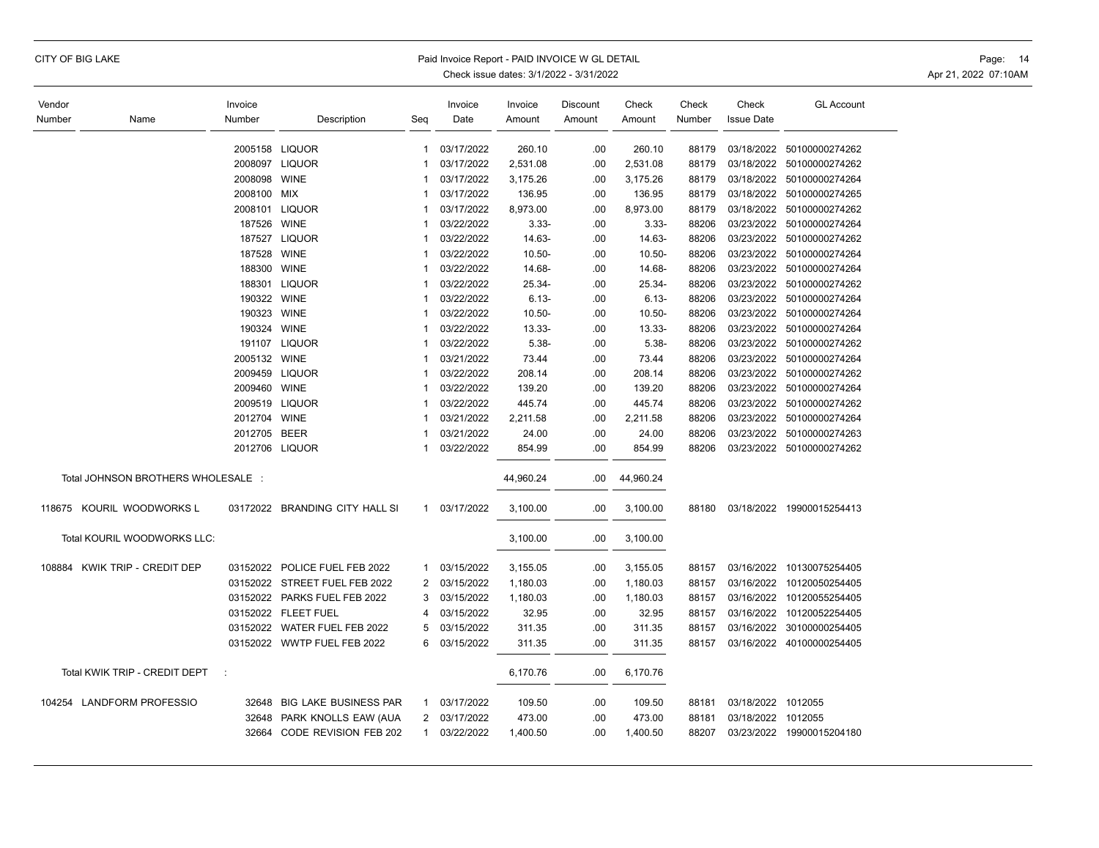|  |  |  | CITY OF BIG LAKE |
|--|--|--|------------------|
|--|--|--|------------------|

## Paid Invoice Report - PAID INVOICE W GL DETAIL **Page: 14** Page: 14

| Vendor |                                    | Invoice      |                                |                | Invoice      | Invoice   | Discount | Check     | Check  | Check              | <b>GL Account</b>         |
|--------|------------------------------------|--------------|--------------------------------|----------------|--------------|-----------|----------|-----------|--------|--------------------|---------------------------|
| Number | Name                               | Number       | Description                    | Seg            | Date         | Amount    | Amount   | Amount    | Number | <b>Issue Date</b>  |                           |
|        |                                    |              |                                |                |              |           |          |           |        |                    |                           |
|        |                                    |              | 2005158 LIQUOR                 | $\mathbf{1}$   | 03/17/2022   | 260.10    | .00      | 260.10    | 88179  | 03/18/2022         | 50100000274262            |
|        |                                    |              | 2008097 LIQUOR                 | -1             | 03/17/2022   | 2,531.08  | .00      | 2,531.08  | 88179  | 03/18/2022         | 50100000274262            |
|        |                                    | 2008098      | <b>WINE</b>                    | -1             | 03/17/2022   | 3,175.26  | .00      | 3,175.26  | 88179  |                    | 03/18/2022 50100000274264 |
|        |                                    | 2008100      | <b>MIX</b>                     | $\mathbf 1$    | 03/17/2022   | 136.95    | .00      | 136.95    | 88179  |                    | 03/18/2022 50100000274265 |
|        |                                    |              | 2008101 LIQUOR                 | -1             | 03/17/2022   | 8,973.00  | .00      | 8,973.00  | 88179  |                    | 03/18/2022 50100000274262 |
|        |                                    | 187526 WINE  |                                | -1             | 03/22/2022   | $3.33 -$  | .00      | $3.33 -$  | 88206  |                    | 03/23/2022 50100000274264 |
|        |                                    |              | 187527 LIQUOR                  | -1             | 03/22/2022   | 14.63-    | .00      | 14.63-    | 88206  |                    | 03/23/2022 50100000274262 |
|        |                                    | 187528       | <b>WINE</b>                    | -1             | 03/22/2022   | $10.50 -$ | .00      | $10.50 -$ | 88206  |                    | 03/23/2022 50100000274264 |
|        |                                    | 188300       | <b>WINE</b>                    | -1             | 03/22/2022   | 14.68-    | .00      | 14.68-    | 88206  | 03/23/2022         | 50100000274264            |
|        |                                    | 188301       | <b>LIQUOR</b>                  | $\mathbf 1$    | 03/22/2022   | 25.34-    | .00      | 25.34-    | 88206  |                    | 03/23/2022 50100000274262 |
|        |                                    | 190322 WINE  |                                | $\mathbf 1$    | 03/22/2022   | $6.13 -$  | .00      | $6.13 -$  | 88206  |                    | 03/23/2022 50100000274264 |
|        |                                    | 190323 WINE  |                                | -1             | 03/22/2022   | $10.50 -$ | .00      | $10.50 -$ | 88206  |                    | 03/23/2022 50100000274264 |
|        |                                    | 190324 WINE  |                                | -1             | 03/22/2022   | 13.33-    | .00      | 13.33-    | 88206  |                    | 03/23/2022 50100000274264 |
|        |                                    |              | 191107 LIQUOR                  | -1             | 03/22/2022   | $5.38 -$  | .00      | $5.38 -$  | 88206  |                    | 03/23/2022 50100000274262 |
|        |                                    | 2005132 WINE |                                | -1             | 03/21/2022   | 73.44     | .00      | 73.44     | 88206  |                    | 03/23/2022 50100000274264 |
|        |                                    |              | 2009459 LIQUOR                 | 1              | 03/22/2022   | 208.14    | .00      | 208.14    | 88206  |                    | 03/23/2022 50100000274262 |
|        |                                    | 2009460      | <b>WINE</b>                    | -1             | 03/22/2022   | 139.20    | .00      | 139.20    | 88206  |                    | 03/23/2022 50100000274264 |
|        |                                    |              | 2009519 LIQUOR                 | -1             | 03/22/2022   | 445.74    | .00      | 445.74    | 88206  | 03/23/2022         | 50100000274262            |
|        |                                    | 2012704 WINE |                                | -1             | 03/21/2022   | 2,211.58  | .00      | 2,211.58  | 88206  |                    | 03/23/2022 50100000274264 |
|        |                                    | 2012705      | <b>BEER</b>                    | -1             | 03/21/2022   | 24.00     | .00      | 24.00     | 88206  |                    | 03/23/2022 50100000274263 |
|        |                                    |              | 2012706 LIQUOR                 | -1             | 03/22/2022   | 854.99    | .00      | 854.99    | 88206  |                    | 03/23/2022 50100000274262 |
|        |                                    |              |                                |                |              |           |          |           |        |                    |                           |
|        | Total JOHNSON BROTHERS WHOLESALE : |              |                                |                |              | 44,960.24 | .00      | 44,960.24 |        |                    |                           |
|        |                                    |              |                                |                |              |           |          |           |        |                    |                           |
| 118675 | KOURIL WOODWORKS L                 |              | 03172022 BRANDING CITY HALL SI |                | 1 03/17/2022 | 3,100.00  | .00      | 3,100.00  | 88180  |                    | 03/18/2022 19900015254413 |
|        |                                    |              |                                |                |              |           |          |           |        |                    |                           |
|        | Total KOURIL WOODWORKS LLC:        |              |                                |                |              | 3,100.00  | .00      | 3,100.00  |        |                    |                           |
|        |                                    |              |                                |                |              |           |          |           |        |                    |                           |
| 108884 | KWIK TRIP - CREDIT DEP             |              | 03152022 POLICE FUEL FEB 2022  | $\mathbf{1}$   | 03/15/2022   | 3,155.05  | .00      | 3,155.05  | 88157  |                    | 03/16/2022 10130075254405 |
|        |                                    |              | 03152022 STREET FUEL FEB 2022  | 2              | 03/15/2022   | 1,180.03  | .00      | 1,180.03  | 88157  |                    | 03/16/2022 10120050254405 |
|        |                                    |              | 03152022 PARKS FUEL FEB 2022   | 3              | 03/15/2022   | 1,180.03  | .00      | 1,180.03  | 88157  |                    | 03/16/2022 10120055254405 |
|        |                                    |              | 03152022 FLEET FUEL            | 4              | 03/15/2022   | 32.95     | .00      | 32.95     | 88157  |                    | 03/16/2022 10120052254405 |
|        |                                    |              | 03152022 WATER FUEL FEB 2022   | 5              | 03/15/2022   | 311.35    | .00      | 311.35    | 88157  | 03/16/2022         | 30100000254405            |
|        |                                    |              | 03152022 WWTP FUEL FEB 2022    | 6              | 03/15/2022   | 311.35    | .00      | 311.35    | 88157  |                    | 03/16/2022 40100000254405 |
|        |                                    |              |                                |                |              |           |          |           |        |                    |                           |
|        | Total KWIK TRIP - CREDIT DEPT      | $\cdot$ :    |                                |                |              | 6,170.76  | .00      | 6,170.76  |        |                    |                           |
|        | 104254 LANDFORM PROFESSIO          | 32648        | BIG LAKE BUSINESS PAR          | $\mathbf{1}$   | 03/17/2022   | 109.50    | .00      | 109.50    | 88181  | 03/18/2022 1012055 |                           |
|        |                                    | 32648        | PARK KNOLLS EAW (AUA           | $\overline{2}$ | 03/17/2022   | 473.00    | .00      | 473.00    | 88181  | 03/18/2022 1012055 |                           |
|        |                                    | 32664        | CODE REVISION FEB 202          | $\mathbf{1}$   | 03/22/2022   | 1,400.50  | .00      | 1,400.50  | 88207  |                    | 03/23/2022 19900015204180 |
|        |                                    |              |                                |                |              |           |          |           |        |                    |                           |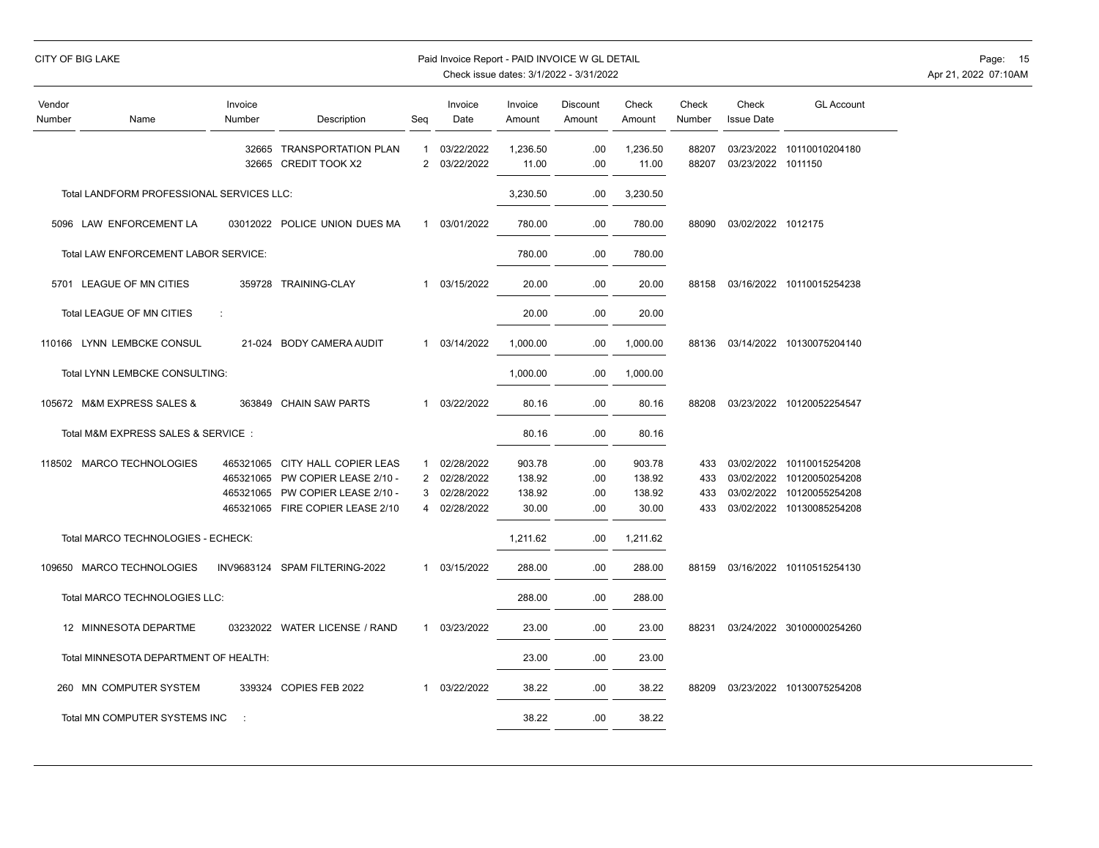|                  | CITY OF BIG LAKE                            |                      |                                                                                                                                             |                                          | Paid Invoice Report - PAID INVOICE W GL DETAIL       |                                     | Check issue dates: 3/1/2022 - 3/31/2022 |                                     |                          |                            |                                                                                                                  | Page: 15<br>Apr 21, 2022 07:10AM |
|------------------|---------------------------------------------|----------------------|---------------------------------------------------------------------------------------------------------------------------------------------|------------------------------------------|------------------------------------------------------|-------------------------------------|-----------------------------------------|-------------------------------------|--------------------------|----------------------------|------------------------------------------------------------------------------------------------------------------|----------------------------------|
| Vendor<br>Number | Name                                        | Invoice<br>Number    | Description                                                                                                                                 |                                          | Invoice<br>Date                                      | Invoice<br>Amount                   | Discount<br>Amount                      | Check<br>Amount                     | Check<br>Number          | Check<br><b>Issue Date</b> | <b>GL Account</b>                                                                                                |                                  |
|                  |                                             |                      | 32665 TRANSPORTATION PLAN<br>32665 CREDIT TOOK X2                                                                                           | $\mathbf{1}$<br>$\overline{2}$           | 03/22/2022<br>03/22/2022                             | 1,236.50<br>11.00                   | .00<br>.00                              | 1,236.50<br>11.00                   | 88207<br>88207           | 03/23/2022 1011150         | 03/23/2022 10110010204180                                                                                        |                                  |
|                  | Total LANDFORM PROFESSIONAL SERVICES LLC:   |                      |                                                                                                                                             |                                          |                                                      | 3,230.50                            | .00                                     | 3,230.50                            |                          |                            |                                                                                                                  |                                  |
|                  | 5096 LAW ENFORCEMENT LA                     |                      | 03012022 POLICE UNION DUES MA                                                                                                               | -1                                       | 03/01/2022                                           | 780.00                              | .00                                     | 780.00                              | 88090                    | 03/02/2022 1012175         |                                                                                                                  |                                  |
|                  | <b>Total LAW ENFORCEMENT LABOR SERVICE:</b> |                      |                                                                                                                                             |                                          |                                                      | 780.00                              | .00                                     | 780.00                              |                          |                            |                                                                                                                  |                                  |
|                  | 5701 LEAGUE OF MN CITIES                    |                      | 359728 TRAINING-CLAY                                                                                                                        | $\mathbf{1}$                             | 03/15/2022                                           | 20.00                               | .00                                     | 20.00                               | 88158                    |                            | 03/16/2022 10110015254238                                                                                        |                                  |
|                  | Total LEAGUE OF MN CITIES                   | $\ddot{\phantom{a}}$ |                                                                                                                                             |                                          |                                                      | 20.00                               | .00                                     | 20.00                               |                          |                            |                                                                                                                  |                                  |
|                  | 110166 LYNN LEMBCKE CONSUL                  |                      | 21-024 BODY CAMERA AUDIT                                                                                                                    | -1                                       | 03/14/2022                                           | 1,000.00                            | .00                                     | 1,000.00                            | 88136                    |                            | 03/14/2022 10130075204140                                                                                        |                                  |
|                  | Total LYNN LEMBCKE CONSULTING:              |                      |                                                                                                                                             |                                          |                                                      | 1,000.00                            | .00                                     | 1,000.00                            |                          |                            |                                                                                                                  |                                  |
|                  | 105672 M&M EXPRESS SALES &                  |                      | 363849 CHAIN SAW PARTS                                                                                                                      | $\mathbf{1}$                             | 03/22/2022                                           | 80.16                               | .00                                     | 80.16                               | 88208                    |                            | 03/23/2022 10120052254547                                                                                        |                                  |
|                  | Total M&M EXPRESS SALES & SERVICE:          |                      |                                                                                                                                             |                                          |                                                      | 80.16                               | .00                                     | 80.16                               |                          |                            |                                                                                                                  |                                  |
|                  | 118502 MARCO TECHNOLOGIES                   |                      | 465321065 CITY HALL COPIER LEAS<br>465321065 PW COPIER LEASE 2/10 -<br>465321065 PW COPIER LEASE 2/10 -<br>465321065 FIRE COPIER LEASE 2/10 | $\mathbf{1}$<br>$\overline{2}$<br>3<br>4 | 02/28/2022<br>02/28/2022<br>02/28/2022<br>02/28/2022 | 903.78<br>138.92<br>138.92<br>30.00 | .00<br>.00<br>.00<br>.00                | 903.78<br>138.92<br>138.92<br>30.00 | 433<br>433<br>433<br>433 |                            | 03/02/2022 10110015254208<br>03/02/2022 10120050254208<br>03/02/2022 10120055254208<br>03/02/2022 10130085254208 |                                  |
|                  | Total MARCO TECHNOLOGIES - ECHECK:          |                      |                                                                                                                                             |                                          |                                                      | 1,211.62                            | .00                                     | 1,211.62                            |                          |                            |                                                                                                                  |                                  |
|                  | 109650 MARCO TECHNOLOGIES                   |                      | INV9683124 SPAM FILTERING-2022                                                                                                              | -1                                       | 03/15/2022                                           | 288.00                              | .00                                     | 288.00                              | 88159                    |                            | 03/16/2022 10110515254130                                                                                        |                                  |
|                  | Total MARCO TECHNOLOGIES LLC:               |                      |                                                                                                                                             |                                          |                                                      | 288.00                              | .00                                     | 288.00                              |                          |                            |                                                                                                                  |                                  |
|                  | 12 MINNESOTA DEPARTME                       |                      | 03232022 WATER LICENSE / RAND                                                                                                               | $\mathbf{1}$                             | 03/23/2022                                           | 23.00                               | .00                                     | 23.00                               | 88231                    |                            | 03/24/2022 30100000254260                                                                                        |                                  |
|                  | Total MINNESOTA DEPARTMENT OF HEALTH:       |                      |                                                                                                                                             |                                          |                                                      | 23.00                               | .00                                     | 23.00                               |                          |                            |                                                                                                                  |                                  |
|                  | 260 MN COMPUTER SYSTEM                      |                      | 339324 COPIES FEB 2022                                                                                                                      | 1                                        | 03/22/2022                                           | 38.22                               | .00                                     | 38.22                               | 88209                    |                            | 03/23/2022 10130075254208                                                                                        |                                  |
|                  | Total MN COMPUTER SYSTEMS INC               |                      |                                                                                                                                             |                                          |                                                      | 38.22                               | .00                                     | 38.22                               |                          |                            |                                                                                                                  |                                  |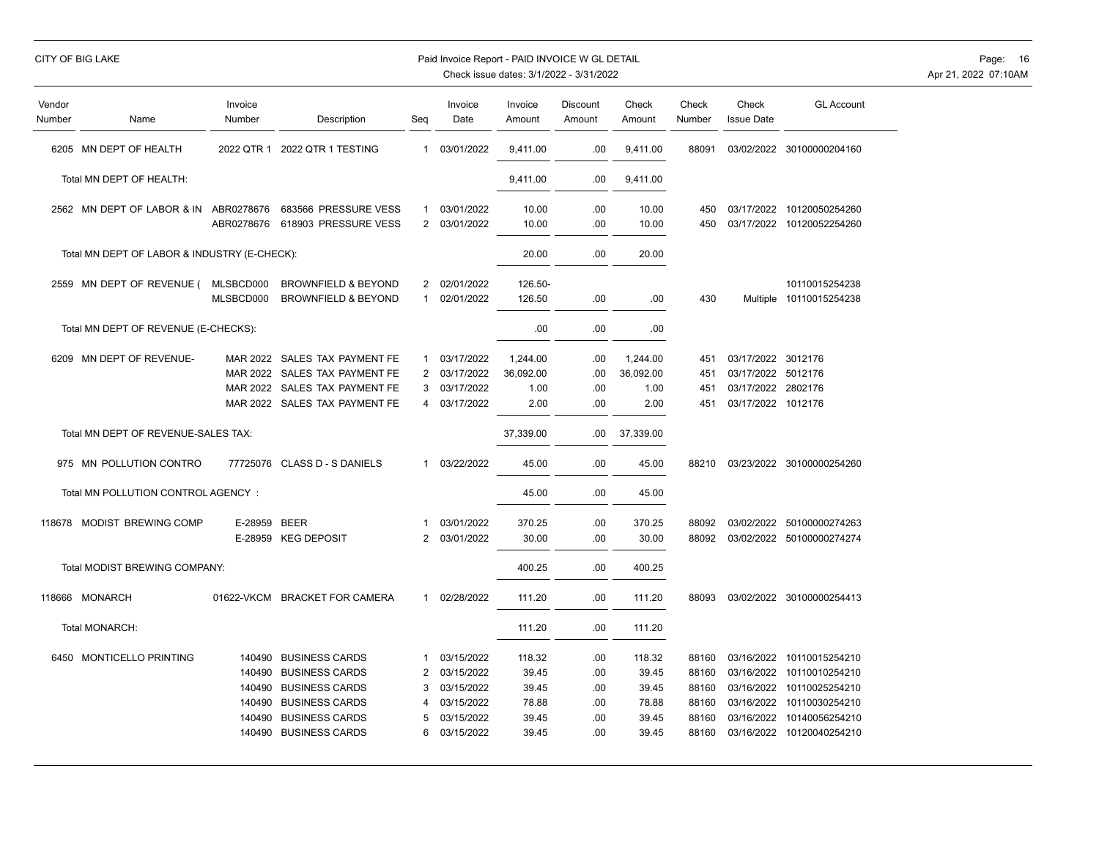## CITY OF BIG LAKE **Example 2008** Paid Invoice Report - PAID INVOICE W GL DETAIL **Page: 16** Page: 16

| Vendor<br>Number | Name                                         | Invoice<br>Number                              | Description                                                                                                               | Seq                                | Invoice<br>Date                                                    | Invoice<br>Amount                          | Discount<br>Amount              | Check<br>Amount                            | Check<br>Number                           | Check<br><b>Issue Date</b>                                                           | <b>GL Account</b>                                                                                            |
|------------------|----------------------------------------------|------------------------------------------------|---------------------------------------------------------------------------------------------------------------------------|------------------------------------|--------------------------------------------------------------------|--------------------------------------------|---------------------------------|--------------------------------------------|-------------------------------------------|--------------------------------------------------------------------------------------|--------------------------------------------------------------------------------------------------------------|
|                  | 6205 MN DEPT OF HEALTH                       | 2022 QTR 1                                     | 2022 QTR 1 TESTING                                                                                                        | $\mathbf{1}$                       | 03/01/2022                                                         | 9,411.00                                   | .00                             | 9,411.00                                   | 88091                                     |                                                                                      | 03/02/2022 30100000204160                                                                                    |
|                  | Total MN DEPT OF HEALTH:                     |                                                |                                                                                                                           |                                    |                                                                    | 9,411.00                                   | .00                             | 9,411.00                                   |                                           |                                                                                      |                                                                                                              |
|                  | 2562 MN DEPT OF LABOR & IN                   | ABR0278676<br>ABR0278676                       | 683566 PRESSURE VESS<br>618903 PRESSURE VESS                                                                              | $\overline{2}$                     | 03/01/2022<br>03/01/2022                                           | 10.00<br>10.00                             | .00<br>.00                      | 10.00<br>10.00                             | 450<br>450                                |                                                                                      | 03/17/2022 10120050254260<br>03/17/2022 10120052254260                                                       |
|                  | Total MN DEPT OF LABOR & INDUSTRY (E-CHECK): |                                                |                                                                                                                           |                                    |                                                                    | 20.00                                      | .00                             | 20.00                                      |                                           |                                                                                      |                                                                                                              |
|                  | 2559 MN DEPT OF REVENUE (                    | MLSBCD000<br>MLSBCD000                         | <b>BROWNFIELD &amp; BEYOND</b><br><b>BROWNFIELD &amp; BEYOND</b>                                                          | $\overline{2}$<br>1                | 02/01/2022<br>02/01/2022                                           | 126.50-<br>126.50                          | .00                             | .00                                        | 430                                       |                                                                                      | 10110015254238<br>Multiple 10110015254238                                                                    |
|                  | Total MN DEPT OF REVENUE (E-CHECKS):         |                                                |                                                                                                                           |                                    |                                                                    | .00                                        | .00                             | .00                                        |                                           |                                                                                      |                                                                                                              |
|                  | 6209 MN DEPT OF REVENUE-                     | MAR 2022<br>MAR 2022<br><b>MAR 2022</b>        | SALES TAX PAYMENT FE<br>SALES TAX PAYMENT FE<br>SALES TAX PAYMENT FE<br>MAR 2022 SALES TAX PAYMENT FE                     | 1<br>2<br>3<br>4                   | 03/17/2022<br>03/17/2022<br>03/17/2022<br>03/17/2022               | 1,244.00<br>36,092.00<br>1.00<br>2.00      | .00<br>.00<br>.00<br>.00        | 1,244.00<br>36,092.00<br>1.00<br>2.00      | 451<br>451<br>451<br>451                  | 03/17/2022 3012176<br>03/17/2022 5012176<br>03/17/2022 2802176<br>03/17/2022 1012176 |                                                                                                              |
|                  | Total MN DEPT OF REVENUE-SALES TAX:          |                                                |                                                                                                                           |                                    |                                                                    | 37,339.00                                  | .00                             | 37,339.00                                  |                                           |                                                                                      |                                                                                                              |
|                  | 975 MN POLLUTION CONTRO                      | 77725076                                       | <b>CLASS D - S DANIELS</b>                                                                                                | 1                                  | 03/22/2022                                                         | 45.00                                      | .00                             | 45.00                                      | 88210                                     |                                                                                      | 03/23/2022 30100000254260                                                                                    |
|                  | Total MN POLLUTION CONTROL AGENCY :          |                                                |                                                                                                                           |                                    |                                                                    | 45.00                                      | .00                             | 45.00                                      |                                           |                                                                                      |                                                                                                              |
|                  | 118678 MODIST BREWING COMP                   | E-28959 BEER                                   | E-28959 KEG DEPOSIT                                                                                                       | 1<br>2                             | 03/01/2022<br>03/01/2022                                           | 370.25<br>30.00                            | .00<br>.00                      | 370.25<br>30.00                            | 88092<br>88092                            |                                                                                      | 03/02/2022 50100000274263<br>03/02/2022 50100000274274                                                       |
|                  | Total MODIST BREWING COMPANY:                |                                                |                                                                                                                           |                                    |                                                                    | 400.25                                     | .00                             | 400.25                                     |                                           |                                                                                      |                                                                                                              |
|                  | 118666 MONARCH                               | 01622-VKCM                                     | <b>BRACKET FOR CAMERA</b>                                                                                                 | 1                                  | 02/28/2022                                                         | 111.20                                     | .00                             | 111.20                                     | 88093                                     |                                                                                      | 03/02/2022 30100000254413                                                                                    |
|                  | Total MONARCH:                               |                                                |                                                                                                                           |                                    |                                                                    | 111.20                                     | .00                             | 111.20                                     |                                           |                                                                                      |                                                                                                              |
|                  | 6450 MONTICELLO PRINTING                     | 140490<br>140490<br>140490<br>140490<br>140490 | <b>BUSINESS CARDS</b><br><b>BUSINESS CARDS</b><br><b>BUSINESS CARDS</b><br><b>BUSINESS CARDS</b><br><b>BUSINESS CARDS</b> | 1<br>$\overline{2}$<br>3<br>4<br>5 | 03/15/2022<br>03/15/2022<br>03/15/2022<br>03/15/2022<br>03/15/2022 | 118.32<br>39.45<br>39.45<br>78.88<br>39.45 | .00<br>.00<br>.00<br>.00<br>.00 | 118.32<br>39.45<br>39.45<br>78.88<br>39.45 | 88160<br>88160<br>88160<br>88160<br>88160 | 03/16/2022<br>03/16/2022<br>03/16/2022                                               | 03/16/2022 10110015254210<br>10110010254210<br>10110025254210<br>03/16/2022 10110030254210<br>10140056254210 |
|                  |                                              | 140490                                         | <b>BUSINESS CARDS</b>                                                                                                     | 6                                  | 03/15/2022                                                         | 39.45                                      | .00                             | 39.45                                      | 88160                                     |                                                                                      | 03/16/2022 10120040254210                                                                                    |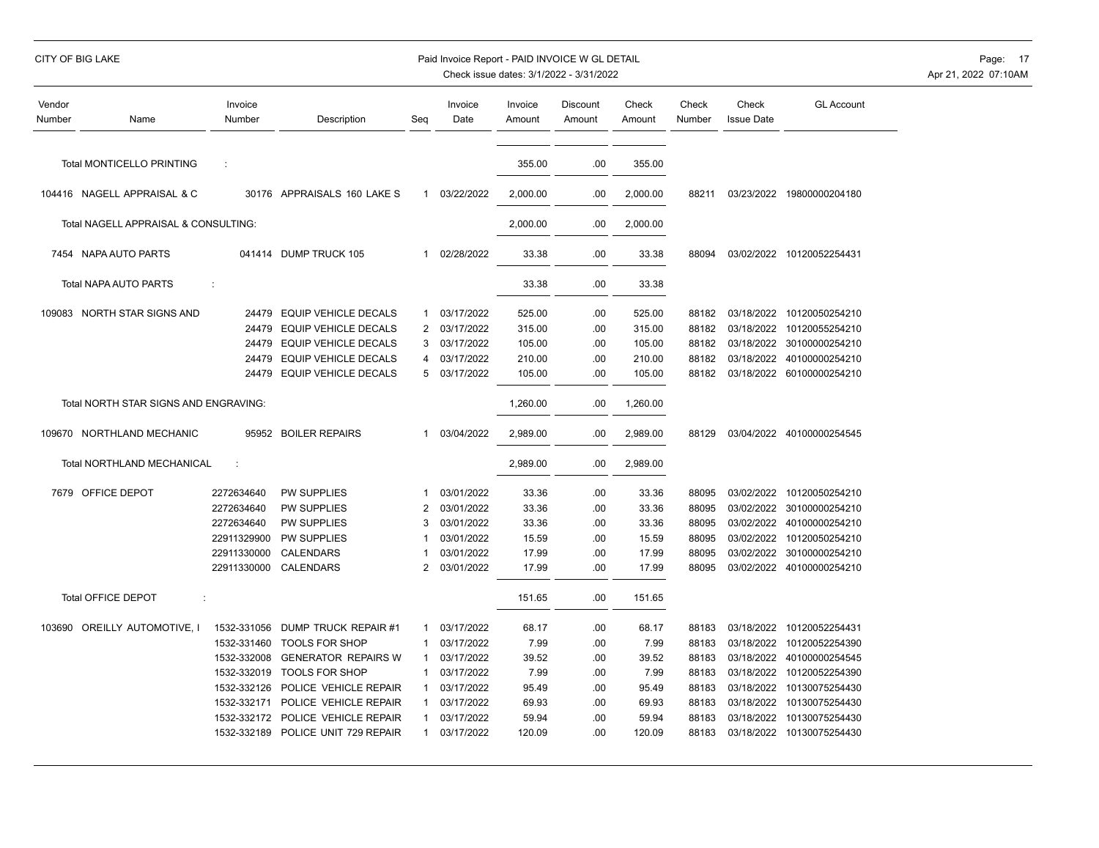| CITY OF BIG LAKE |  |  |  |  |
|------------------|--|--|--|--|
|                  |  |  |  |  |

## Paid Invoice Report - PAID INVOICE W GL DETAIL **Page: 17** Page: 17

| Vendor<br>Number | Name                                  | Invoice<br>Number | Description                 | Seq            | Invoice<br>Date | Invoice<br>Amount | Discount<br>Amount | Check<br>Amount | Check<br>Number | Check<br><b>Issue Date</b> | <b>GL Account</b>         |
|------------------|---------------------------------------|-------------------|-----------------------------|----------------|-----------------|-------------------|--------------------|-----------------|-----------------|----------------------------|---------------------------|
|                  | <b>Total MONTICELLO PRINTING</b>      | ÷                 |                             |                |                 | 355.00            | .00                | 355.00          |                 |                            |                           |
|                  |                                       |                   |                             |                |                 |                   |                    |                 |                 |                            |                           |
|                  | 104416 NAGELL APPRAISAL & C           |                   | 30176 APPRAISALS 160 LAKE S | 1              | 03/22/2022      | 2,000.00          | .00                | 2,000.00        | 88211           |                            | 03/23/2022 19800000204180 |
|                  | Total NAGELL APPRAISAL & CONSULTING:  |                   |                             |                |                 | 2,000.00          | .00                | 2,000.00        |                 |                            |                           |
|                  | 7454 NAPA AUTO PARTS                  | 041414            | DUMP TRUCK 105              | 1              | 02/28/2022      | 33.38             | .00                | 33.38           | 88094           |                            | 03/02/2022 10120052254431 |
|                  | Total NAPA AUTO PARTS                 | ÷                 |                             |                |                 | 33.38             | .00                | 33.38           |                 |                            |                           |
|                  | 109083 NORTH STAR SIGNS AND           | 24479             | <b>EQUIP VEHICLE DECALS</b> | 1              | 03/17/2022      | 525.00            | .00                | 525.00          | 88182           | 03/18/2022                 | 10120050254210            |
|                  |                                       | 24479             | <b>EQUIP VEHICLE DECALS</b> | 2              | 03/17/2022      | 315.00            | .00                | 315.00          | 88182           | 03/18/2022                 | 10120055254210            |
|                  |                                       | 24479             | EQUIP VEHICLE DECALS        | 3              | 03/17/2022      | 105.00            | .00                | 105.00          | 88182           | 03/18/2022                 | 30100000254210            |
|                  |                                       | 24479             | EQUIP VEHICLE DECALS        | 4              | 03/17/2022      | 210.00            | .00                | 210.00          | 88182           | 03/18/2022                 | 40100000254210            |
|                  |                                       | 24479             | EQUIP VEHICLE DECALS        | 5              | 03/17/2022      | 105.00            | .00                | 105.00          | 88182           |                            | 03/18/2022 60100000254210 |
|                  | Total NORTH STAR SIGNS AND ENGRAVING: |                   |                             |                |                 | 1,260.00          | .00                | 1,260.00        |                 |                            |                           |
|                  | 109670 NORTHLAND MECHANIC             |                   | 95952 BOILER REPAIRS        | $\mathbf 1$    | 03/04/2022      | 2,989.00          | .00                | 2,989.00        | 88129           |                            | 03/04/2022 40100000254545 |
|                  | Total NORTHLAND MECHANICAL            | ÷                 |                             |                |                 | 2,989.00          | .00                | 2,989.00        |                 |                            |                           |
|                  | 7679 OFFICE DEPOT                     | 2272634640        | <b>PW SUPPLIES</b>          | 1              | 03/01/2022      | 33.36             | .00                | 33.36           | 88095           | 03/02/2022                 | 10120050254210            |
|                  |                                       | 2272634640        | <b>PW SUPPLIES</b>          | $\overline{2}$ | 03/01/2022      | 33.36             | .00                | 33.36           | 88095           | 03/02/2022                 | 30100000254210            |
|                  |                                       | 2272634640        | <b>PW SUPPLIES</b>          | 3              | 03/01/2022      | 33.36             | .00                | 33.36           | 88095           | 03/02/2022                 | 40100000254210            |
|                  |                                       | 22911329900       | PW SUPPLIES                 |                | 03/01/2022      | 15.59             | .00                | 15.59           | 88095           | 03/02/2022                 | 10120050254210            |
|                  |                                       | 22911330000       | CALENDARS                   |                | 03/01/2022      | 17.99             | .00                | 17.99           | 88095           | 03/02/2022                 | 30100000254210            |
|                  |                                       | 22911330000       | CALENDARS                   | 2              | 03/01/2022      | 17.99             | .00                | 17.99           | 88095           |                            | 03/02/2022 40100000254210 |
|                  | <b>Total OFFICE DEPOT</b><br>÷        |                   |                             |                |                 | 151.65            | .00                | 151.65          |                 |                            |                           |
|                  | 103690 OREILLY AUTOMOTIVE, I          | 1532-331056       | DUMP TRUCK REPAIR #1        | 1              | 03/17/2022      | 68.17             | .00                | 68.17           | 88183           | 03/18/2022                 | 10120052254431            |
|                  |                                       | 1532-331460       | <b>TOOLS FOR SHOP</b>       |                | 03/17/2022      | 7.99              | .00                | 7.99            | 88183           | 03/18/2022                 | 10120052254390            |
|                  |                                       | 1532-332008       | <b>GENERATOR REPAIRS W</b>  |                | 03/17/2022      | 39.52             | .00                | 39.52           | 88183           | 03/18/2022                 | 40100000254545            |
|                  |                                       | 1532-332019       | <b>TOOLS FOR SHOP</b>       | 1              | 03/17/2022      | 7.99              | .00                | 7.99            | 88183           | 03/18/2022                 | 10120052254390            |
|                  |                                       | 1532-332126       | POLICE VEHICLE REPAIR       | -1             | 03/17/2022      | 95.49             | .00                | 95.49           | 88183           | 03/18/2022                 | 10130075254430            |
|                  |                                       | 1532-332171       | POLICE VEHICLE REPAIR       |                | 03/17/2022      | 69.93             | .00                | 69.93           | 88183           | 03/18/2022                 | 10130075254430            |
|                  |                                       | 1532-332172       | POLICE VEHICLE REPAIR       | 1              | 03/17/2022      | 59.94             | .00                | 59.94           | 88183           | 03/18/2022                 | 10130075254430            |
|                  |                                       | 1532-332189       | POLICE UNIT 729 REPAIR      | $\mathbf{1}$   | 03/17/2022      | 120.09            | .00                | 120.09          | 88183           | 03/18/2022                 | 10130075254430            |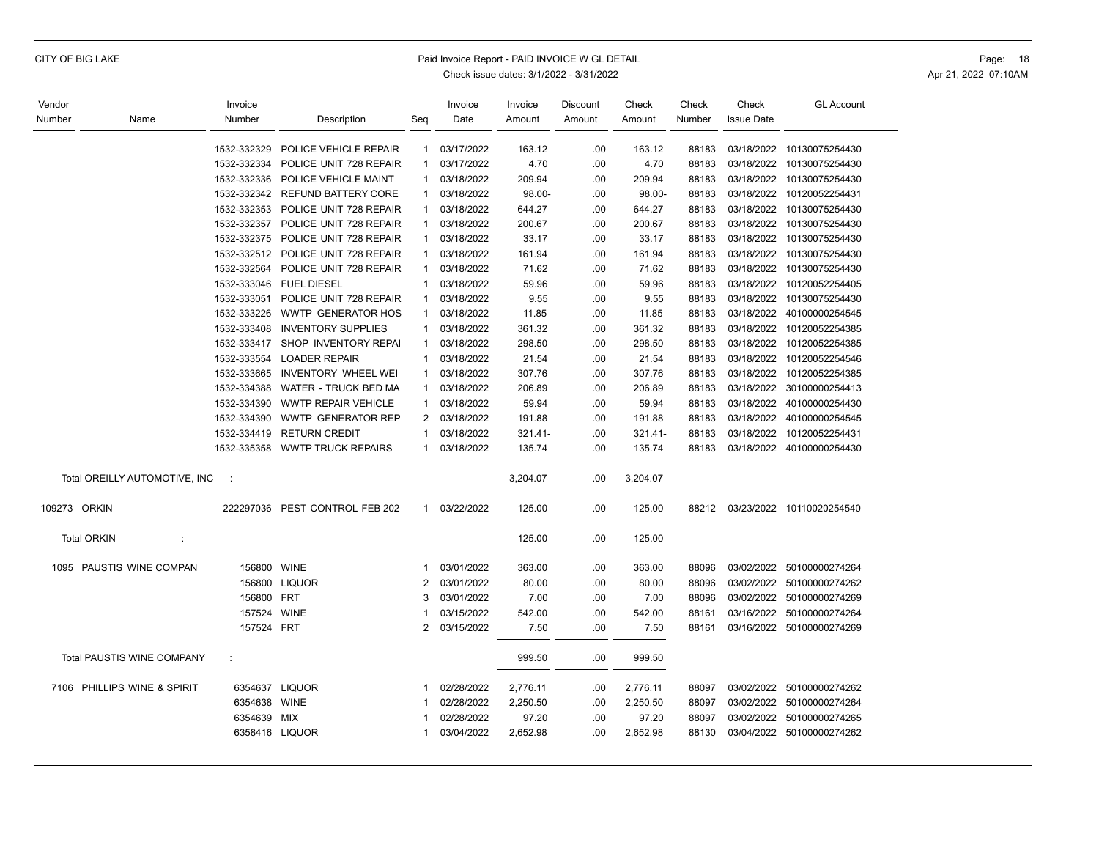## CITY OF BIG LAKE **Example 2008** Paid Invoice Report - PAID INVOICE W GL DETAIL **Page: 18** Page: 18

| Vendor             |                               | Invoice     |                                |                | Invoice    | Invoice  | Discount | Check    | Check  | Check             | <b>GL Account</b>         |
|--------------------|-------------------------------|-------------|--------------------------------|----------------|------------|----------|----------|----------|--------|-------------------|---------------------------|
| Number             | Name                          | Number      | Description                    | Seg            | Date       | Amount   | Amount   | Amount   | Number | <b>Issue Date</b> |                           |
|                    |                               |             |                                |                |            |          |          |          |        |                   |                           |
|                    |                               | 1532-332329 | POLICE VEHICLE REPAIR          | $\mathbf{1}$   | 03/17/2022 | 163.12   | .00      | 163.12   | 88183  |                   | 03/18/2022 10130075254430 |
|                    |                               | 1532-332334 | POLICE UNIT 728 REPAIR         | $\mathbf{1}$   | 03/17/2022 | 4.70     | .00      | 4.70     | 88183  |                   | 03/18/2022 10130075254430 |
|                    |                               | 1532-332336 | POLICE VEHICLE MAINT           | 1              | 03/18/2022 | 209.94   | .00      | 209.94   | 88183  | 03/18/2022        | 10130075254430            |
|                    |                               | 1532-332342 | <b>REFUND BATTERY CORE</b>     | 1              | 03/18/2022 | 98.00-   | .00      | 98.00-   | 88183  | 03/18/2022        | 10120052254431            |
|                    |                               | 1532-332353 | POLICE UNIT 728 REPAIR         | 1              | 03/18/2022 | 644.27   | .00.     | 644.27   | 88183  | 03/18/2022        | 10130075254430            |
|                    |                               | 1532-332357 | POLICE UNIT 728 REPAIR         | $\mathbf{1}$   | 03/18/2022 | 200.67   | .00      | 200.67   | 88183  |                   | 03/18/2022 10130075254430 |
|                    |                               | 1532-332375 | POLICE UNIT 728 REPAIR         | $\mathbf{1}$   | 03/18/2022 | 33.17    | .00      | 33.17    | 88183  |                   | 03/18/2022 10130075254430 |
|                    |                               | 1532-332512 | POLICE UNIT 728 REPAIR         | 1              | 03/18/2022 | 161.94   | .00      | 161.94   | 88183  |                   | 03/18/2022 10130075254430 |
|                    |                               | 1532-332564 | POLICE UNIT 728 REPAIR         | $\mathbf{1}$   | 03/18/2022 | 71.62    | .00      | 71.62    | 88183  | 03/18/2022        | 10130075254430            |
|                    |                               | 1532-333046 | <b>FUEL DIESEL</b>             | $\mathbf{1}$   | 03/18/2022 | 59.96    | .00      | 59.96    | 88183  | 03/18/2022        | 10120052254405            |
|                    |                               | 1532-333051 | POLICE UNIT 728 REPAIR         | -1             | 03/18/2022 | 9.55     | .00      | 9.55     | 88183  | 03/18/2022        | 10130075254430            |
|                    |                               | 1532-333226 | <b>WWTP GENERATOR HOS</b>      | 1              | 03/18/2022 | 11.85    | .00      | 11.85    | 88183  |                   | 03/18/2022 40100000254545 |
|                    |                               | 1532-333408 | <b>INVENTORY SUPPLIES</b>      | $\mathbf{1}$   | 03/18/2022 | 361.32   | .00      | 361.32   | 88183  |                   | 03/18/2022 10120052254385 |
|                    |                               | 1532-333417 | SHOP INVENTORY REPAI           | $\mathbf{1}$   | 03/18/2022 | 298.50   | .00      | 298.50   | 88183  |                   | 03/18/2022 10120052254385 |
|                    |                               | 1532-333554 | <b>LOADER REPAIR</b>           |                | 03/18/2022 | 21.54    | .00      | 21.54    | 88183  |                   | 03/18/2022 10120052254546 |
|                    |                               | 1532-333665 | INVENTORY WHEEL WEI            | 1              | 03/18/2022 | 307.76   | .00      | 307.76   | 88183  | 03/18/2022        | 10120052254385            |
|                    |                               | 1532-334388 | WATER - TRUCK BED MA           |                | 03/18/2022 | 206.89   | .00      | 206.89   | 88183  |                   | 03/18/2022 30100000254413 |
|                    |                               | 1532-334390 | <b>WWTP REPAIR VEHICLE</b>     | 1              | 03/18/2022 | 59.94    | .00      | 59.94    | 88183  |                   | 03/18/2022 40100000254430 |
|                    |                               | 1532-334390 | <b>WWTP GENERATOR REP</b>      | 2              | 03/18/2022 | 191.88   | .00      | 191.88   | 88183  |                   | 03/18/2022 40100000254545 |
|                    |                               | 1532-334419 | <b>RETURN CREDIT</b>           | $\mathbf{1}$   | 03/18/2022 | 321.41-  | .00      | 321.41-  | 88183  |                   | 03/18/2022 10120052254431 |
|                    |                               | 1532-335358 | <b>WWTP TRUCK REPAIRS</b>      | $\mathbf{1}$   | 03/18/2022 | 135.74   | .00      | 135.74   | 88183  |                   | 03/18/2022 40100000254430 |
|                    |                               |             |                                |                |            |          |          |          |        |                   |                           |
|                    | Total OREILLY AUTOMOTIVE, INC | $\cdot$ :   |                                |                |            | 3,204.07 | .00      | 3,204.07 |        |                   |                           |
|                    |                               |             |                                |                |            |          |          |          |        |                   |                           |
| 109273 ORKIN       |                               |             | 222297036 PEST CONTROL FEB 202 | $\mathbf{1}$   | 03/22/2022 | 125.00   | .00      | 125.00   | 88212  |                   | 03/23/2022 10110020254540 |
|                    |                               |             |                                |                |            |          |          |          |        |                   |                           |
| <b>Total ORKIN</b> | ÷                             |             |                                |                |            | 125.00   | .00      | 125.00   |        |                   |                           |
|                    |                               |             |                                |                |            |          |          |          |        |                   |                           |
|                    | 1095 PAUSTIS WINE COMPAN      | 156800 WINE |                                | 1              | 03/01/2022 | 363.00   | .00      | 363.00   | 88096  |                   | 03/02/2022 50100000274264 |
|                    |                               |             | 156800 LIQUOR                  | 2              | 03/01/2022 | 80.00    | .00      | 80.00    | 88096  |                   | 03/02/2022 50100000274262 |
|                    |                               | 156800      | <b>FRT</b>                     | 3              | 03/01/2022 | 7.00     | .00      | 7.00     | 88096  |                   | 03/02/2022 50100000274269 |
|                    |                               | 157524      | <b>WINE</b>                    | -1             | 03/15/2022 | 542.00   | .00      | 542.00   | 88161  |                   | 03/16/2022 50100000274264 |
|                    |                               | 157524 FRT  |                                | $\overline{2}$ | 03/15/2022 | 7.50     | .00      | 7.50     | 88161  |                   | 03/16/2022 50100000274269 |
|                    |                               |             |                                |                |            |          |          |          |        |                   |                           |
|                    | Total PAUSTIS WINE COMPANY    | ÷           |                                |                |            | 999.50   | .00.     | 999.50   |        |                   |                           |
|                    |                               |             |                                |                |            |          |          |          |        |                   |                           |
|                    | 7106 PHILLIPS WINE & SPIRIT   |             | 6354637 LIQUOR                 | $\mathbf 1$    | 02/28/2022 | 2,776.11 | .00      | 2,776.11 | 88097  |                   | 03/02/2022 50100000274262 |
|                    |                               | 6354638     | <b>WINE</b>                    | -1             | 02/28/2022 | 2,250.50 | .00      | 2,250.50 | 88097  |                   | 03/02/2022 50100000274264 |
|                    |                               | 6354639     | MIX                            | -1             | 02/28/2022 | 97.20    | .00      | 97.20    | 88097  |                   | 03/02/2022 50100000274265 |
|                    |                               |             | 6358416 LIQUOR                 | 1              | 03/04/2022 | 2,652.98 | .00      | 2,652.98 | 88130  |                   | 03/04/2022 50100000274262 |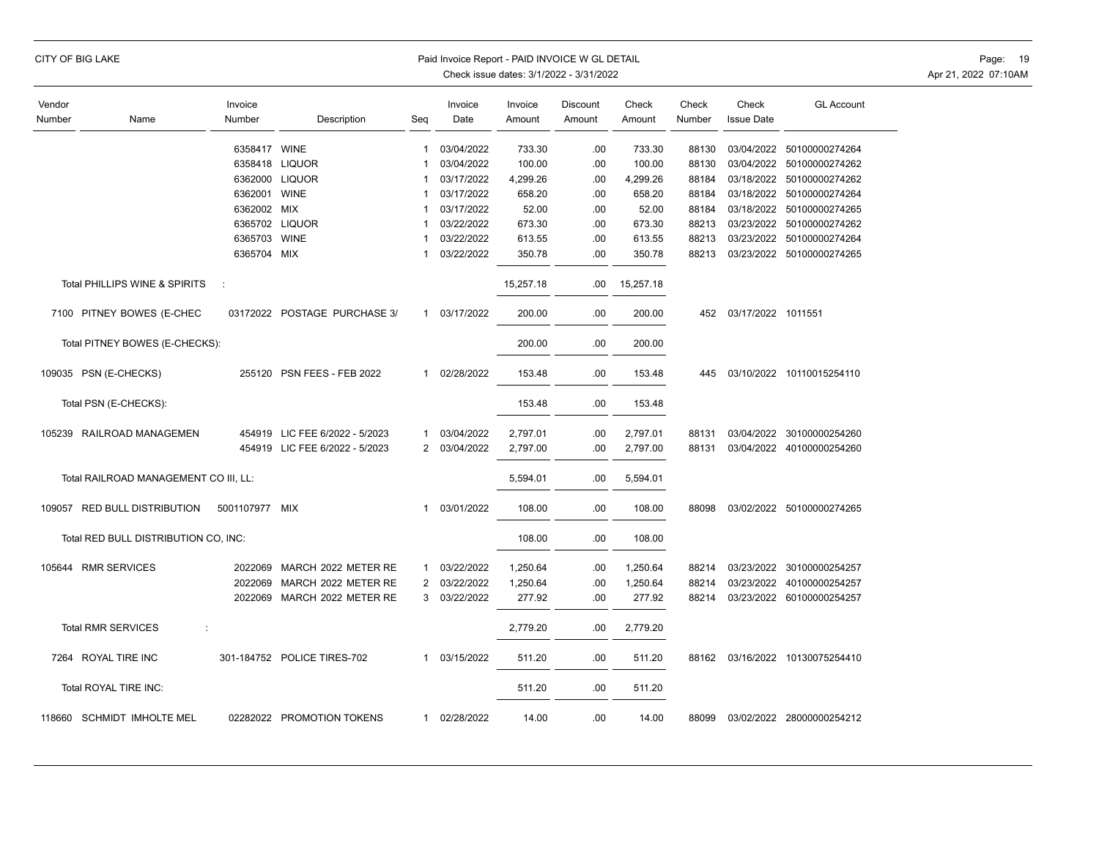| CITY OF BIG LAKE<br>Paid Invoice Report - PAID INVOICE W GL DETAIL<br>Check issue dates: 3/1/2022 - 3/31/2022 |                                       |                   |                                |              |                 |                   |                    |                 |                 |                            |                                 |  |
|---------------------------------------------------------------------------------------------------------------|---------------------------------------|-------------------|--------------------------------|--------------|-----------------|-------------------|--------------------|-----------------|-----------------|----------------------------|---------------------------------|--|
| Vendor<br>Number                                                                                              | Name                                  | Invoice<br>Number | Description                    | Seg          | Invoice<br>Date | Invoice<br>Amount | Discount<br>Amount | Check<br>Amount | Check<br>Number | Check<br><b>Issue Date</b> | <b>GL Account</b>               |  |
|                                                                                                               |                                       | 6358417 WINE      |                                | $\mathbf{1}$ | 03/04/2022      | 733.30            | .00                | 733.30          | 88130           |                            | 03/04/2022 50100000274264       |  |
|                                                                                                               |                                       |                   | 6358418 LIQUOR                 | 1            | 03/04/2022      | 100.00            | .00                | 100.00          | 88130           | 03/04/2022                 | 50100000274262                  |  |
|                                                                                                               |                                       |                   | 6362000 LIQUOR                 | 1            | 03/17/2022      | 4,299.26          | .00                | 4,299.26        | 88184           |                            | 03/18/2022 50100000274262       |  |
|                                                                                                               |                                       | 6362001 WINE      |                                | $\mathbf 1$  | 03/17/2022      | 658.20            | .00                | 658.20          | 88184           |                            | 03/18/2022 50100000274264       |  |
|                                                                                                               |                                       | 6362002 MIX       |                                |              | 03/17/2022      | 52.00             | .00                | 52.00           | 88184           | 03/18/2022                 | 50100000274265                  |  |
|                                                                                                               |                                       |                   | 6365702 LIQUOR                 | 1            | 03/22/2022      | 673.30            | .00                | 673.30          | 88213           |                            | 03/23/2022 50100000274262       |  |
|                                                                                                               |                                       | 6365703 WINE      |                                | $\mathbf 1$  | 03/22/2022      | 613.55            | .00                | 613.55          | 88213           |                            | 03/23/2022 50100000274264       |  |
|                                                                                                               |                                       | 6365704 MIX       |                                | 1            | 03/22/2022      | 350.78            | .00                | 350.78          | 88213           |                            | 03/23/2022 50100000274265       |  |
|                                                                                                               | Total PHILLIPS WINE & SPIRITS         | ÷                 |                                |              |                 | 15,257.18         | .00.               | 15,257.18       |                 |                            |                                 |  |
|                                                                                                               | 7100 PITNEY BOWES (E-CHEC             |                   | 03172022 POSTAGE PURCHASE 3/   | $\mathbf{1}$ | 03/17/2022      | 200.00            | .00                | 200.00          |                 | 452 03/17/2022 1011551     |                                 |  |
|                                                                                                               | Total PITNEY BOWES (E-CHECKS):        |                   |                                |              |                 | 200.00            | .00                | 200.00          |                 |                            |                                 |  |
|                                                                                                               | 109035 PSN (E-CHECKS)                 |                   | 255120 PSN FEES - FEB 2022     | 1            | 02/28/2022      | 153.48            | .00                | 153.48          | 445             |                            | 03/10/2022 10110015254110       |  |
|                                                                                                               | Total PSN (E-CHECKS):                 |                   |                                |              |                 | 153.48            | .00                | 153.48          |                 |                            |                                 |  |
|                                                                                                               | 105239 RAILROAD MANAGEMEN             |                   | 454919 LIC FEE 6/2022 - 5/2023 | 1            | 03/04/2022      | 2,797.01          | .00                | 2,797.01        | 88131           |                            | 03/04/2022 30100000254260       |  |
|                                                                                                               |                                       |                   | 454919 LIC FEE 6/2022 - 5/2023 |              | 2 03/04/2022    | 2,797.00          | .00                | 2,797.00        | 88131           |                            | 03/04/2022 40100000254260       |  |
|                                                                                                               | Total RAILROAD MANAGEMENT CO III, LL: |                   |                                |              |                 | 5,594.01          | .00                | 5,594.01        |                 |                            |                                 |  |
|                                                                                                               | 109057 RED BULL DISTRIBUTION          | 5001107977 MIX    |                                | 1            | 03/01/2022      | 108.00            | .00                | 108.00          | 88098           |                            | 03/02/2022 50100000274265       |  |
|                                                                                                               | Total RED BULL DISTRIBUTION CO, INC:  |                   |                                |              |                 | 108.00            | .00                | 108.00          |                 |                            |                                 |  |
|                                                                                                               | 105644 RMR SERVICES                   | 2022069           | MARCH 2022 METER RE            | 1            | 03/22/2022      | 1,250.64          | .00                | 1,250.64        | 88214           |                            | 03/23/2022 30100000254257       |  |
|                                                                                                               |                                       | 2022069           | MARCH 2022 METER RE            |              | 2 03/22/2022    | 1,250.64          | .00                | 1,250.64        | 88214           |                            | 03/23/2022 40100000254257       |  |
|                                                                                                               |                                       |                   | 2022069 MARCH 2022 METER RE    | 3            | 03/22/2022      | 277.92            | .00                | 277.92          | 88214           |                            | 03/23/2022 60100000254257       |  |
|                                                                                                               | <b>Total RMR SERVICES</b>             |                   |                                |              |                 | 2,779.20          | .00                | 2,779.20        |                 |                            |                                 |  |
|                                                                                                               | 7264 ROYAL TIRE INC                   |                   | 301-184752 POLICE TIRES-702    | 1            | 03/15/2022      | 511.20            | .00                | 511.20          |                 |                            | 88162 03/16/2022 10130075254410 |  |
|                                                                                                               | Total ROYAL TIRE INC:                 |                   |                                |              |                 | 511.20            | .00                | 511.20          |                 |                            |                                 |  |
|                                                                                                               | 118660 SCHMIDT IMHOLTE MEL            |                   | 02282022 PROMOTION TOKENS      |              | 1 02/28/2022    | 14.00             | .00                | 14.00           | 88099           |                            | 03/02/2022 28000000254212       |  |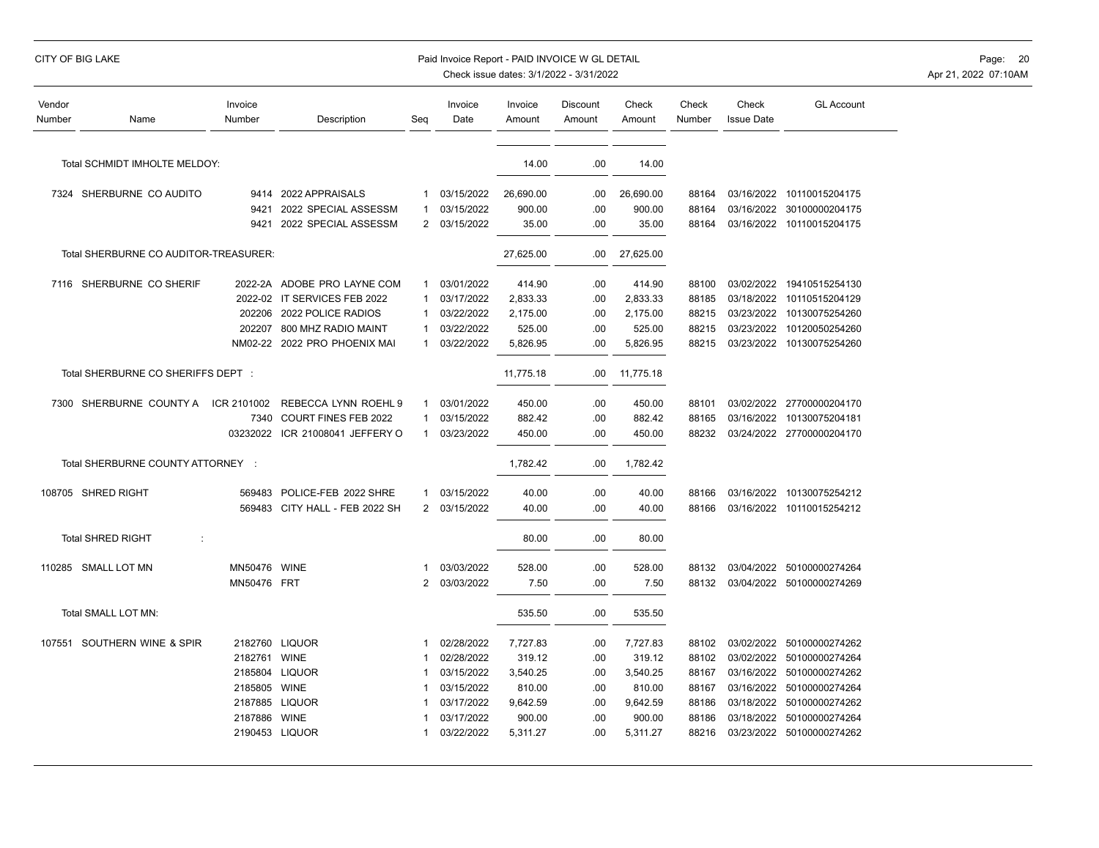## CITY OF BIG LAKE **Example 20** Paid Invoice Report - PAID INVOICE W GL DETAIL **Page: 20** Page: 20

| Vendor<br>Number                      | Name                              | Invoice<br>Number | Description                  | Seg            | Invoice<br>Date | Invoice<br>Amount | <b>Discount</b><br>Amount | Check<br>Amount | Check<br>Number | Check<br><b>Issue Date</b> | <b>GL Account</b>         |
|---------------------------------------|-----------------------------------|-------------------|------------------------------|----------------|-----------------|-------------------|---------------------------|-----------------|-----------------|----------------------------|---------------------------|
|                                       | Total SCHMIDT IMHOLTE MELDOY:     |                   |                              |                |                 | 14.00             | .00                       | 14.00           |                 |                            |                           |
|                                       | 7324 SHERBURNE CO AUDITO          | 9414              | 2022 APPRAISALS              | $\mathbf{1}$   | 03/15/2022      | 26,690.00         | .00                       | 26,690.00       | 88164           |                            | 03/16/2022 10110015204175 |
|                                       |                                   | 9421              | 2022 SPECIAL ASSESSM         | -1             | 03/15/2022      | 900.00            | .00                       | 900.00          | 88164           |                            | 03/16/2022 30100000204175 |
|                                       |                                   | 9421              | 2022 SPECIAL ASSESSM         | $\overline{2}$ | 03/15/2022      | 35.00             | .00                       | 35.00           | 88164           |                            | 03/16/2022 10110015204175 |
| Total SHERBURNE CO AUDITOR-TREASURER: |                                   |                   |                              |                |                 | 27,625.00         | .00                       | 27,625.00       |                 |                            |                           |
|                                       | 7116 SHERBURNE CO SHERIF          |                   | 2022-2A ADOBE PRO LAYNE COM  | 1              | 03/01/2022      | 414.90            | .00                       | 414.90          | 88100           |                            | 03/02/2022 19410515254130 |
|                                       |                                   |                   | 2022-02 IT SERVICES FEB 2022 | 1              | 03/17/2022      | 2,833.33          | .00                       | 2,833.33        | 88185           |                            | 03/18/2022 10110515204129 |
|                                       |                                   | 202206            | 2022 POLICE RADIOS           |                | 03/22/2022      | 2,175.00          | .00                       | 2,175.00        | 88215           |                            | 03/23/2022 10130075254260 |
|                                       |                                   | 202207            | 800 MHZ RADIO MAINT          |                | 03/22/2022      | 525.00            | .00                       | 525.00          | 88215           |                            | 03/23/2022 10120050254260 |
|                                       |                                   | NM02-22           | 2022 PRO PHOENIX MAI         | 1              | 03/22/2022      | 5,826.95          | .00                       | 5,826.95        | 88215           |                            | 03/23/2022 10130075254260 |
| Total SHERBURNE CO SHERIFFS DEPT :    |                                   |                   |                              |                |                 | 11,775.18         | .00                       | 11,775.18       |                 |                            |                           |
|                                       | 7300 SHERBURNE COUNTY A           | ICR 2101002       | REBECCA LYNN ROEHL 9         |                | 03/01/2022      | 450.00            | .00                       | 450.00          | 88101           |                            | 03/02/2022 27700000204170 |
|                                       |                                   | 7340              | <b>COURT FINES FEB 2022</b>  | -1             | 03/15/2022      | 882.42            | .00                       | 882.42          | 88165           |                            | 03/16/2022 10130075204181 |
|                                       |                                   | 03232022          | ICR 21008041 JEFFERY O       | $\mathbf{1}$   | 03/23/2022      | 450.00            | .00                       | 450.00          | 88232           |                            | 03/24/2022 27700000204170 |
|                                       | Total SHERBURNE COUNTY ATTORNEY : |                   |                              |                |                 | 1,782.42          | .00                       | 1,782.42        |                 |                            |                           |
|                                       | 108705 SHRED RIGHT                | 569483            | POLICE-FEB 2022 SHRE         | 1              | 03/15/2022      | 40.00             | .00                       | 40.00           | 88166           |                            | 03/16/2022 10130075254212 |
|                                       |                                   | 569483            | CITY HALL - FEB 2022 SH      | $\mathbf{2}$   | 03/15/2022      | 40.00             | .00                       | 40.00           | 88166           |                            | 03/16/2022 10110015254212 |
|                                       | <b>Total SHRED RIGHT</b><br>÷     |                   |                              |                |                 | 80.00             | .00                       | 80.00           |                 |                            |                           |
|                                       | 110285 SMALL LOT MN               | MN50476 WINE      |                              | -1             | 03/03/2022      | 528.00            | .00                       | 528.00          | 88132           |                            | 03/04/2022 50100000274264 |
|                                       |                                   | MN50476 FRT       |                              | 2              | 03/03/2022      | 7.50              | .00                       | 7.50            | 88132           |                            | 03/04/2022 50100000274269 |
|                                       | Total SMALL LOT MN:               |                   |                              |                |                 | 535.50            | .00                       | 535.50          |                 |                            |                           |
|                                       | 107551 SOUTHERN WINE & SPIR       |                   | 2182760 LIQUOR               |                | 02/28/2022      | 7,727.83          | .00                       | 7,727.83        | 88102           | 03/02/2022                 | 50100000274262            |
|                                       |                                   | 2182761           | <b>WINE</b>                  |                | 02/28/2022      | 319.12            | .00                       | 319.12          | 88102           |                            | 03/02/2022 50100000274264 |
|                                       |                                   | 2185804           | <b>LIQUOR</b>                |                | 03/15/2022      | 3,540.25          | .00                       | 3,540.25        | 88167           | 03/16/2022                 | 50100000274262            |
|                                       |                                   | 2185805           | <b>WINE</b>                  |                | 03/15/2022      | 810.00            | .00                       | 810.00          | 88167           | 03/16/2022                 | 50100000274264            |
|                                       |                                   | 2187885           | <b>LIQUOR</b>                |                | 03/17/2022      | 9,642.59          | .00                       | 9,642.59        | 88186           | 03/18/2022                 | 50100000274262            |
|                                       |                                   | 2187886           | <b>WINE</b>                  |                | 03/17/2022      | 900.00            | .00                       | 900.00          | 88186           | 03/18/2022                 | 50100000274264            |
|                                       |                                   |                   | 2190453 LIQUOR               |                | 03/22/2022      | 5,311.27          | .00                       | 5,311.27        | 88216           |                            | 03/23/2022 50100000274262 |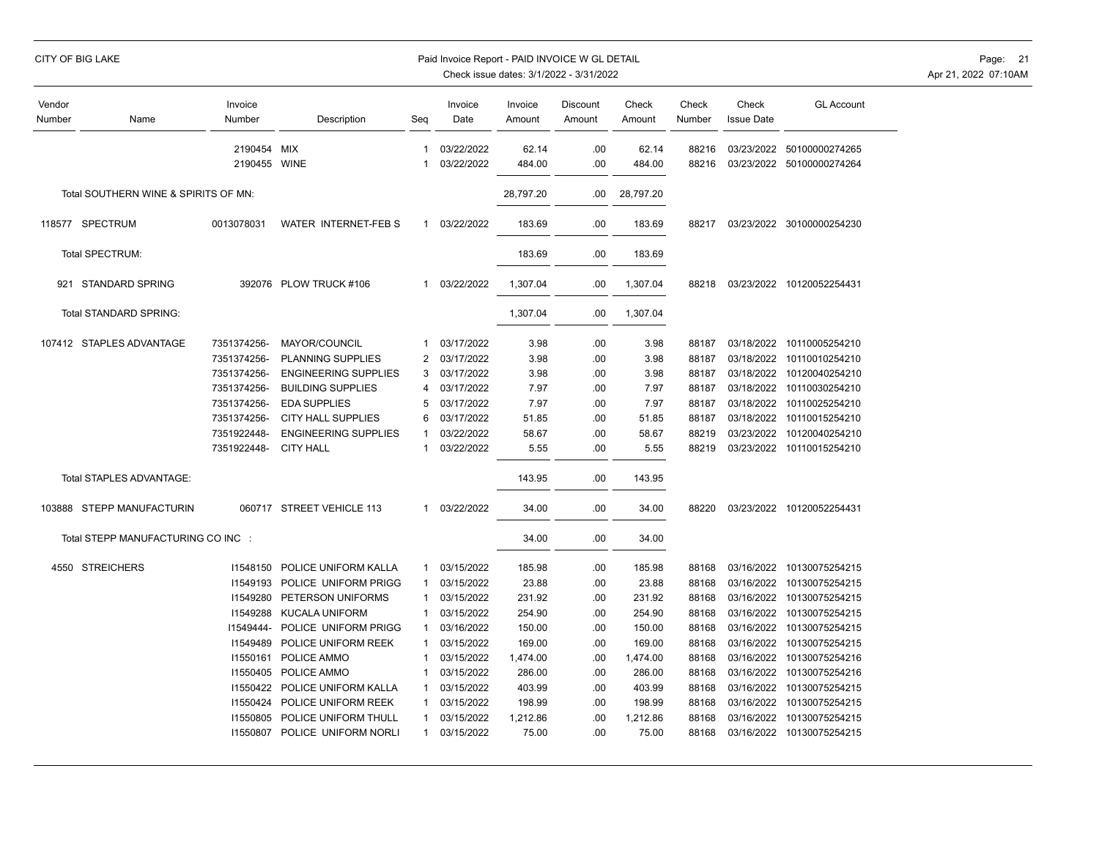|  | CITY OF BIG LAKE |
|--|------------------|
|  |                  |

## Paid Invoice Report - PAID INVOICE W GL DETAIL **Page:** 21

| Vendor<br>Number | Name                                 | Invoice<br>Number       | Description                   | Seg               | Invoice<br>Date          | Invoice<br>Amount | Discount<br>Amount | Check<br>Amount | Check<br>Number | Check<br><b>Issue Date</b> | <b>GL Account</b>                                      |
|------------------|--------------------------------------|-------------------------|-------------------------------|-------------------|--------------------------|-------------------|--------------------|-----------------|-----------------|----------------------------|--------------------------------------------------------|
|                  |                                      | 2190454<br>2190455 WINE | MIX                           | $\mathbf{1}$<br>1 | 03/22/2022<br>03/22/2022 | 62.14<br>484.00   | .00<br>.00         | 62.14<br>484.00 | 88216<br>88216  |                            | 03/23/2022 50100000274265<br>03/23/2022 50100000274264 |
|                  | Total SOUTHERN WINE & SPIRITS OF MN: |                         |                               |                   |                          | 28,797.20         | .00                | 28,797.20       |                 |                            |                                                        |
|                  | 118577 SPECTRUM                      | 0013078031              | <b>WATER INTERNET-FEBS</b>    | 1                 | 03/22/2022               | 183.69            | .00                | 183.69          | 88217           |                            | 03/23/2022 30100000254230                              |
|                  | Total SPECTRUM:                      |                         |                               |                   |                          | 183.69            | .00                | 183.69          |                 |                            |                                                        |
|                  | 921 STANDARD SPRING                  |                         | 392076 PLOW TRUCK #106        | $\mathbf{1}$      | 03/22/2022               | 1,307.04          | .00                | 1,307.04        | 88218           |                            | 03/23/2022 10120052254431                              |
|                  | Total STANDARD SPRING:               |                         |                               |                   |                          | 1,307.04          | .00                | 1,307.04        |                 |                            |                                                        |
|                  | 107412 STAPLES ADVANTAGE             | 7351374256-             | <b>MAYOR/COUNCIL</b>          | 1                 | 03/17/2022               | 3.98              | .00                | 3.98            | 88187           | 03/18/2022                 | 10110005254210                                         |
|                  |                                      | 7351374256-             | PLANNING SUPPLIES             | 2                 | 03/17/2022               | 3.98              | .00                | 3.98            | 88187           | 03/18/2022                 | 10110010254210                                         |
|                  |                                      | 7351374256-             | <b>ENGINEERING SUPPLIES</b>   | 3                 | 03/17/2022               | 3.98              | .00                | 3.98            | 88187           | 03/18/2022                 | 10120040254210                                         |
|                  |                                      | 7351374256-             | <b>BUILDING SUPPLIES</b>      | 4                 | 03/17/2022               | 7.97              | .00                | 7.97            | 88187           |                            | 03/18/2022 10110030254210                              |
|                  |                                      | 7351374256-             | <b>EDA SUPPLIES</b>           | 5                 | 03/17/2022               | 7.97              | .00                | 7.97            | 88187           | 03/18/2022                 | 10110025254210                                         |
|                  |                                      | 7351374256-             | <b>CITY HALL SUPPLIES</b>     | 6                 | 03/17/2022               | 51.85             | .00                | 51.85           | 88187           |                            | 03/18/2022 10110015254210                              |
|                  |                                      | 7351922448-             | <b>ENGINEERING SUPPLIES</b>   |                   | 03/22/2022               | 58.67             | .00                | 58.67           | 88219           | 03/23/2022                 | 10120040254210                                         |
|                  |                                      | 7351922448-             | <b>CITY HALL</b>              | 1                 | 03/22/2022               | 5.55              | .00                | 5.55            | 88219           |                            | 03/23/2022 10110015254210                              |
|                  | Total STAPLES ADVANTAGE:             |                         |                               |                   |                          | 143.95            | .00                | 143.95          |                 |                            |                                                        |
|                  | 103888 STEPP MANUFACTURIN            |                         | 060717 STREET VEHICLE 113     | $\mathbf{1}$      | 03/22/2022               | 34.00             | .00                | 34.00           | 88220           |                            | 03/23/2022 10120052254431                              |
|                  | Total STEPP MANUFACTURING CO INC :   |                         |                               |                   |                          | 34.00             | .00                | 34.00           |                 |                            |                                                        |
| 4550             | <b>STREICHERS</b>                    | 11548150                | POLICE UNIFORM KALLA          | 1                 | 03/15/2022               | 185.98            | .00                | 185.98          | 88168           | 03/16/2022                 | 10130075254215                                         |
|                  |                                      | 11549193                | POLICE UNIFORM PRIGG          |                   | 03/15/2022               | 23.88             | .00                | 23.88           | 88168           | 03/16/2022                 | 10130075254215                                         |
|                  |                                      | 11549280                | PETERSON UNIFORMS             | 1                 | 03/15/2022               | 231.92            | .00                | 231.92          | 88168           | 03/16/2022                 | 10130075254215                                         |
|                  |                                      | 11549288                | <b>KUCALA UNIFORM</b>         |                   | 03/15/2022               | 254.90            | .00                | 254.90          | 88168           | 03/16/2022                 | 10130075254215                                         |
|                  |                                      | 11549444-               | POLICE UNIFORM PRIGG          | 1                 | 03/16/2022               | 150.00            | .00                | 150.00          | 88168           | 03/16/2022                 | 10130075254215                                         |
|                  |                                      | 11549489                | POLICE UNIFORM REEK           | 1                 | 03/15/2022               | 169.00            | .00                | 169.00          | 88168           | 03/16/2022                 | 10130075254215                                         |
|                  |                                      | 11550161                | POLICE AMMO                   | 1                 | 03/15/2022               | 1,474.00          | .00                | 1,474.00        | 88168           |                            | 03/16/2022 10130075254216                              |
|                  |                                      | 11550405                | POLICE AMMO                   |                   | 03/15/2022               | 286.00            | .00                | 286.00          | 88168           | 03/16/2022                 | 10130075254216                                         |
|                  |                                      | 11550422                | POLICE UNIFORM KALLA          |                   | 03/15/2022               | 403.99            | .00                | 403.99          | 88168           | 03/16/2022                 | 10130075254215                                         |
|                  |                                      | 11550424                | POLICE UNIFORM REEK           | 1                 | 03/15/2022               | 198.99            | .00                | 198.99          | 88168           | 03/16/2022                 | 10130075254215                                         |
|                  |                                      | 11550805                | POLICE UNIFORM THULL          | 1                 | 03/15/2022               | 1,212.86          | .00                | 1,212.86        | 88168           | 03/16/2022                 | 10130075254215                                         |
|                  |                                      |                         | 11550807 POLICE UNIFORM NORLI | $\mathbf{1}$      | 03/15/2022               | 75.00             | .00                | 75.00           | 88168           |                            | 03/16/2022 10130075254215                              |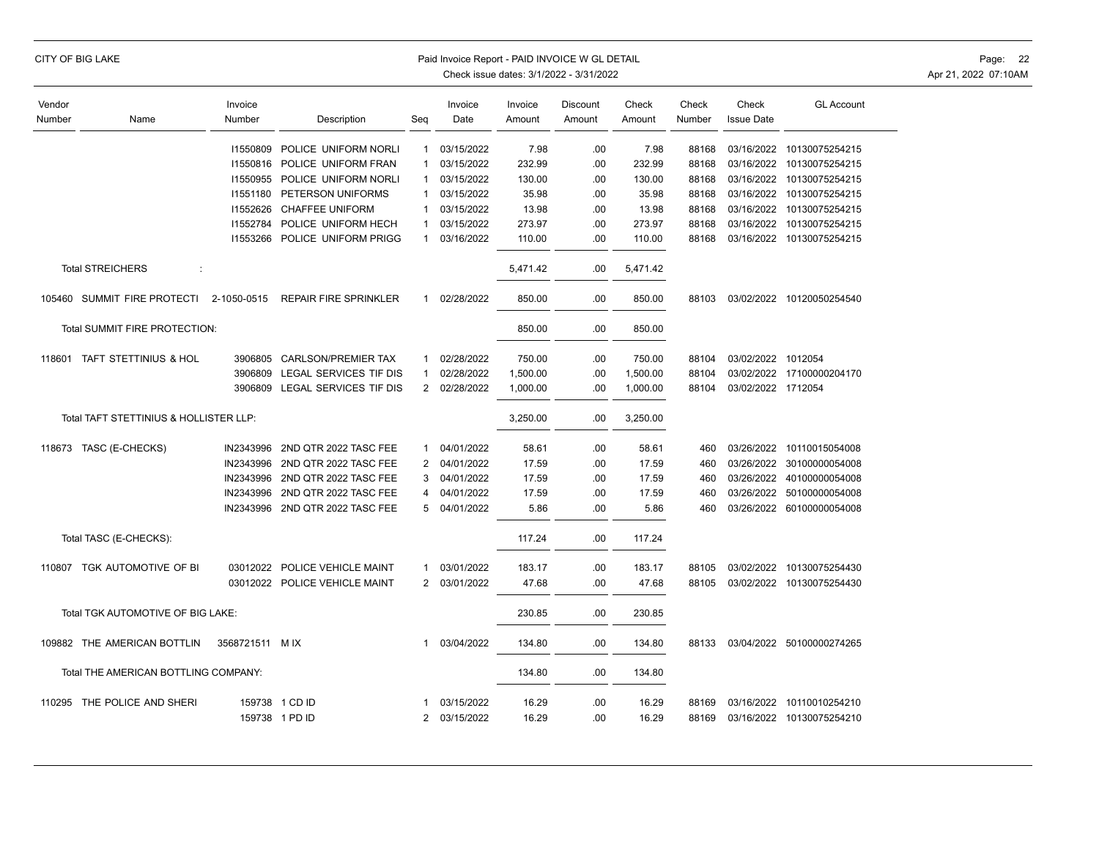| CITY OF BIG LAKE |  |
|------------------|--|
|------------------|--|

## Paid Invoice Report - PAID INVOICE W GL DETAIL **Page:** 22

| Vendor                               |                                        | Invoice        |                               |                | Invoice    | Invoice  | Discount | Check    | Check  | Check              | <b>GL Account</b>         |
|--------------------------------------|----------------------------------------|----------------|-------------------------------|----------------|------------|----------|----------|----------|--------|--------------------|---------------------------|
| Number                               | Name                                   | Number         | Description                   | Seq            | Date       | Amount   | Amount   | Amount   | Number | <b>Issue Date</b>  |                           |
|                                      |                                        |                |                               |                |            |          |          |          |        |                    |                           |
|                                      |                                        | 11550809       | POLICE UNIFORM NORLI          | $\mathbf 1$    | 03/15/2022 | 7.98     | .00.     | 7.98     | 88168  | 03/16/2022         | 10130075254215            |
|                                      |                                        | 11550816       | POLICE UNIFORM FRAN           | -1             | 03/15/2022 | 232.99   | .00.     | 232.99   | 88168  | 03/16/2022         | 10130075254215            |
|                                      |                                        | 11550955       | POLICE UNIFORM NORLI          | 1              | 03/15/2022 | 130.00   | .00      | 130.00   | 88168  | 03/16/2022         | 10130075254215            |
|                                      |                                        | 11551180       | PETERSON UNIFORMS             | -1             | 03/15/2022 | 35.98    | .00.     | 35.98    | 88168  |                    | 03/16/2022 10130075254215 |
|                                      |                                        | 11552626       | <b>CHAFFEE UNIFORM</b>        |                | 03/15/2022 | 13.98    | .00.     | 13.98    | 88168  |                    | 03/16/2022 10130075254215 |
|                                      |                                        | 11552784       | POLICE UNIFORM HECH           | -1             | 03/15/2022 | 273.97   | .00.     | 273.97   | 88168  |                    | 03/16/2022 10130075254215 |
|                                      |                                        |                | 11553266 POLICE UNIFORM PRIGG | 1              | 03/16/2022 | 110.00   | .00      | 110.00   | 88168  |                    | 03/16/2022 10130075254215 |
|                                      | <b>Total STREICHERS</b><br>÷           |                |                               |                |            | 5,471.42 | .00      | 5,471.42 |        |                    |                           |
|                                      | 105460 SUMMIT FIRE PROTECTI            | 2-1050-0515    | <b>REPAIR FIRE SPRINKLER</b>  | 1              | 02/28/2022 | 850.00   | .00      | 850.00   | 88103  |                    | 03/02/2022 10120050254540 |
|                                      | Total SUMMIT FIRE PROTECTION:          |                |                               |                |            | 850.00   | .00.     | 850.00   |        |                    |                           |
|                                      | 118601 TAFT STETTINIUS & HOL           | 3906805        | <b>CARLSON/PREMIER TAX</b>    | 1              | 02/28/2022 | 750.00   | .00.     | 750.00   | 88104  | 03/02/2022 1012054 |                           |
|                                      |                                        | 3906809        | LEGAL SERVICES TIF DIS        |                | 02/28/2022 | 1,500.00 | .00      | 1,500.00 | 88104  |                    | 03/02/2022 17100000204170 |
|                                      |                                        | 3906809        | LEGAL SERVICES TIF DIS        | $\overline{2}$ | 02/28/2022 | 1,000.00 | .00      | 1,000.00 | 88104  | 03/02/2022 1712054 |                           |
|                                      | Total TAFT STETTINIUS & HOLLISTER LLP: |                |                               |                |            | 3,250.00 | .00      | 3,250.00 |        |                    |                           |
|                                      | 118673 TASC (E-CHECKS)                 | IN2343996      | 2ND QTR 2022 TASC FEE         | 1              | 04/01/2022 | 58.61    | .00.     | 58.61    | 460    |                    | 03/26/2022 10110015054008 |
|                                      |                                        | IN2343996      | 2ND QTR 2022 TASC FEE         | 2              | 04/01/2022 | 17.59    | .00.     | 17.59    | 460    |                    | 03/26/2022 30100000054008 |
|                                      |                                        | IN2343996      | 2ND QTR 2022 TASC FEE         | 3              | 04/01/2022 | 17.59    | .00      | 17.59    | 460    |                    | 03/26/2022 40100000054008 |
|                                      |                                        | IN2343996      | 2ND QTR 2022 TASC FEE         | 4              | 04/01/2022 | 17.59    | .00.     | 17.59    | 460    | 03/26/2022         | 50100000054008            |
|                                      |                                        | IN2343996      | 2ND QTR 2022 TASC FEE         | 5              | 04/01/2022 | 5.86     | .00.     | 5.86     | 460    |                    | 03/26/2022 60100000054008 |
|                                      | Total TASC (E-CHECKS):                 |                |                               |                |            | 117.24   | .00.     | 117.24   |        |                    |                           |
|                                      |                                        |                |                               |                |            |          |          |          |        |                    |                           |
|                                      | 110807 TGK AUTOMOTIVE OF BI            | 03012022       | POLICE VEHICLE MAINT          | $\mathbf{1}$   | 03/01/2022 | 183.17   | .00.     | 183.17   | 88105  | 03/02/2022         | 10130075254430            |
|                                      |                                        |                | 03012022 POLICE VEHICLE MAINT | $\overline{2}$ | 03/01/2022 | 47.68    | .00      | 47.68    | 88105  |                    | 03/02/2022 10130075254430 |
|                                      | Total TGK AUTOMOTIVE OF BIG LAKE:      |                |                               |                |            | 230.85   | .00.     | 230.85   |        |                    |                           |
|                                      | 109882 THE AMERICAN BOTTLIN            | 3568721511 MIX |                               | 1              | 03/04/2022 | 134.80   | .00      | 134.80   | 88133  |                    | 03/04/2022 50100000274265 |
| Total THE AMERICAN BOTTLING COMPANY: |                                        |                |                               |                | 134.80     | .00.     | 134.80   |          |        |                    |                           |
|                                      | 110295 THE POLICE AND SHERI            |                | 159738 1 CD ID                | 1              | 03/15/2022 | 16.29    | .00.     | 16.29    | 88169  | 03/16/2022         | 10110010254210            |
|                                      |                                        |                | 159738 1 PD ID                | 2              | 03/15/2022 | 16.29    | .00.     | 16.29    | 88169  |                    | 03/16/2022 10130075254210 |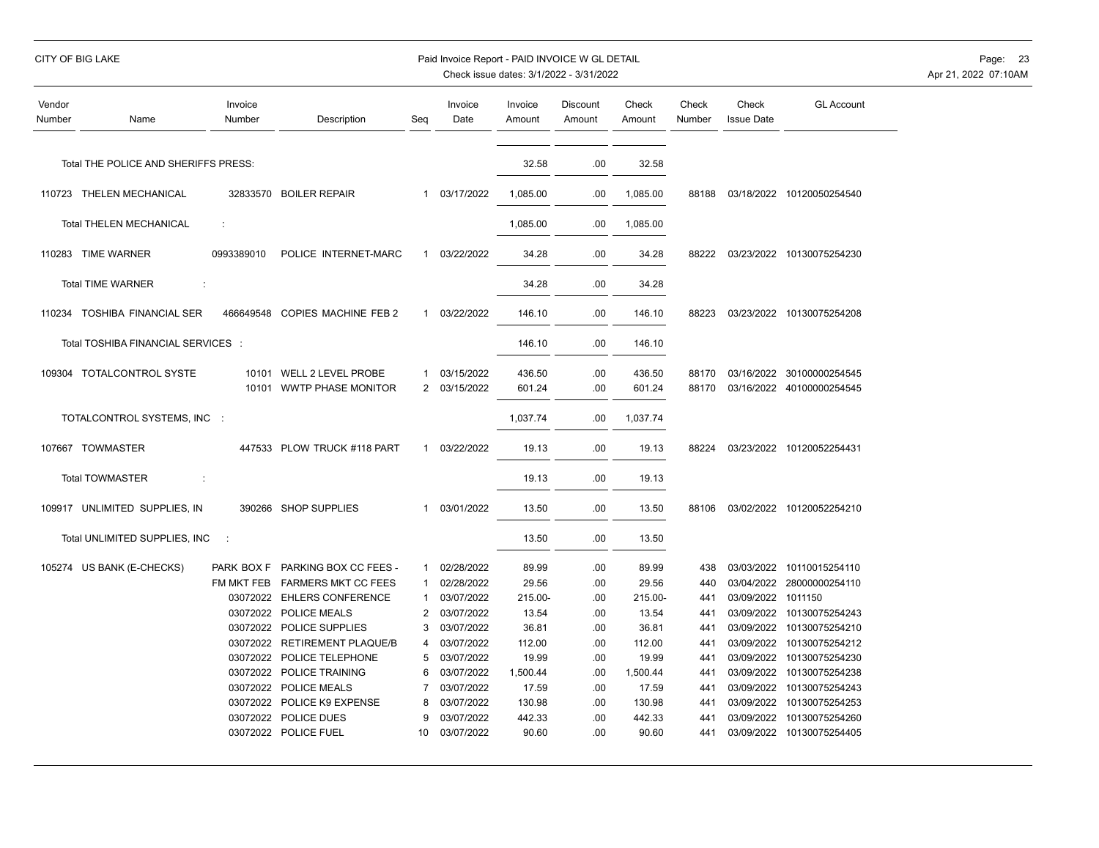|                  | CITY OF BIG LAKE                     |                   |                                                       |                     | Paid Invoice Report - PAID INVOICE W GL DETAIL |                   | Check issue dates: 3/1/2022 - 3/31/2022 |                   |                 |                            |                                                        | Page: 23<br>Apr 21, 2022 07:10AM |
|------------------|--------------------------------------|-------------------|-------------------------------------------------------|---------------------|------------------------------------------------|-------------------|-----------------------------------------|-------------------|-----------------|----------------------------|--------------------------------------------------------|----------------------------------|
| Vendor<br>Number | Name                                 | Invoice<br>Number | Description                                           | Seq                 | Invoice<br>Date                                | Invoice<br>Amount | <b>Discount</b><br>Amount               | Check<br>Amount   | Check<br>Number | Check<br><b>Issue Date</b> | <b>GL Account</b>                                      |                                  |
|                  | Total THE POLICE AND SHERIFFS PRESS: |                   |                                                       |                     |                                                | 32.58             | .00                                     | 32.58             |                 |                            |                                                        |                                  |
|                  | 110723 THELEN MECHANICAL             |                   | 32833570 BOILER REPAIR                                |                     | 1 03/17/2022                                   | 1,085.00          | .00.                                    | 1,085.00          |                 |                            | 88188 03/18/2022 10120050254540                        |                                  |
|                  | <b>Total THELEN MECHANICAL</b>       | ÷                 |                                                       |                     |                                                | 1,085.00          | .00                                     | 1,085.00          |                 |                            |                                                        |                                  |
|                  | 110283 TIME WARNER                   | 0993389010        | POLICE INTERNET-MARC                                  | $\mathbf{1}$        | 03/22/2022                                     | 34.28             | .00                                     | 34.28             | 88222           |                            | 03/23/2022 10130075254230                              |                                  |
|                  | <b>Total TIME WARNER</b>             |                   |                                                       |                     |                                                | 34.28             | .00                                     | 34.28             |                 |                            |                                                        |                                  |
|                  | 110234 TOSHIBA FINANCIAL SER         |                   | 466649548 COPIES MACHINE FEB 2                        | $\mathbf{1}$        | 03/22/2022                                     | 146.10            | .00                                     | 146.10            | 88223           |                            | 03/23/2022 10130075254208                              |                                  |
|                  | Total TOSHIBA FINANCIAL SERVICES :   |                   |                                                       |                     |                                                | 146.10            | .00                                     | 146.10            |                 |                            |                                                        |                                  |
|                  | 109304 TOTALCONTROL SYSTE            |                   | 10101 WELL 2 LEVEL PROBE<br>10101 WWTP PHASE MONITOR  | $\mathbf{1}$        | 03/15/2022<br>2 03/15/2022                     | 436.50<br>601.24  | .00<br>.00                              | 436.50<br>601.24  | 88170<br>88170  |                            | 03/16/2022 30100000254545<br>03/16/2022 40100000254545 |                                  |
|                  | TOTALCONTROL SYSTEMS, INC :          |                   |                                                       |                     |                                                | 1,037.74          | .00.                                    | 1,037.74          |                 |                            |                                                        |                                  |
|                  | 107667 TOWMASTER                     |                   | 447533 PLOW TRUCK #118 PART                           | $\mathbf{1}$        | 03/22/2022                                     | 19.13             | .00                                     | 19.13             | 88224           |                            | 03/23/2022 10120052254431                              |                                  |
|                  | <b>Total TOWMASTER</b><br>$\cdot$ :  |                   |                                                       |                     |                                                | 19.13             | .00                                     | 19.13             |                 |                            |                                                        |                                  |
|                  | 109917 UNLIMITED SUPPLIES, IN        |                   | 390266 SHOP SUPPLIES                                  | $\mathbf{1}$        | 03/01/2022                                     | 13.50             | .00                                     | 13.50             | 88106           |                            | 03/02/2022 10120052254210                              |                                  |
|                  | Total UNLIMITED SUPPLIES, INC        | - 11              |                                                       |                     |                                                | 13.50             | .00                                     | 13.50             |                 |                            |                                                        |                                  |
|                  | 105274 US BANK (E-CHECKS)            |                   | PARK BOX F PARKING BOX CC FEES -                      | $\mathbf{1}$        | 02/28/2022                                     | 89.99             | .00                                     | 89.99             | 438             |                            | 03/03/2022 10110015254110                              |                                  |
|                  |                                      |                   | FM MKT FEB FARMERS MKT CC FEES                        | $\mathbf{1}$        | 02/28/2022                                     | 29.56             | .00                                     | 29.56             | 440             |                            | 03/04/2022 28000000254110                              |                                  |
|                  |                                      |                   | 03072022 EHLERS CONFERENCE                            | $\mathbf{1}$        | 03/07/2022                                     | 215.00-           | .00                                     | 215.00-           | 441             | 03/09/2022 1011150         |                                                        |                                  |
|                  |                                      |                   | 03072022 POLICE MEALS                                 | $\overline{2}$      | 03/07/2022                                     | 13.54             | .00                                     | 13.54             | 441             |                            | 03/09/2022 10130075254243                              |                                  |
|                  |                                      |                   | 03072022 POLICE SUPPLIES                              | 3                   | 03/07/2022                                     | 36.81             | .00                                     | 36.81             | 441             |                            | 03/09/2022 10130075254210                              |                                  |
|                  |                                      |                   | 03072022 RETIREMENT PLAQUE/B                          | 4                   | 03/07/2022                                     | 112.00            | .00                                     | 112.00            | 441             | 03/09/2022                 | 10130075254212                                         |                                  |
|                  |                                      |                   | 03072022 POLICE TELEPHONE<br>03072022 POLICE TRAINING | 5                   | 03/07/2022<br>03/07/2022                       | 19.99             | .00                                     | 19.99             | 441             | 03/09/2022                 | 10130075254230                                         |                                  |
|                  |                                      |                   | 03072022 POLICE MEALS                                 | 6<br>$\overline{7}$ | 03/07/2022                                     | 1,500.44<br>17.59 | .00<br>.00                              | 1,500.44<br>17.59 | 441<br>441      |                            | 03/09/2022 10130075254238<br>03/09/2022 10130075254243 |                                  |
|                  |                                      |                   | 03072022 POLICE K9 EXPENSE                            | 8                   | 03/07/2022                                     | 130.98            | .00                                     | 130.98            | 441             |                            | 03/09/2022 10130075254253                              |                                  |
|                  |                                      |                   | 03072022 POLICE DUES                                  | 9                   | 03/07/2022                                     | 442.33            | .00                                     | 442.33            | 441             | 03/09/2022                 | 10130075254260                                         |                                  |
|                  |                                      |                   | 03072022 POLICE FUEL                                  | 10                  | 03/07/2022                                     | 90.60             | .00                                     | 90.60             | 441             |                            | 03/09/2022 10130075254405                              |                                  |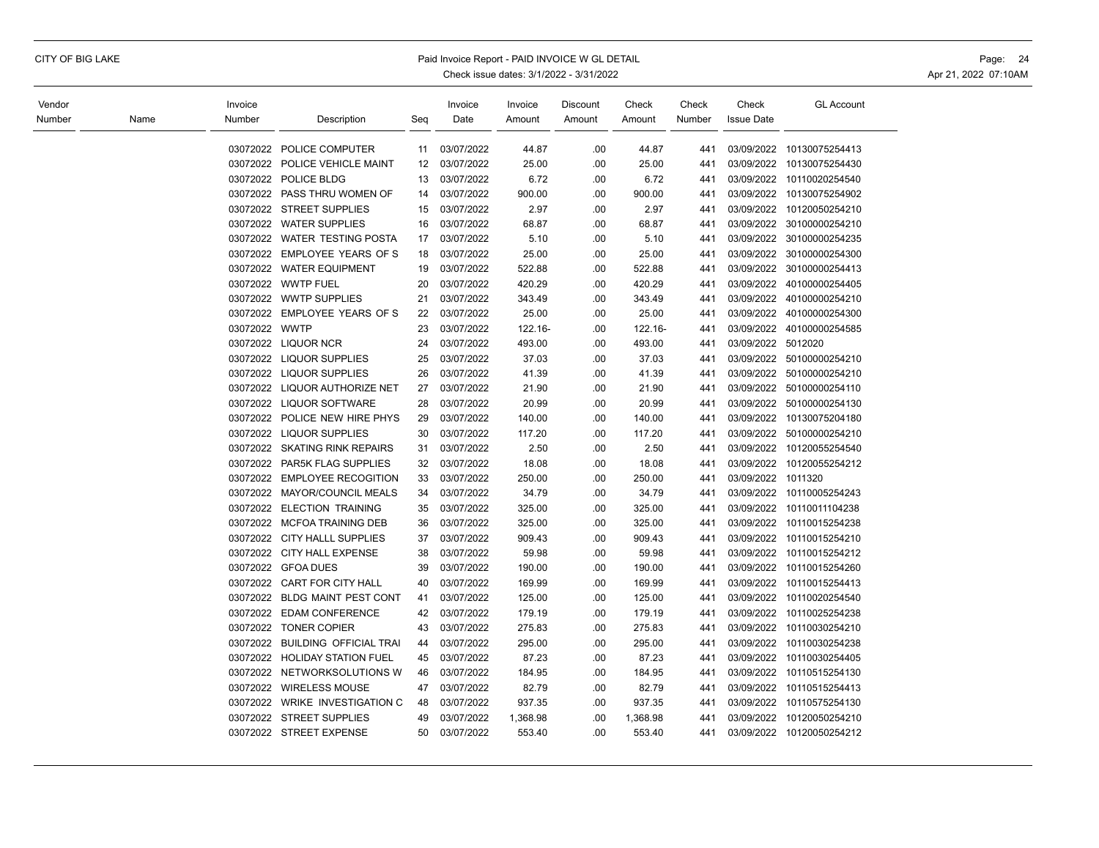## CITY OF BIG LAKE **Example 24** Paid Invoice Report - PAID INVOICE W GL DETAIL **Page: 24** Page: 24

| Vendor |      | Invoice       |                                 |     | Invoice    | Invoice  | Discount | Check    | Check  | Check              | <b>GL Account</b>         |
|--------|------|---------------|---------------------------------|-----|------------|----------|----------|----------|--------|--------------------|---------------------------|
| Number | Name | Number        | Description                     | Seg | Date       | Amount   | Amount   | Amount   | Number | <b>Issue Date</b>  |                           |
|        |      |               |                                 |     |            |          |          |          |        |                    |                           |
|        |      | 03072022      | POLICE COMPUTER                 | 11  | 03/07/2022 | 44.87    | .00      | 44.87    | 441    | 03/09/2022         | 10130075254413            |
|        |      |               | 03072022 POLICE VEHICLE MAINT   | 12  | 03/07/2022 | 25.00    | .00      | 25.00    | 441    | 03/09/2022         | 10130075254430            |
|        |      |               | 03072022 POLICE BLDG            | 13  | 03/07/2022 | 6.72     | .00      | 6.72     | 441    | 03/09/2022         | 10110020254540            |
|        |      |               | 03072022 PASS THRU WOMEN OF     | 14  | 03/07/2022 | 900.00   | .00      | 900.00   | 441    | 03/09/2022         | 10130075254902            |
|        |      |               | 03072022 STREET SUPPLIES        | 15  | 03/07/2022 | 2.97     | .00      | 2.97     | 441    | 03/09/2022         | 10120050254210            |
|        |      |               | 03072022 WATER SUPPLIES         | 16  | 03/07/2022 | 68.87    | .00.     | 68.87    | 441    | 03/09/2022         | 30100000254210            |
|        |      |               | 03072022 WATER TESTING POSTA    | 17  | 03/07/2022 | 5.10     | .00      | 5.10     | 441    |                    | 03/09/2022 30100000254235 |
|        |      |               | 03072022 EMPLOYEE YEARS OF S    | 18  | 03/07/2022 | 25.00    | .00      | 25.00    | 441    | 03/09/2022         | 30100000254300            |
|        |      |               | 03072022 WATER EQUIPMENT        | 19  | 03/07/2022 | 522.88   | .00      | 522.88   | 441    | 03/09/2022         | 30100000254413            |
|        |      |               | 03072022 WWTP FUEL              | 20  | 03/07/2022 | 420.29   | .00      | 420.29   | 441    | 03/09/2022         | 40100000254405            |
|        |      |               | 03072022 WWTP SUPPLIES          | 21  | 03/07/2022 | 343.49   | .00      | 343.49   | 441    |                    | 03/09/2022 40100000254210 |
|        |      |               | 03072022 EMPLOYEE YEARS OF S    | 22  | 03/07/2022 | 25.00    | .00      | 25.00    | 441    |                    | 03/09/2022 40100000254300 |
|        |      | 03072022 WWTP |                                 | 23  | 03/07/2022 | 122.16-  | .00      | 122.16-  | 441    | 03/09/2022         | 40100000254585            |
|        |      |               | 03072022 LIQUOR NCR             | 24  | 03/07/2022 | 493.00   | .00      | 493.00   | 441    | 03/09/2022 5012020 |                           |
|        |      |               | 03072022 LIQUOR SUPPLIES        | 25  | 03/07/2022 | 37.03    | .00      | 37.03    | 441    |                    | 03/09/2022 50100000254210 |
|        |      |               | 03072022 LIQUOR SUPPLIES        | 26  | 03/07/2022 | 41.39    | .00      | 41.39    | 441    | 03/09/2022         | 50100000254210            |
|        |      |               | 03072022 LIQUOR AUTHORIZE NET   | 27  | 03/07/2022 | 21.90    | .00      | 21.90    | 441    | 03/09/2022         | 50100000254110            |
|        |      |               | 03072022 LIQUOR SOFTWARE        | 28  | 03/07/2022 | 20.99    | .00      | 20.99    | 441    | 03/09/2022         | 50100000254130            |
|        |      |               | 03072022 POLICE NEW HIRE PHYS   | 29  | 03/07/2022 | 140.00   | .00      | 140.00   | 441    | 03/09/2022         | 10130075204180            |
|        |      |               | 03072022 LIQUOR SUPPLIES        | 30  | 03/07/2022 | 117.20   | .00      | 117.20   | 441    | 03/09/2022         | 50100000254210            |
|        |      |               | 03072022 SKATING RINK REPAIRS   | 31  | 03/07/2022 | 2.50     | .00      | 2.50     | 441    |                    | 03/09/2022 10120055254540 |
|        |      | 03072022      | PAR5K FLAG SUPPLIES             | 32  | 03/07/2022 | 18.08    | .00      | 18.08    | 441    |                    | 03/09/2022 10120055254212 |
|        |      |               | 03072022 EMPLOYEE RECOGITION    | 33  | 03/07/2022 | 250.00   | .00      | 250.00   | 441    | 03/09/2022         | 1011320                   |
|        |      | 03072022      | <b>MAYOR/COUNCIL MEALS</b>      | 34  | 03/07/2022 | 34.79    | .00      | 34.79    | 441    | 03/09/2022         | 10110005254243            |
|        |      |               | 03072022 ELECTION TRAINING      | 35  | 03/07/2022 | 325.00   | .00      | 325.00   | 441    | 03/09/2022         | 10110011104238            |
|        |      |               | 03072022 MCFOA TRAINING DEB     | 36  | 03/07/2022 | 325.00   | .00      | 325.00   | 441    | 03/09/2022         | 10110015254238            |
|        |      |               | 03072022 CITY HALLL SUPPLIES    | 37  | 03/07/2022 | 909.43   | .00      | 909.43   | 441    | 03/09/2022         | 10110015254210            |
|        |      |               | 03072022 CITY HALL EXPENSE      | 38  | 03/07/2022 | 59.98    | .00      | 59.98    | 441    | 03/09/2022         | 10110015254212            |
|        |      |               | 03072022 GFOA DUES              | 39  | 03/07/2022 | 190.00   | .00      | 190.00   | 441    | 03/09/2022         | 10110015254260            |
|        |      |               | 03072022 CART FOR CITY HALL     | 40  | 03/07/2022 | 169.99   | .00      | 169.99   | 441    | 03/09/2022         | 10110015254413            |
|        |      | 03072022      | <b>BLDG MAINT PEST CONT</b>     | 41  | 03/07/2022 | 125.00   | .00      | 125.00   | 441    | 03/09/2022         | 10110020254540            |
|        |      |               | 03072022 EDAM CONFERENCE        | 42  | 03/07/2022 | 179.19   | .00      | 179.19   | 441    | 03/09/2022         | 10110025254238            |
|        |      |               | 03072022 TONER COPIER           | 43  | 03/07/2022 | 275.83   | .00      | 275.83   | 441    | 03/09/2022         | 10110030254210            |
|        |      |               | 03072022 BUILDING OFFICIAL TRAI | 44  | 03/07/2022 | 295.00   | .00      | 295.00   | 441    | 03/09/2022         | 10110030254238            |
|        |      | 03072022      | <b>HOLIDAY STATION FUEL</b>     | 45  | 03/07/2022 | 87.23    | .00      | 87.23    | 441    | 03/09/2022         | 10110030254405            |
|        |      |               | 03072022 NETWORKSOLUTIONS W     | 46  | 03/07/2022 | 184.95   | .00      | 184.95   | 441    | 03/09/2022         | 10110515254130            |
|        |      |               | 03072022 WIRELESS MOUSE         | 47  | 03/07/2022 | 82.79    | .00.     | 82.79    | 441    | 03/09/2022         | 10110515254413            |
|        |      |               | 03072022 WRIKE INVESTIGATION C  | 48  | 03/07/2022 | 937.35   | .00.     | 937.35   | 441    | 03/09/2022         | 10110575254130            |
|        |      |               | 03072022 STREET SUPPLIES        | 49  | 03/07/2022 | 1,368.98 | .00      | 1,368.98 | 441    | 03/09/2022         | 10120050254210            |
|        |      |               | 03072022 STREET EXPENSE         | 50  | 03/07/2022 | 553.40   | .00      | 553.40   | 441    |                    | 03/09/2022 10120050254212 |
|        |      |               |                                 |     |            |          |          |          |        |                    |                           |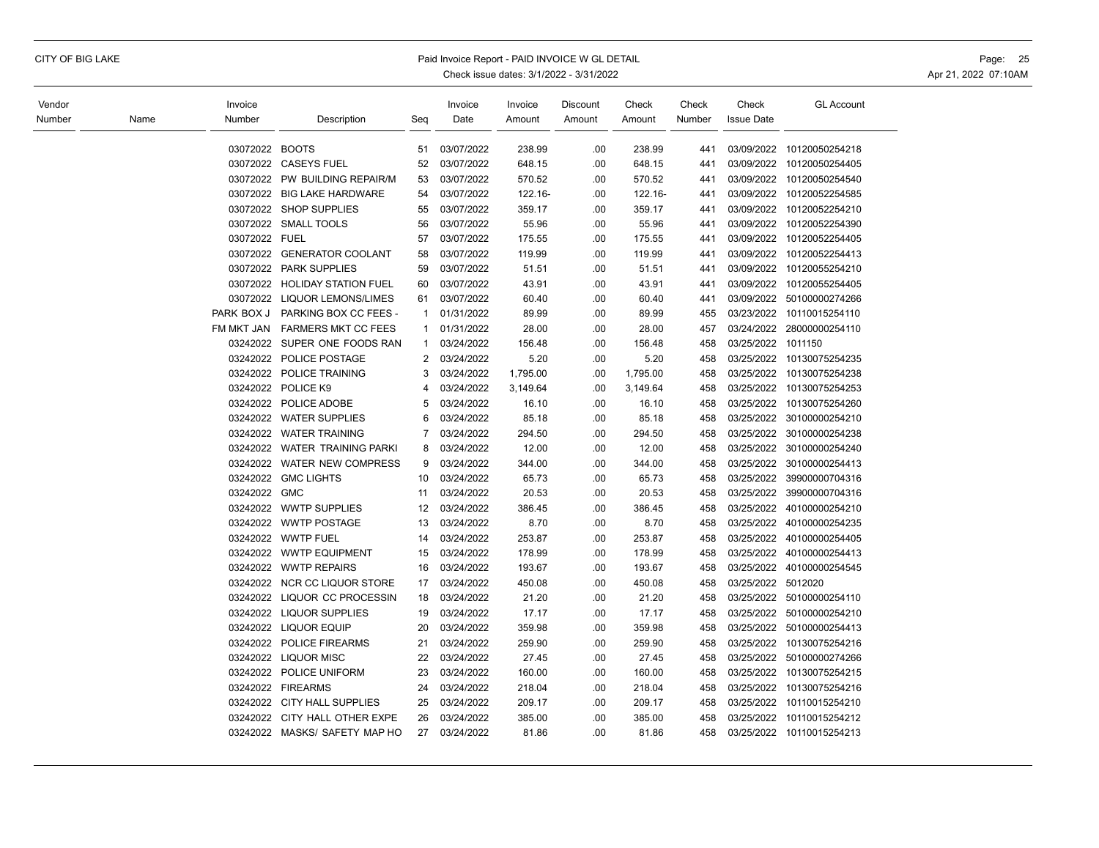## CITY OF BIG LAKE Paid Invoice Report - PAID INVOICE W GL DETAIL Page: 25

| Vendor |      | Invoice        |                               |                | Invoice    | Invoice  | Discount | Check    | Check  | Check             | <b>GL Account</b>         |
|--------|------|----------------|-------------------------------|----------------|------------|----------|----------|----------|--------|-------------------|---------------------------|
| Number | Name | Number         | Description                   | Seq            | Date       | Amount   | Amount   | Amount   | Number | <b>Issue Date</b> |                           |
|        |      | 03072022 BOOTS |                               | 51             | 03/07/2022 | 238.99   | .00      | 238.99   | 441    | 03/09/2022        | 10120050254218            |
|        |      |                | 03072022 CASEYS FUEL          | 52             | 03/07/2022 | 648.15   | .00      | 648.15   | 441    | 03/09/2022        | 10120050254405            |
|        |      | 03072022       | PW BUILDING REPAIR/M          | 53             | 03/07/2022 | 570.52   | .00      | 570.52   | 441    | 03/09/2022        | 10120050254540            |
|        |      | 03072022       | <b>BIG LAKE HARDWARE</b>      | 54             | 03/07/2022 | 122.16-  | .00      | 122.16-  | 441    | 03/09/2022        | 10120052254585            |
|        |      |                | 03072022 SHOP SUPPLIES        | 55             | 03/07/2022 | 359.17   | .00      | 359.17   | 441    | 03/09/2022        | 10120052254210            |
|        |      |                | 03072022 SMALL TOOLS          | 56             | 03/07/2022 | 55.96    | .00      | 55.96    | 441    | 03/09/2022        | 10120052254390            |
|        |      | 03072022 FUEL  |                               | 57             | 03/07/2022 | 175.55   | .00      | 175.55   | 441    | 03/09/2022        | 10120052254405            |
|        |      | 03072022       | <b>GENERATOR COOLANT</b>      | 58             | 03/07/2022 | 119.99   | .00      | 119.99   | 441    | 03/09/2022        | 10120052254413            |
|        |      | 03072022       | <b>PARK SUPPLIES</b>          | 59             | 03/07/2022 | 51.51    | .00      | 51.51    | 441    | 03/09/2022        | 10120055254210            |
|        |      | 03072022       | <b>HOLIDAY STATION FUEL</b>   | 60             | 03/07/2022 | 43.91    | .00      | 43.91    | 441    | 03/09/2022        | 10120055254405            |
|        |      | 03072022       | <b>LIQUOR LEMONS/LIMES</b>    | 61             | 03/07/2022 | 60.40    | .00      | 60.40    | 441    | 03/09/2022        | 50100000274266            |
|        |      | PARK BOX J     | PARKING BOX CC FEES -         | 1              | 01/31/2022 | 89.99    | .00      | 89.99    | 455    | 03/23/2022        | 10110015254110            |
|        |      | FM MKT JAN     | <b>FARMERS MKT CC FEES</b>    | 1              | 01/31/2022 | 28.00    | .00      | 28.00    | 457    | 03/24/2022        | 28000000254110            |
|        |      | 03242022       | SUPER ONE FOODS RAN           | $\mathbf{1}$   | 03/24/2022 | 156.48   | .00      | 156.48   | 458    | 03/25/2022        | 1011150                   |
|        |      | 03242022       | POLICE POSTAGE                | 2              | 03/24/2022 | 5.20     | .00      | 5.20     | 458    | 03/25/2022        | 10130075254235            |
|        |      | 03242022       | POLICE TRAINING               | 3              | 03/24/2022 | 1,795.00 | .00      | 1,795.00 | 458    | 03/25/2022        | 10130075254238            |
|        |      | 03242022       | POLICE K9                     | 4              | 03/24/2022 | 3,149.64 | .00      | 3,149.64 | 458    | 03/25/2022        | 10130075254253            |
|        |      | 03242022       | POLICE ADOBE                  | 5              | 03/24/2022 | 16.10    | .00      | 16.10    | 458    | 03/25/2022        | 10130075254260            |
|        |      |                | 03242022 WATER SUPPLIES       | 6              | 03/24/2022 | 85.18    | .00      | 85.18    | 458    | 03/25/2022        | 30100000254210            |
|        |      | 03242022       | <b>WATER TRAINING</b>         | $\overline{7}$ | 03/24/2022 | 294.50   | .00      | 294.50   | 458    | 03/25/2022        | 30100000254238            |
|        |      |                | 03242022 WATER TRAINING PARKI | 8              | 03/24/2022 | 12.00    | .00      | 12.00    | 458    | 03/25/2022        | 30100000254240            |
|        |      | 03242022       | <b>WATER NEW COMPRESS</b>     | 9              | 03/24/2022 | 344.00   | .00      | 344.00   | 458    | 03/25/2022        | 30100000254413            |
|        |      |                | 03242022 GMC LIGHTS           | 10             | 03/24/2022 | 65.73    | .00      | 65.73    | 458    | 03/25/2022        | 39900000704316            |
|        |      | 03242022       | <b>GMC</b>                    | 11             | 03/24/2022 | 20.53    | .00      | 20.53    | 458    | 03/25/2022        | 39900000704316            |
|        |      |                | 03242022 WWTP SUPPLIES        | 12             | 03/24/2022 | 386.45   | .00      | 386.45   | 458    | 03/25/2022        | 40100000254210            |
|        |      |                | 03242022 WWTP POSTAGE         | 13             | 03/24/2022 | 8.70     | .00      | 8.70     | 458    | 03/25/2022        | 40100000254235            |
|        |      | 03242022       | <b>WWTP FUEL</b>              | 14             | 03/24/2022 | 253.87   | .00      | 253.87   | 458    | 03/25/2022        | 40100000254405            |
|        |      |                | 03242022 WWTP EQUIPMENT       | 15             | 03/24/2022 | 178.99   | .00      | 178.99   | 458    | 03/25/2022        | 40100000254413            |
|        |      | 03242022       | <b>WWTP REPAIRS</b>           | 16             | 03/24/2022 | 193.67   | .00      | 193.67   | 458    | 03/25/2022        | 40100000254545            |
|        |      | 03242022       | NCR CC LIQUOR STORE           | 17             | 03/24/2022 | 450.08   | .00      | 450.08   | 458    | 03/25/2022        | 5012020                   |
|        |      | 03242022       | LIQUOR CC PROCESSIN           | 18             | 03/24/2022 | 21.20    | .00      | 21.20    | 458    | 03/25/2022        | 50100000254110            |
|        |      |                | 03242022 LIQUOR SUPPLIES      | 19             | 03/24/2022 | 17.17    | .00      | 17.17    | 458    | 03/25/2022        | 50100000254210            |
|        |      |                | 03242022 LIQUOR EQUIP         | 20             | 03/24/2022 | 359.98   | .00      | 359.98   | 458    | 03/25/2022        | 50100000254413            |
|        |      | 03242022       | POLICE FIREARMS               | 21             | 03/24/2022 | 259.90   | .00      | 259.90   | 458    | 03/25/2022        | 10130075254216            |
|        |      | 03242022       | <b>LIQUOR MISC</b>            | 22             | 03/24/2022 | 27.45    | .00      | 27.45    | 458    | 03/25/2022        | 50100000274266            |
|        |      | 03242022       | POLICE UNIFORM                | 23             | 03/24/2022 | 160.00   | .00      | 160.00   | 458    | 03/25/2022        | 10130075254215            |
|        |      |                | 03242022 FIREARMS             | 24             | 03/24/2022 | 218.04   | .00      | 218.04   | 458    | 03/25/2022        | 10130075254216            |
|        |      | 03242022       | <b>CITY HALL SUPPLIES</b>     | 25             | 03/24/2022 | 209.17   | .00      | 209.17   | 458    | 03/25/2022        | 10110015254210            |
|        |      | 03242022       | CITY HALL OTHER EXPE          | 26             | 03/24/2022 | 385.00   | .00      | 385.00   | 458    | 03/25/2022        | 10110015254212            |
|        |      |                | 03242022 MASKS/ SAFETY MAP HO | 27             | 03/24/2022 | 81.86    | .00      | 81.86    | 458    |                   | 03/25/2022 10110015254213 |
|        |      |                |                               |                |            |          |          |          |        |                   |                           |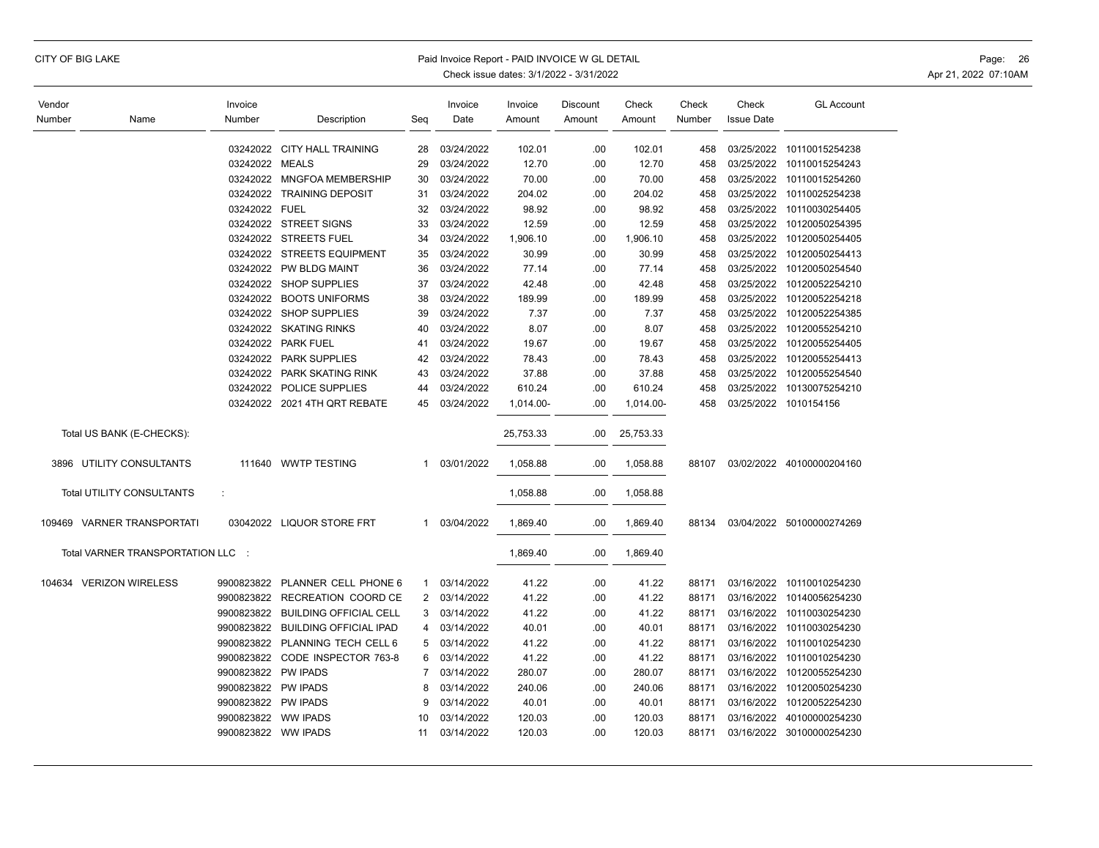## CITY OF BIG LAKE **Example 20 The Second Act of the Second Act of Paid Invoice Report - PAID INVOICE W GL DETAIL**

| Vendor |                                   | Invoice             |                               |     | Invoice    | Invoice   | Discount | Check     | Check  | Check             | <b>GL Account</b>         |
|--------|-----------------------------------|---------------------|-------------------------------|-----|------------|-----------|----------|-----------|--------|-------------------|---------------------------|
| Number | Name                              | Number              | Description                   | Seg | Date       | Amount    | Amount   | Amount    | Number | <b>Issue Date</b> |                           |
|        |                                   |                     |                               |     |            |           |          |           |        |                   |                           |
|        |                                   |                     | 03242022 CITY HALL TRAINING   | 28  | 03/24/2022 | 102.01    | .00      | 102.01    | 458    | 03/25/2022        | 10110015254238            |
|        |                                   | 03242022 MEALS      |                               | 29  | 03/24/2022 | 12.70     | .00      | 12.70     | 458    | 03/25/2022        | 10110015254243            |
|        |                                   |                     | 03242022 MNGFOA MEMBERSHIP    | 30  | 03/24/2022 | 70.00     | .00      | 70.00     | 458    |                   | 03/25/2022 10110015254260 |
|        |                                   |                     | 03242022 TRAINING DEPOSIT     | 31  | 03/24/2022 | 204.02    | .00      | 204.02    | 458    | 03/25/2022        | 10110025254238            |
|        |                                   | 03242022 FUEL       |                               | 32  | 03/24/2022 | 98.92     | .00      | 98.92     | 458    | 03/25/2022        | 10110030254405            |
|        |                                   |                     | 03242022 STREET SIGNS         | 33  | 03/24/2022 | 12.59     | .00      | 12.59     | 458    | 03/25/2022        | 10120050254395            |
|        |                                   |                     | 03242022 STREETS FUEL         | 34  | 03/24/2022 | 1,906.10  | .00      | 1,906.10  | 458    | 03/25/2022        | 10120050254405            |
|        |                                   |                     | 03242022 STREETS EQUIPMENT    | 35  | 03/24/2022 | 30.99     | .00      | 30.99     | 458    | 03/25/2022        | 10120050254413            |
|        |                                   | 03242022            | PW BLDG MAINT                 | 36  | 03/24/2022 | 77.14     | .00      | 77.14     | 458    | 03/25/2022        | 10120050254540            |
|        |                                   |                     | 03242022 SHOP SUPPLIES        | 37  | 03/24/2022 | 42.48     | .00      | 42.48     | 458    | 03/25/2022        | 10120052254210            |
|        |                                   | 03242022            | <b>BOOTS UNIFORMS</b>         | 38  | 03/24/2022 | 189.99    | .00      | 189.99    | 458    | 03/25/2022        | 10120052254218            |
|        |                                   |                     | 03242022 SHOP SUPPLIES        | 39  | 03/24/2022 | 7.37      | .00      | 7.37      | 458    | 03/25/2022        | 10120052254385            |
|        |                                   |                     | 03242022 SKATING RINKS        | 40  | 03/24/2022 | 8.07      | .00      | 8.07      | 458    | 03/25/2022        | 10120055254210            |
|        |                                   |                     | 03242022 PARK FUEL            | 41  | 03/24/2022 | 19.67     | .00      | 19.67     | 458    | 03/25/2022        | 10120055254405            |
|        |                                   |                     | 03242022 PARK SUPPLIES        | 42  | 03/24/2022 | 78.43     | .00      | 78.43     | 458    | 03/25/2022        | 10120055254413            |
|        |                                   | 03242022            | PARK SKATING RINK             | 43  | 03/24/2022 | 37.88     | .00      | 37.88     | 458    | 03/25/2022        | 10120055254540            |
|        |                                   |                     | 03242022 POLICE SUPPLIES      | 44  | 03/24/2022 | 610.24    | .00      | 610.24    | 458    | 03/25/2022        | 10130075254210            |
|        |                                   |                     | 03242022 2021 4TH QRT REBATE  | 45  | 03/24/2022 | 1,014.00- | .00      | 1,014.00- | 458    |                   | 03/25/2022 1010154156     |
|        |                                   |                     |                               |     |            |           |          |           |        |                   |                           |
|        | Total US BANK (E-CHECKS):         |                     |                               |     |            | 25,753.33 | .00      | 25,753.33 |        |                   |                           |
|        |                                   |                     |                               |     |            |           |          |           |        |                   |                           |
|        | 3896 UTILITY CONSULTANTS          | 111640              | <b>WWTP TESTING</b>           | 1   | 03/01/2022 | 1,058.88  | .00      | 1,058.88  | 88107  |                   | 03/02/2022 40100000204160 |
|        |                                   |                     |                               |     |            |           |          |           |        |                   |                           |
|        | Total UTILITY CONSULTANTS         | ÷                   |                               |     |            | 1,058.88  | .00      | 1,058.88  |        |                   |                           |
|        |                                   |                     |                               |     |            |           |          |           |        |                   |                           |
|        | 109469 VARNER TRANSPORTATI        |                     | 03042022 LIQUOR STORE FRT     | 1   | 03/04/2022 | 1,869.40  | .00      | 1,869.40  | 88134  |                   | 03/04/2022 50100000274269 |
|        |                                   |                     |                               |     |            |           |          |           |        |                   |                           |
|        | Total VARNER TRANSPORTATION LLC : |                     |                               |     |            | 1,869.40  | .00      | 1,869.40  |        |                   |                           |
|        |                                   |                     |                               |     |            |           |          |           |        |                   |                           |
|        | 104634 VERIZON WIRELESS           | 9900823822          | PLANNER CELL PHONE 6          | 1   | 03/14/2022 | 41.22     | .00      | 41.22     | 88171  | 03/16/2022        | 10110010254230            |
|        |                                   | 9900823822          | RECREATION COORD CE           | 2   | 03/14/2022 | 41.22     | .00      | 41.22     | 88171  |                   | 03/16/2022 10140056254230 |
|        |                                   | 9900823822          | <b>BUILDING OFFICIAL CELL</b> | 3   | 03/14/2022 | 41.22     | .00      | 41.22     | 88171  | 03/16/2022        | 10110030254230            |
|        |                                   | 9900823822          | <b>BUILDING OFFICIAL IPAD</b> | 4   | 03/14/2022 | 40.01     | .00      | 40.01     | 88171  | 03/16/2022        | 10110030254230            |
|        |                                   | 9900823822          | PLANNING TECH CELL 6          | 5   | 03/14/2022 | 41.22     | .00      | 41.22     | 88171  | 03/16/2022        | 10110010254230            |
|        |                                   | 9900823822          | CODE INSPECTOR 763-8          | 6   | 03/14/2022 | 41.22     | .00      | 41.22     | 88171  | 03/16/2022        | 10110010254230            |
|        |                                   | 9900823822          | <b>PW IPADS</b>               | 7   | 03/14/2022 | 280.07    | .00      | 280.07    | 88171  | 03/16/2022        | 10120055254230            |
|        |                                   | 9900823822          | <b>PW IPADS</b>               | 8   | 03/14/2022 | 240.06    | .00      | 240.06    | 88171  | 03/16/2022        | 10120050254230            |
|        |                                   | 9900823822 PW IPADS |                               | 9   | 03/14/2022 | 40.01     | .00.     | 40.01     | 88171  | 03/16/2022        | 10120052254230            |
|        |                                   | 9900823822          | <b>WW IPADS</b>               | 10  | 03/14/2022 | 120.03    | .00      | 120.03    | 88171  | 03/16/2022        | 40100000254230            |
|        |                                   | 9900823822 WW IPADS |                               | 11  | 03/14/2022 | 120.03    | .00      | 120.03    | 88171  |                   | 03/16/2022 30100000254230 |
|        |                                   |                     |                               |     |            |           |          |           |        |                   |                           |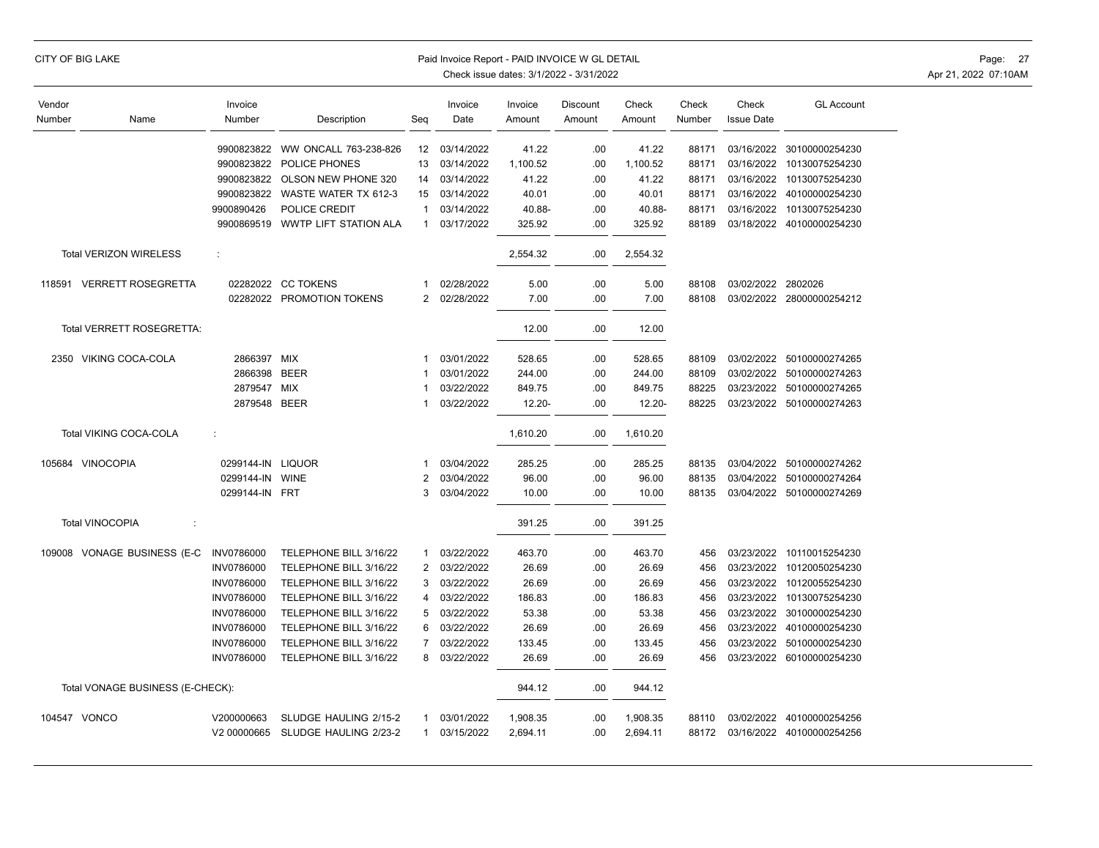| CITY OF BIG LAKE |  |
|------------------|--|
|------------------|--|

## Paid Invoice Report - PAID INVOICE W GL DETAIL **Page:** 27

Check issue dates: 3/1/2022 - 3/31/2022 <br>
Apr 21, 2022 07:10AM

 $\overline{\phantom{0}}$ 

| Vendor |                                  | Invoice           |                        |                | Invoice    | Invoice   | <b>Discount</b> | Check     | Check  | Check             | <b>GL Account</b> |
|--------|----------------------------------|-------------------|------------------------|----------------|------------|-----------|-----------------|-----------|--------|-------------------|-------------------|
| Number | Name                             | Number            | Description            | Seg            | Date       | Amount    | Amount          | Amount    | Number | <b>Issue Date</b> |                   |
|        |                                  |                   |                        |                |            |           |                 |           |        |                   |                   |
|        |                                  | 9900823822        | WW ONCALL 763-238-826  | 12             | 03/14/2022 | 41.22     | .00             | 41.22     | 88171  | 03/16/2022        | 30100000254230    |
|        |                                  | 9900823822        | POLICE PHONES          | 13             | 03/14/2022 | 1,100.52  | .00             | 1,100.52  | 88171  | 03/16/2022        | 10130075254230    |
|        |                                  | 9900823822        | OLSON NEW PHONE 320    | 14             | 03/14/2022 | 41.22     | .00             | 41.22     | 88171  | 03/16/2022        | 10130075254230    |
|        |                                  | 9900823822        | WASTE WATER TX 612-3   | 15             | 03/14/2022 | 40.01     | .00             | 40.01     | 88171  | 03/16/2022        | 40100000254230    |
|        |                                  | 9900890426        | POLICE CREDIT          | $\mathbf{1}$   | 03/14/2022 | 40.88-    | .00             | 40.88-    | 88171  | 03/16/2022        | 10130075254230    |
|        |                                  | 9900869519        | WWTP LIFT STATION ALA  | $\mathbf{1}$   | 03/17/2022 | 325.92    | .00             | 325.92    | 88189  | 03/18/2022        | 40100000254230    |
|        | <b>Total VERIZON WIRELESS</b>    | ÷                 |                        |                |            | 2,554.32  | .00             | 2,554.32  |        |                   |                   |
| 118591 | <b>VERRETT ROSEGRETTA</b>        | 02282022          | <b>CC TOKENS</b>       | 1              | 02/28/2022 | 5.00      | .00.            | 5.00      | 88108  | 03/02/2022        | 2802026           |
|        |                                  | 02282022          | PROMOTION TOKENS       | $\overline{2}$ | 02/28/2022 | 7.00      | .00             | 7.00      | 88108  | 03/02/2022        | 28000000254212    |
|        | Total VERRETT ROSEGRETTA:        |                   |                        |                |            | 12.00     | .00             | 12.00     |        |                   |                   |
| 2350   | VIKING COCA-COLA                 | 2866397           | MIX                    | 1              | 03/01/2022 | 528.65    | .00             | 528.65    | 88109  | 03/02/2022        | 50100000274265    |
|        |                                  | 2866398           | <b>BEER</b>            | 1              | 03/01/2022 | 244.00    | .00             | 244.00    | 88109  | 03/02/2022        | 50100000274263    |
|        |                                  | 2879547           | <b>MIX</b>             | 1              | 03/22/2022 | 849.75    | .00             | 849.75    | 88225  | 03/23/2022        | 50100000274265    |
|        |                                  | 2879548           | <b>BEER</b>            | 1              | 03/22/2022 | $12.20 -$ | .00             | $12.20 -$ | 88225  | 03/23/2022        | 50100000274263    |
|        |                                  |                   |                        |                |            |           |                 |           |        |                   |                   |
|        | Total VIKING COCA-COLA           | ÷                 |                        |                |            | 1,610.20  | .00             | 1,610.20  |        |                   |                   |
|        | 105684 VINOCOPIA                 | 0299144-IN        | <b>LIQUOR</b>          | 1              | 03/04/2022 | 285.25    | .00             | 285.25    | 88135  | 03/04/2022        | 50100000274262    |
|        |                                  | 0299144-IN        | <b>WINE</b>            | 2              | 03/04/2022 | 96.00     | .00             | 96.00     | 88135  | 03/04/2022        | 50100000274264    |
|        |                                  | 0299144-IN        | <b>FRT</b>             | 3              | 03/04/2022 | 10.00     | .00             | 10.00     | 88135  | 03/04/2022        | 50100000274269    |
|        | <b>Total VINOCOPIA</b><br>÷      |                   |                        |                |            | 391.25    | .00             | 391.25    |        |                   |                   |
| 109008 | VONAGE BUSINESS (E-C             | <b>INV0786000</b> | TELEPHONE BILL 3/16/22 | 1              | 03/22/2022 | 463.70    | .00             | 463.70    | 456    | 03/23/2022        | 10110015254230    |
|        |                                  | <b>INV0786000</b> | TELEPHONE BILL 3/16/22 | $\overline{2}$ | 03/22/2022 | 26.69     | .00             | 26.69     | 456    | 03/23/2022        | 10120050254230    |
|        |                                  | <b>INV0786000</b> | TELEPHONE BILL 3/16/22 | 3              | 03/22/2022 | 26.69     | .00             | 26.69     | 456    | 03/23/2022        | 10120055254230    |
|        |                                  | <b>INV0786000</b> | TELEPHONE BILL 3/16/22 | 4              | 03/22/2022 | 186.83    | .00             | 186.83    | 456    | 03/23/2022        | 10130075254230    |
|        |                                  | <b>INV0786000</b> | TELEPHONE BILL 3/16/22 | 5              | 03/22/2022 | 53.38     | .00             | 53.38     | 456    | 03/23/2022        | 30100000254230    |
|        |                                  | <b>INV0786000</b> | TELEPHONE BILL 3/16/22 | 6              | 03/22/2022 | 26.69     | .00             | 26.69     | 456    | 03/23/2022        | 40100000254230    |
|        |                                  | <b>INV0786000</b> | TELEPHONE BILL 3/16/22 | $\overline{7}$ | 03/22/2022 | 133.45    | .00             | 133.45    | 456    | 03/23/2022        | 50100000254230    |
|        |                                  | <b>INV0786000</b> | TELEPHONE BILL 3/16/22 | 8              | 03/22/2022 | 26.69     | .00             | 26.69     | 456    | 03/23/2022        | 60100000254230    |
|        | Total VONAGE BUSINESS (E-CHECK): |                   |                        |                |            | 944.12    | .00.            | 944.12    |        |                   |                   |
|        | 104547 VONCO                     | V200000663        | SLUDGE HAULING 2/15-2  | 1              | 03/01/2022 | 1,908.35  | .00             | 1,908.35  | 88110  | 03/02/2022        | 40100000254256    |
|        |                                  | V2 00000665       | SLUDGE HAULING 2/23-2  | $\mathbf{1}$   | 03/15/2022 | 2,694.11  | .00             | 2,694.11  | 88172  | 03/16/2022        | 40100000254256    |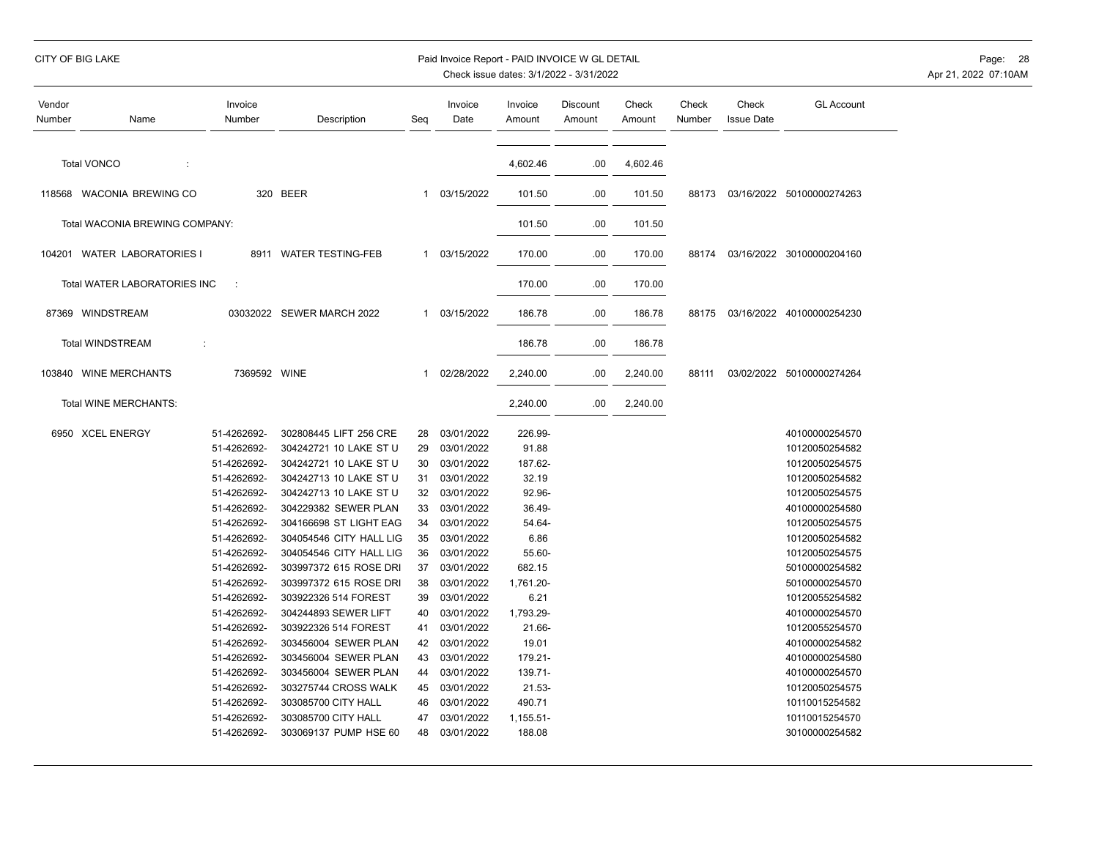|  | CITY OF BIG LAKE |
|--|------------------|
|  |                  |

## Paid Invoice Report - PAID INVOICE W GL DETAIL **Page:** 28

| Vendor<br>Number | Name                           | Invoice<br>Number | Description               | Seg          | Invoice<br>Date | Invoice<br>Amount | Discount<br>Amount | Check<br>Amount | Check<br>Number | Check<br><b>Issue Date</b> | <b>GL Account</b>         |
|------------------|--------------------------------|-------------------|---------------------------|--------------|-----------------|-------------------|--------------------|-----------------|-----------------|----------------------------|---------------------------|
|                  | <b>Total VONCO</b><br>÷        |                   |                           |              |                 | 4,602.46          | .00                | 4,602.46        |                 |                            |                           |
|                  | 118568 WACONIA BREWING CO      |                   | 320 BEER                  | 1            | 03/15/2022      | 101.50            | .00                | 101.50          | 88173           |                            | 03/16/2022 50100000274263 |
|                  | Total WACONIA BREWING COMPANY: |                   |                           |              |                 | 101.50            | .00                | 101.50          |                 |                            |                           |
|                  | 104201 WATER LABORATORIES I    | 8911              | <b>WATER TESTING-FEB</b>  | $\mathbf{1}$ | 03/15/2022      | 170.00            | .00                | 170.00          | 88174           |                            | 03/16/2022 30100000204160 |
|                  | Total WATER LABORATORIES INC   | ÷                 |                           |              |                 | 170.00            | .00                | 170.00          |                 |                            |                           |
|                  | 87369 WINDSTREAM               |                   | 03032022 SEWER MARCH 2022 |              | 1 03/15/2022    | 186.78            | .00                | 186.78          | 88175           |                            | 03/16/2022 40100000254230 |
|                  | <b>Total WINDSTREAM</b><br>÷   |                   |                           |              |                 | 186.78            | .00                | 186.78          |                 |                            |                           |
| 103840           | <b>WINE MERCHANTS</b>          | 7369592 WINE      |                           | $\mathbf{1}$ | 02/28/2022      | 2,240.00          | .00                | 2,240.00        | 88111           |                            | 03/02/2022 50100000274264 |
|                  | Total WINE MERCHANTS:          |                   |                           |              |                 | 2,240.00          | .00                | 2,240.00        |                 |                            |                           |
|                  | 6950 XCEL ENERGY               | 51-4262692-       | 302808445 LIFT 256 CRE    | 28           | 03/01/2022      | 226.99-           |                    |                 |                 |                            | 40100000254570            |
|                  |                                | 51-4262692-       | 304242721 10 LAKE ST U    | 29           | 03/01/2022      | 91.88             |                    |                 |                 |                            | 10120050254582            |
|                  |                                | 51-4262692-       | 304242721 10 LAKE ST U    | 30           | 03/01/2022      | 187.62-           |                    |                 |                 |                            | 10120050254575            |
|                  |                                | 51-4262692-       | 304242713 10 LAKE ST U    | 31           | 03/01/2022      | 32.19             |                    |                 |                 |                            | 10120050254582            |
|                  |                                | 51-4262692-       | 304242713 10 LAKE ST U    | 32           | 03/01/2022      | 92.96-            |                    |                 |                 |                            | 10120050254575            |
|                  |                                | 51-4262692-       | 304229382 SEWER PLAN      | 33           | 03/01/2022      | 36.49-            |                    |                 |                 |                            | 40100000254580            |
|                  |                                | 51-4262692-       | 304166698 ST LIGHT EAG    | 34           | 03/01/2022      | 54.64-            |                    |                 |                 |                            | 10120050254575            |
|                  |                                | 51-4262692-       | 304054546 CITY HALL LIG   | 35           | 03/01/2022      | 6.86              |                    |                 |                 |                            | 10120050254582            |
|                  |                                | 51-4262692-       | 304054546 CITY HALL LIG   | 36           | 03/01/2022      | 55.60-            |                    |                 |                 |                            | 10120050254575            |
|                  |                                | 51-4262692-       | 303997372 615 ROSE DRI    | 37           | 03/01/2022      | 682.15            |                    |                 |                 |                            | 50100000254582            |
|                  |                                | 51-4262692-       | 303997372 615 ROSE DRI    | 38           | 03/01/2022      | 1,761.20-         |                    |                 |                 |                            | 50100000254570            |
|                  |                                | 51-4262692-       | 303922326 514 FOREST      | 39           | 03/01/2022      | 6.21              |                    |                 |                 |                            | 10120055254582            |
|                  |                                | 51-4262692-       | 304244893 SEWER LIFT      | 40           | 03/01/2022      | 1,793.29-         |                    |                 |                 |                            | 40100000254570            |
|                  |                                | 51-4262692-       | 303922326 514 FOREST      | 41           | 03/01/2022      | 21.66-            |                    |                 |                 |                            | 10120055254570            |
|                  |                                | 51-4262692-       | 303456004 SEWER PLAN      | 42           | 03/01/2022      | 19.01             |                    |                 |                 |                            | 40100000254582            |
|                  |                                | 51-4262692-       | 303456004 SEWER PLAN      | 43           | 03/01/2022      | 179.21-           |                    |                 |                 |                            | 40100000254580            |
|                  |                                | 51-4262692-       | 303456004 SEWER PLAN      | 44           | 03/01/2022      | 139.71-           |                    |                 |                 |                            | 40100000254570            |
|                  |                                | 51-4262692-       | 303275744 CROSS WALK      | 45           | 03/01/2022      | $21.53 -$         |                    |                 |                 |                            | 10120050254575            |
|                  |                                | 51-4262692-       | 303085700 CITY HALL       | 46           | 03/01/2022      | 490.71            |                    |                 |                 |                            | 10110015254582            |
|                  |                                | 51-4262692-       | 303085700 CITY HALL       | 47           | 03/01/2022      | 1,155.51-         |                    |                 |                 |                            | 10110015254570            |
|                  |                                | 51-4262692-       | 303069137 PUMP HSE 60     | 48           | 03/01/2022      | 188.08            |                    |                 |                 |                            | 30100000254582            |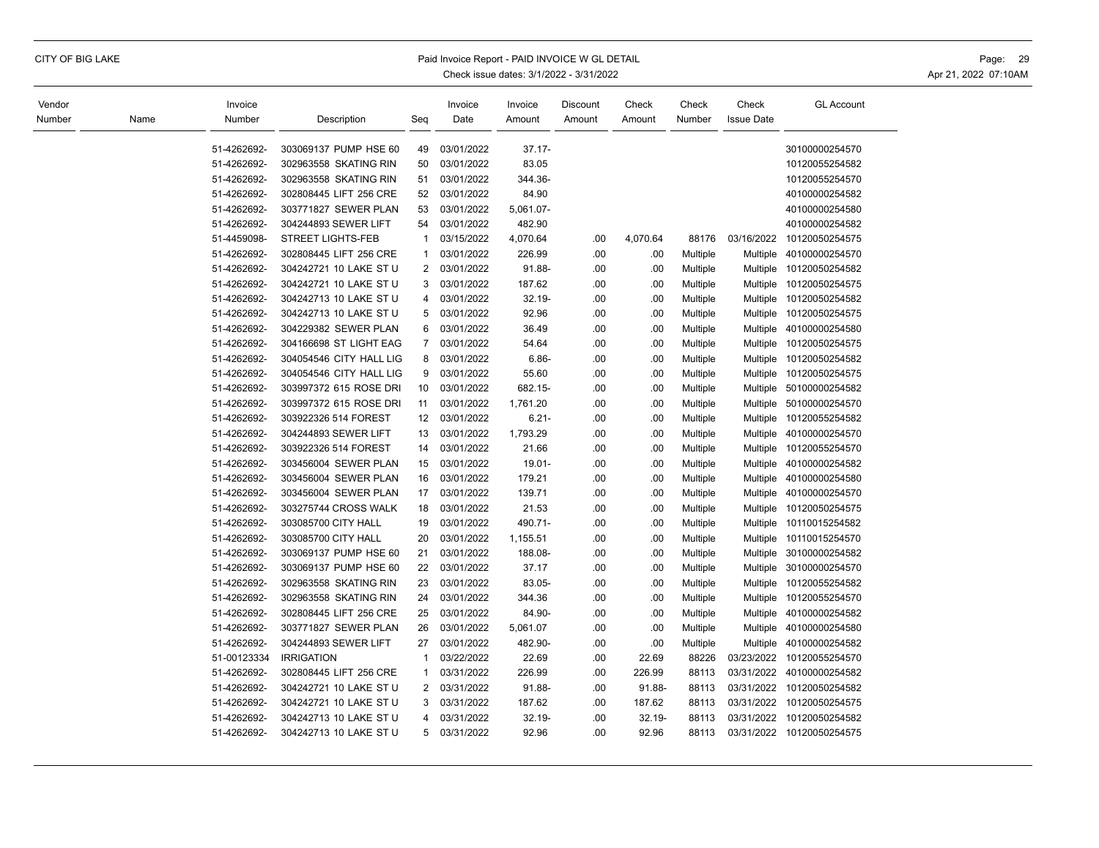## CITY OF BIG LAKE **Example 20** Paid Invoice Report - PAID INVOICE W GL DETAIL **Page:** 29 Page: 29

| Vendor |      | Invoice                    |                                                |                | Invoice                  | Invoice             | Discount | Check    | Check    | Check             | <b>GL Account</b>                |
|--------|------|----------------------------|------------------------------------------------|----------------|--------------------------|---------------------|----------|----------|----------|-------------------|----------------------------------|
| Number | Name | Number                     | Description                                    | Seq            | Date                     | Amount              | Amount   | Amount   | Number   | <b>Issue Date</b> |                                  |
|        |      |                            |                                                |                |                          |                     |          |          |          |                   |                                  |
|        |      | 51-4262692-<br>51-4262692- | 303069137 PUMP HSE 60<br>302963558 SKATING RIN | 49<br>50       | 03/01/2022<br>03/01/2022 | $37.17 -$<br>83.05  |          |          |          |                   | 30100000254570<br>10120055254582 |
|        |      | 51-4262692-                | 302963558 SKATING RIN                          | 51             | 03/01/2022               | 344.36-             |          |          |          |                   | 10120055254570                   |
|        |      |                            |                                                | 52             |                          |                     |          |          |          |                   |                                  |
|        |      | 51-4262692-                | 302808445 LIFT 256 CRE                         |                | 03/01/2022               | 84.90               |          |          |          |                   | 40100000254582                   |
|        |      | 51-4262692-<br>51-4262692- | 303771827 SEWER PLAN<br>304244893 SEWER LIFT   | 53<br>54       | 03/01/2022<br>03/01/2022 | 5,061.07-<br>482.90 |          |          |          |                   | 40100000254580<br>40100000254582 |
|        |      | 51-4459098-                | <b>STREET LIGHTS-FEB</b>                       | $\mathbf 1$    | 03/15/2022               | 4,070.64            |          |          | 88176    | 03/16/2022        | 10120050254575                   |
|        |      | 51-4262692-                |                                                | $\mathbf 1$    | 03/01/2022               |                     | .00      | 4,070.64 |          |                   |                                  |
|        |      |                            | 302808445 LIFT 256 CRE                         |                |                          | 226.99              | .00      | .00      | Multiple | Multiple          | 40100000254570                   |
|        |      | 51-4262692-<br>51-4262692- | 304242721 10 LAKE ST U                         | $\overline{2}$ | 03/01/2022               | 91.88-              | .00      | .00      | Multiple | Multiple          | 10120050254582                   |
|        |      |                            | 304242721 10 LAKE ST U                         | 3              | 03/01/2022               | 187.62              | .00      | .00      | Multiple |                   | Multiple 10120050254575          |
|        |      | 51-4262692-                | 304242713 10 LAKE ST U                         | 4              | 03/01/2022               | $32.19 -$           | .00      | .00      | Multiple |                   | Multiple 10120050254582          |
|        |      | 51-4262692-                | 304242713 10 LAKE ST U                         | 5              | 03/01/2022               | 92.96               | .00      | .00      | Multiple |                   | Multiple 10120050254575          |
|        |      | 51-4262692-                | 304229382 SEWER PLAN                           | 6              | 03/01/2022               | 36.49               | .00      | .00      | Multiple |                   | Multiple 40100000254580          |
|        |      | 51-4262692-                | 304166698 ST LIGHT EAG                         | $\overline{7}$ | 03/01/2022               | 54.64               | .00      | .00      | Multiple |                   | Multiple 10120050254575          |
|        |      | 51-4262692-                | 304054546 CITY HALL LIG                        | 8              | 03/01/2022               | $6.86 -$            | .00      | .00      | Multiple | Multiple          | 10120050254582                   |
|        |      | 51-4262692-                | 304054546 CITY HALL LIG                        | 9              | 03/01/2022               | 55.60               | .00      | .00      | Multiple | <b>Multiple</b>   | 10120050254575                   |
|        |      | 51-4262692-                | 303997372 615 ROSE DRI                         | 10             | 03/01/2022               | 682.15-             | .00      | .00      | Multiple | Multiple          | 50100000254582                   |
|        |      | 51-4262692-                | 303997372 615 ROSE DRI                         | 11             | 03/01/2022               | 1,761.20            | .00      | .00      | Multiple | Multiple          | 50100000254570                   |
|        |      | 51-4262692-                | 303922326 514 FOREST                           | 12             | 03/01/2022               | $6.21 -$            | .00      | .00      | Multiple |                   | Multiple 10120055254582          |
|        |      | 51-4262692-                | 304244893 SEWER LIFT                           | 13             | 03/01/2022               | 1,793.29            | .00      | .00      | Multiple | Multiple          | 40100000254570                   |
|        |      | 51-4262692-                | 303922326 514 FOREST                           | 14             | 03/01/2022               | 21.66               | .00      | .00      | Multiple |                   | Multiple 10120055254570          |
|        |      | 51-4262692-                | 303456004 SEWER PLAN                           | 15             | 03/01/2022               | 19.01-              | .00      | .00      | Multiple | Multiple          | 40100000254582                   |
|        |      | 51-4262692-                | 303456004 SEWER PLAN                           | 16             | 03/01/2022               | 179.21              | .00      | .00      | Multiple | Multiple          | 40100000254580                   |
|        |      | 51-4262692-                | 303456004 SEWER PLAN                           | 17             | 03/01/2022               | 139.71              | .00      | .00      | Multiple | Multiple          | 40100000254570                   |
|        |      | 51-4262692-                | 303275744 CROSS WALK                           | 18             | 03/01/2022               | 21.53               | .00      | .00      | Multiple | Multiple          | 10120050254575                   |
|        |      | 51-4262692-                | 303085700 CITY HALL                            | 19             | 03/01/2022               | 490.71-             | .00      | .00      | Multiple |                   | Multiple 10110015254582          |
|        |      | 51-4262692-                | 303085700 CITY HALL                            | 20             | 03/01/2022               | 1,155.51            | .00      | .00      | Multiple |                   | Multiple 10110015254570          |
|        |      | 51-4262692-                | 303069137 PUMP HSE 60                          | 21             | 03/01/2022               | 188.08-             | .00      | .00      | Multiple |                   | Multiple 30100000254582          |
|        |      | 51-4262692-                | 303069137 PUMP HSE 60                          | 22             | 03/01/2022               | 37.17               | .00      | .00      | Multiple |                   | Multiple 30100000254570          |
|        |      | 51-4262692-                | 302963558 SKATING RIN                          | 23             | 03/01/2022               | 83.05-              | .00      | .00      | Multiple | Multiple          | 10120055254582                   |
|        |      | 51-4262692-                | 302963558 SKATING RIN                          | 24             | 03/01/2022               | 344.36              | .00      | .00      | Multiple | Multiple          | 10120055254570                   |
|        |      | 51-4262692-                | 302808445 LIFT 256 CRE                         | 25             | 03/01/2022               | 84.90-              | .00      | .00      | Multiple | Multiple          | 40100000254582                   |
|        |      | 51-4262692-                | 303771827 SEWER PLAN                           | 26             | 03/01/2022               | 5,061.07            | .00      | .00      | Multiple |                   | Multiple 40100000254580          |
|        |      | 51-4262692-                | 304244893 SEWER LIFT                           | 27             | 03/01/2022               | 482.90-             | .00      | .00      | Multiple | <b>Multiple</b>   | 40100000254582                   |
|        |      | 51-00123334                | <b>IRRIGATION</b>                              | $\mathbf{1}$   | 03/22/2022               | 22.69               | .00      | 22.69    | 88226    |                   | 03/23/2022 10120055254570        |
|        |      | 51-4262692-                | 302808445 LIFT 256 CRE                         | $\mathbf{1}$   | 03/31/2022               | 226.99              | .00      | 226.99   | 88113    | 03/31/2022        | 40100000254582                   |
|        |      | 51-4262692-                | 304242721 10 LAKE ST U                         | $\overline{2}$ | 03/31/2022               | 91.88-              | .00      | 91.88-   | 88113    |                   | 03/31/2022 10120050254582        |
|        |      | 51-4262692-                | 304242721 10 LAKE ST U                         | 3              | 03/31/2022               | 187.62              | .00      | 187.62   | 88113    | 03/31/2022        | 10120050254575                   |
|        |      | 51-4262692-                | 304242713 10 LAKE ST U                         | 4              | 03/31/2022               | 32.19-              | .00      | 32.19-   | 88113    | 03/31/2022        | 10120050254582                   |
|        |      | 51-4262692-                | 304242713 10 LAKE ST U                         | 5              | 03/31/2022               | 92.96               | .00      | 92.96    | 88113    |                   | 03/31/2022 10120050254575        |
|        |      |                            |                                                |                |                          |                     |          |          |          |                   |                                  |